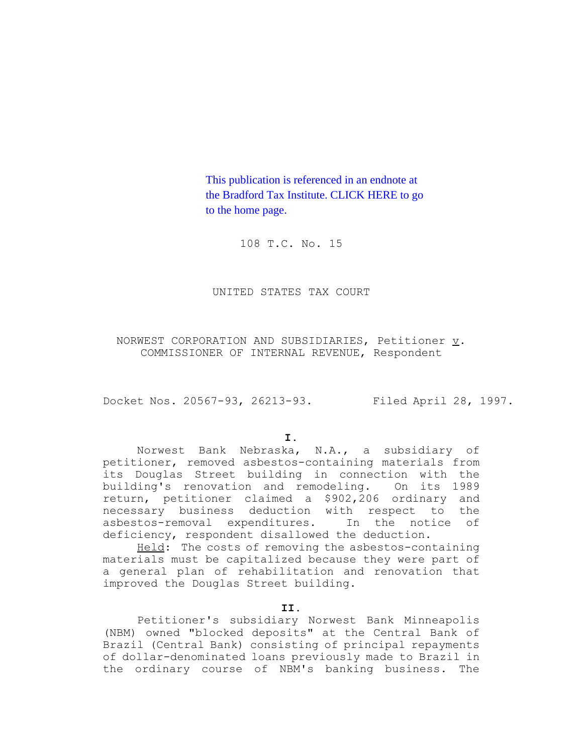This publication is referenced in an endnote at [the Bradford Tax Institute. CLICK HERE to go](http://www.bradfordtaxinstitute.com/)  to the home page.

108 T.C. No. 15

UNITED STATES TAX COURT

NORWEST CORPORATION AND SUBSIDIARIES, Petitioner  $\underline{v}$ . COMMISSIONER OF INTERNAL REVENUE, Respondent

Docket Nos. 20567-93, 26213-93. Filed April 28, 1997.

**I.**

Norwest Bank Nebraska, N.A., a subsidiary of petitioner, removed asbestos-containing materials from its Douglas Street building in connection with the building's renovation and remodeling. On its 1989 return, petitioner claimed a \$902,206 ordinary and necessary business deduction with respect to the<br>asbestos-removal expenditures. In the notice of asbestos-removal expenditures. deficiency, respondent disallowed the deduction.

Held: The costs of removing the asbestos-containing materials must be capitalized because they were part of a general plan of rehabilitation and renovation that improved the Douglas Street building.

**II.**

Petitioner's subsidiary Norwest Bank Minneapolis (NBM) owned "blocked deposits" at the Central Bank of Brazil (Central Bank) consisting of principal repayments of dollar-denominated loans previously made to Brazil in the ordinary course of NBM's banking business. The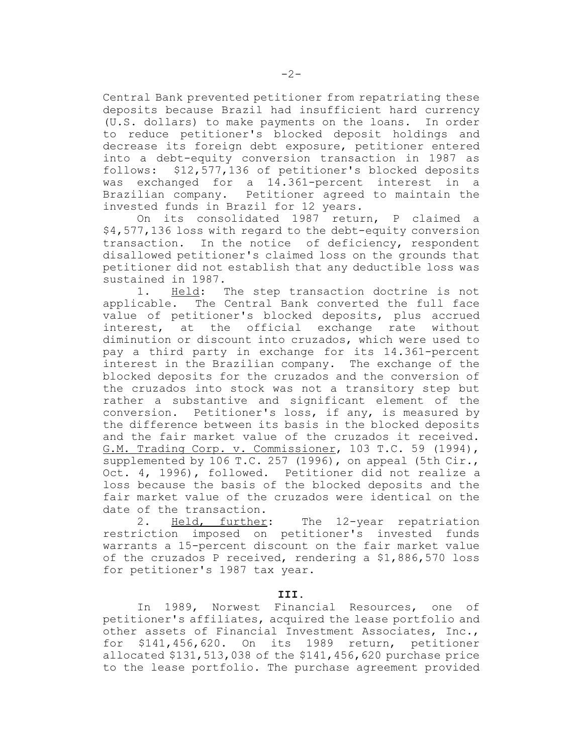Central Bank prevented petitioner from repatriating these deposits because Brazil had insufficient hard currency (U.S. dollars) to make payments on the loans. In order to reduce petitioner's blocked deposit holdings and decrease its foreign debt exposure, petitioner entered into a debt-equity conversion transaction in 1987 as follows: \$12,577,136 of petitioner's blocked deposits was exchanged for a 14.361-percent interest in a Brazilian company. Petitioner agreed to maintain the invested funds in Brazil for 12 years.

On its consolidated 1987 return, P claimed a \$4,577,136 loss with regard to the debt-equity conversion transaction. In the notice of deficiency, respondent disallowed petitioner's claimed loss on the grounds that petitioner did not establish that any deductible loss was sustained in 1987.

1. Held: The step transaction doctrine is not applicable. The Central Bank converted the full face value of petitioner's blocked deposits, plus accrued interest, at the official exchange rate without diminution or discount into cruzados, which were used to pay a third party in exchange for its 14.361-percent interest in the Brazilian company. The exchange of the blocked deposits for the cruzados and the conversion of the cruzados into stock was not a transitory step but rather a substantive and significant element of the conversion. Petitioner's loss, if any, is measured by the difference between its basis in the blocked deposits and the fair market value of the cruzados it received. G.M. Trading Corp. v. Commissioner, 103 T.C. 59 (1994), supplemented by 106 T.C. 257 (1996), on appeal (5th Cir., Oct. 4, 1996), followed. Petitioner did not realize a loss because the basis of the blocked deposits and the fair market value of the cruzados were identical on the date of the transaction.

2. Held, further: The 12-year repatriation restriction imposed on petitioner's invested funds warrants a 15-percent discount on the fair market value of the cruzados P received, rendering a \$1,886,570 loss for petitioner's 1987 tax year.

### **III.**

In 1989, Norwest Financial Resources, one of petitioner's affiliates, acquired the lease portfolio and other assets of Financial Investment Associates, Inc., for \$141,456,620. On its 1989 return, petitioner allocated \$131,513,038 of the \$141,456,620 purchase price to the lease portfolio. The purchase agreement provided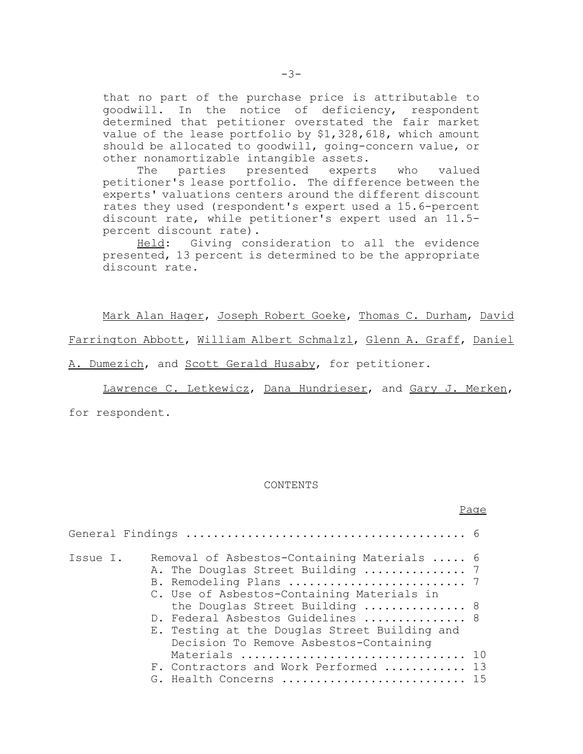that no part of the purchase price is attributable to goodwill. In the notice of deficiency, respondent determined that petitioner overstated the fair market value of the lease portfolio by \$1,328,618, which amount should be allocated to goodwill, going-concern value, or other nonamortizable intangible assets.

The parties presented experts who valued petitioner's lease portfolio. The difference between the experts' valuations centers around the different discount rates they used (respondent's expert used a 15.6-percent discount rate, while petitioner's expert used an 11.5 percent discount rate).

Held: Giving consideration to all the evidence presented, 13 percent is determined to be the appropriate discount rate.

Mark Alan Hager, Joseph Robert Goeke, Thomas C. Durham, David Farrington Abbott, William Albert Schmalzl, Glenn A. Graff, Daniel A. Dumezich, and Scott Gerald Husaby, for petitioner.

Lawrence C. Letkewicz, Dana Hundrieser, and Gary J. Merken,

for respondent.

### CONTENTS

## Page

| Issue I. | Removal of Asbestos-Containing Materials  6<br>A. The Douglas Street Building  7                                                                                                                             |  |
|----------|--------------------------------------------------------------------------------------------------------------------------------------------------------------------------------------------------------------|--|
|          | C. Use of Asbestos-Containing Materials in<br>the Douglas Street Building  8<br>D. Federal Asbestos Guidelines  8<br>E. Testing at the Douglas Street Building and<br>Decision To Remove Asbestos-Containing |  |
|          | Materials  10<br>F. Contractors and Work Performed  13<br>G. Health Concerns  15                                                                                                                             |  |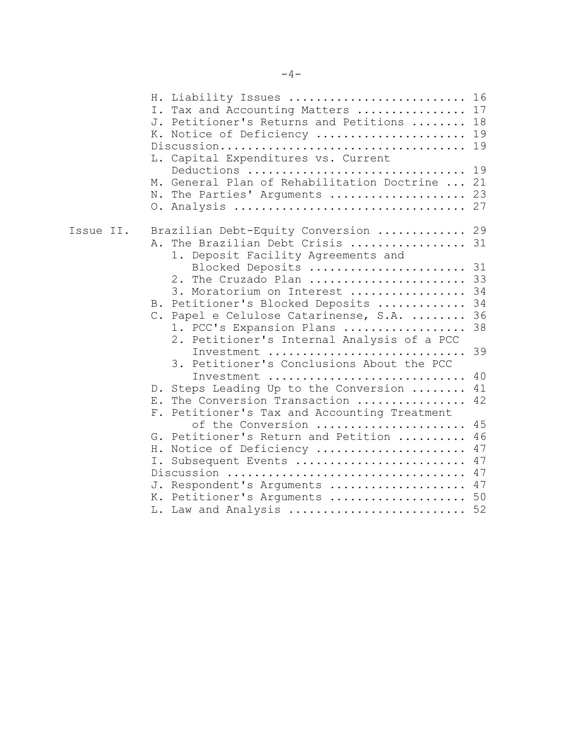|           | H. Liability Issues  16<br>Tax and Accounting Matters<br>17<br>Ι.<br>Petitioner's Returns and Petitions<br>18<br><b>.T.</b><br>Notice of Deficiency<br>19<br>Κ.<br>19<br>Capital Expenditures vs. Current<br>L.<br>Deductions<br>19<br>General Plan of Rehabilitation Doctrine  21<br>М.<br>The Parties' Arguments  23<br>Ν.<br>0. Analysis  27 |
|-----------|-------------------------------------------------------------------------------------------------------------------------------------------------------------------------------------------------------------------------------------------------------------------------------------------------------------------------------------------------|
| Issue II. | Brazilian Debt-Equity Conversion  29<br>The Brazilian Debt Crisis  31<br>Α.<br>1. Deposit Facility Agreements and                                                                                                                                                                                                                               |
|           | Blocked Deposits  31<br>2. The Cruzado Plan  33<br>3. Moratorium on Interest  34<br>B. Petitioner's Blocked Deposits  34<br>C. Papel e Celulose Catarinense, S.A.  36<br>38<br>1. PCC's Expansion Plans                                                                                                                                         |
|           | 2. Petitioner's Internal Analysis of a PCC<br>39<br>Investment<br>3. Petitioner's Conclusions About the PCC<br>Investment<br>40<br>Steps Leading Up to the Conversion<br>41<br>D.                                                                                                                                                               |
|           | E. The Conversion Transaction<br>42<br>F. Petitioner's Tax and Accounting Treatment                                                                                                                                                                                                                                                             |
|           | of the Conversion<br>45<br>46<br>Petitioner's Return and Petition<br>G.<br>47<br>Notice of Deficiency<br>H.<br>47<br>Subsequent Events<br>Ι.<br>Discussion<br>47<br>J. Respondent's Arguments<br>47<br>K. Petitioner's Arguments<br>50<br>52<br>L. Law and Analysis                                                                             |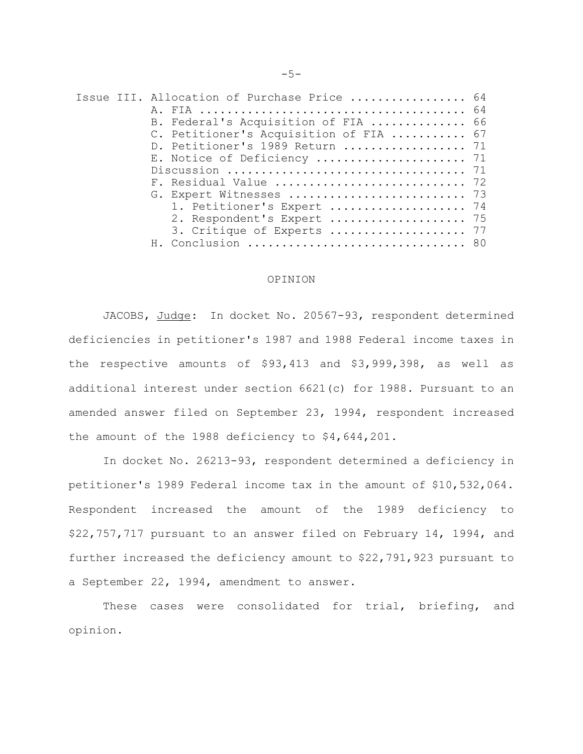|  | Issue III. Allocation of Purchase Price  64 |  |
|--|---------------------------------------------|--|
|  |                                             |  |
|  | B. Federal's Acquisition of FIA  66         |  |
|  | C. Petitioner's Acquisition of FIA  67      |  |
|  | D. Petitioner's 1989 Return  71             |  |
|  | E. Notice of Deficiency  71                 |  |
|  |                                             |  |
|  | F. Residual Value  72                       |  |
|  | G. Expert Witnesses  73                     |  |
|  | 1. Petitioner's Expert  74                  |  |
|  | 2. Respondent's Expert  75                  |  |
|  | 3. Critique of Experts  77                  |  |
|  | H. Conclusion  80                           |  |
|  |                                             |  |

#### OPINION

JACOBS, Judge: In docket No. 20567-93, respondent determined deficiencies in petitioner's 1987 and 1988 Federal income taxes in the respective amounts of \$93,413 and \$3,999,398, as well as additional interest under section 6621(c) for 1988. Pursuant to an amended answer filed on September 23, 1994, respondent increased the amount of the 1988 deficiency to \$4,644,201.

In docket No. 26213-93, respondent determined a deficiency in petitioner's 1989 Federal income tax in the amount of \$10,532,064. Respondent increased the amount of the 1989 deficiency to \$22,757,717 pursuant to an answer filed on February 14, 1994, and further increased the deficiency amount to \$22,791,923 pursuant to a September 22, 1994, amendment to answer.

These cases were consolidated for trial, briefing, and opinion.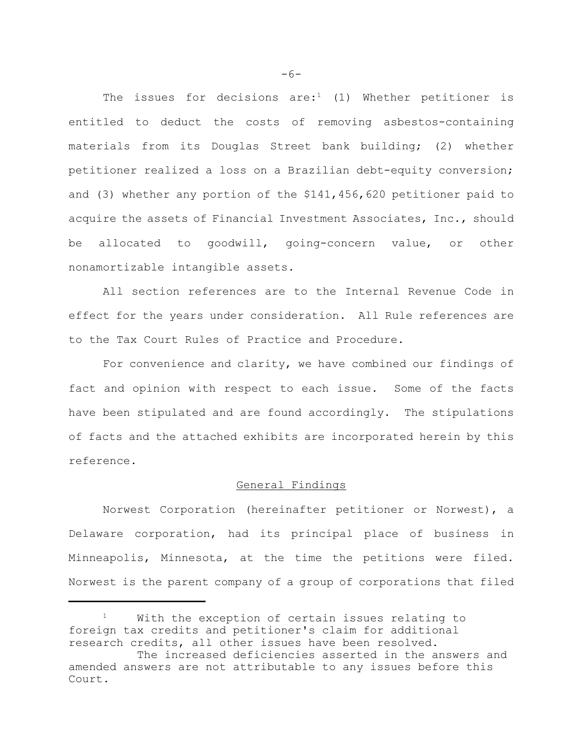The issues for decisions are:<sup>1</sup> (1) Whether petitioner is entitled to deduct the costs of removing asbestos-containing materials from its Douglas Street bank building; (2) whether petitioner realized a loss on a Brazilian debt-equity conversion; and (3) whether any portion of the \$141,456,620 petitioner paid to acquire the assets of Financial Investment Associates, Inc., should be allocated to goodwill, going-concern value, or other nonamortizable intangible assets.

All section references are to the Internal Revenue Code in effect for the years under consideration. All Rule references are to the Tax Court Rules of Practice and Procedure.

For convenience and clarity, we have combined our findings of fact and opinion with respect to each issue. Some of the facts have been stipulated and are found accordingly. The stipulations of facts and the attached exhibits are incorporated herein by this reference.

## General Findings

Norwest Corporation (hereinafter petitioner or Norwest), a Delaware corporation, had its principal place of business in Minneapolis, Minnesota, at the time the petitions were filed. Norwest is the parent company of a group of corporations that filed

 $-6-$ 

<sup>&</sup>lt;sup>1</sup> With the exception of certain issues relating to foreign tax credits and petitioner's claim for additional research credits, all other issues have been resolved.

The increased deficiencies asserted in the answers and amended answers are not attributable to any issues before this Court.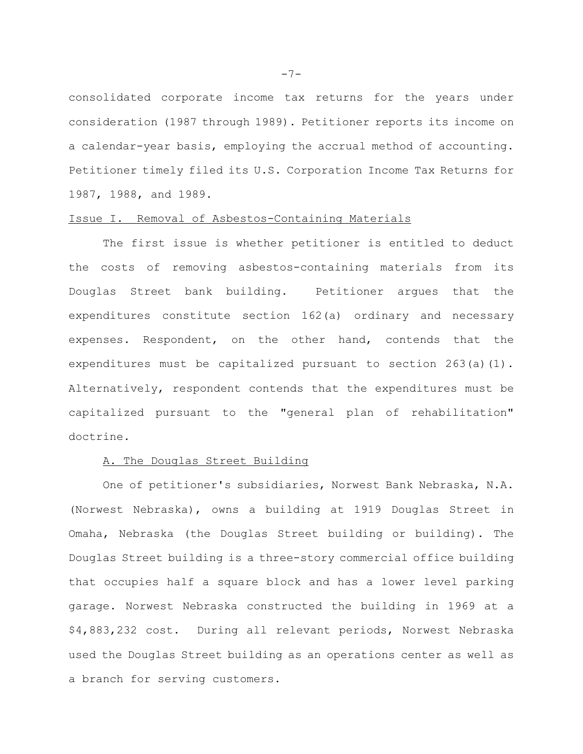consolidated corporate income tax returns for the years under consideration (1987 through 1989). Petitioner reports its income on a calendar-year basis, employing the accrual method of accounting. Petitioner timely filed its U.S. Corporation Income Tax Returns for 1987, 1988, and 1989.

### Issue I. Removal of Asbestos-Containing Materials

The first issue is whether petitioner is entitled to deduct the costs of removing asbestos-containing materials from its Douglas Street bank building. Petitioner argues that the expenditures constitute section 162(a) ordinary and necessary expenses. Respondent, on the other hand, contends that the expenditures must be capitalized pursuant to section 263(a)(1). Alternatively, respondent contends that the expenditures must be capitalized pursuant to the "general plan of rehabilitation" doctrine.

### A. The Douglas Street Building

One of petitioner's subsidiaries, Norwest Bank Nebraska, N.A. (Norwest Nebraska), owns a building at 1919 Douglas Street in Omaha, Nebraska (the Douglas Street building or building). The Douglas Street building is a three-story commercial office building that occupies half a square block and has a lower level parking garage. Norwest Nebraska constructed the building in 1969 at a \$4,883,232 cost. During all relevant periods, Norwest Nebraska used the Douglas Street building as an operations center as well as a branch for serving customers.

 $-7-$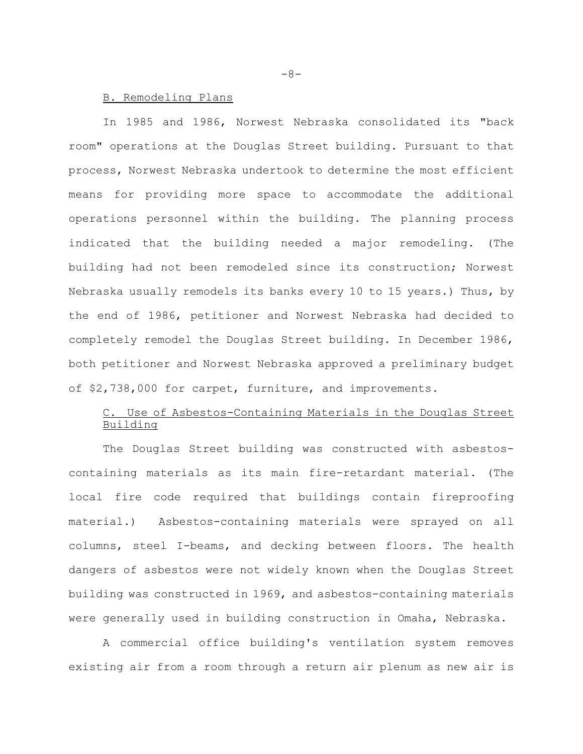#### B. Remodeling Plans

In 1985 and 1986, Norwest Nebraska consolidated its "back room" operations at the Douglas Street building. Pursuant to that process, Norwest Nebraska undertook to determine the most efficient means for providing more space to accommodate the additional operations personnel within the building. The planning process indicated that the building needed a major remodeling. (The building had not been remodeled since its construction; Norwest Nebraska usually remodels its banks every 10 to 15 years.) Thus, by the end of 1986, petitioner and Norwest Nebraska had decided to completely remodel the Douglas Street building. In December 1986, both petitioner and Norwest Nebraska approved a preliminary budget of \$2,738,000 for carpet, furniture, and improvements.

# C. Use of Asbestos-Containing Materials in the Douglas Street Building

The Douglas Street building was constructed with asbestoscontaining materials as its main fire-retardant material. (The local fire code required that buildings contain fireproofing material.) Asbestos-containing materials were sprayed on all columns, steel I-beams, and decking between floors. The health dangers of asbestos were not widely known when the Douglas Street building was constructed in 1969, and asbestos-containing materials were generally used in building construction in Omaha, Nebraska.

A commercial office building's ventilation system removes existing air from a room through a return air plenum as new air is

 $-8-$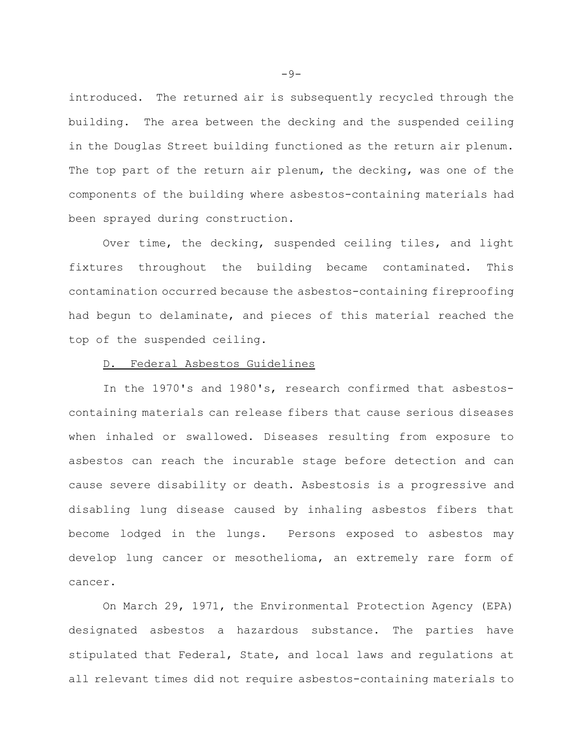introduced. The returned air is subsequently recycled through the building. The area between the decking and the suspended ceiling in the Douglas Street building functioned as the return air plenum. The top part of the return air plenum, the decking, was one of the components of the building where asbestos-containing materials had been sprayed during construction.

Over time, the decking, suspended ceiling tiles, and light fixtures throughout the building became contaminated. This contamination occurred because the asbestos-containing fireproofing had begun to delaminate, and pieces of this material reached the top of the suspended ceiling.

### D. Federal Asbestos Guidelines

In the 1970's and 1980's, research confirmed that asbestoscontaining materials can release fibers that cause serious diseases when inhaled or swallowed. Diseases resulting from exposure to asbestos can reach the incurable stage before detection and can cause severe disability or death. Asbestosis is a progressive and disabling lung disease caused by inhaling asbestos fibers that become lodged in the lungs. Persons exposed to asbestos may develop lung cancer or mesothelioma, an extremely rare form of cancer.

On March 29, 1971, the Environmental Protection Agency (EPA) designated asbestos a hazardous substance. The parties have stipulated that Federal, State, and local laws and regulations at all relevant times did not require asbestos-containing materials to

 $-9-$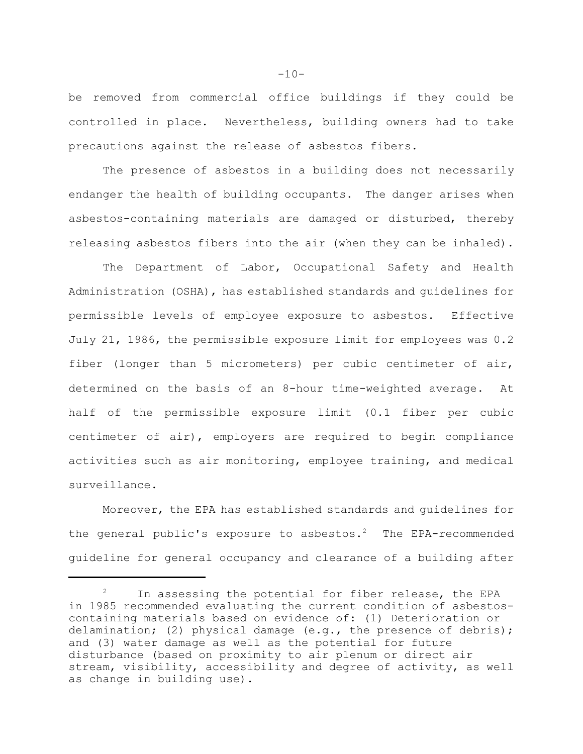be removed from commercial office buildings if they could be controlled in place. Nevertheless, building owners had to take precautions against the release of asbestos fibers.

The presence of asbestos in a building does not necessarily endanger the health of building occupants. The danger arises when asbestos-containing materials are damaged or disturbed, thereby releasing asbestos fibers into the air (when they can be inhaled).

The Department of Labor, Occupational Safety and Health Administration (OSHA), has established standards and guidelines for permissible levels of employee exposure to asbestos. Effective July 21, 1986, the permissible exposure limit for employees was 0.2 fiber (longer than 5 micrometers) per cubic centimeter of air, determined on the basis of an 8-hour time-weighted average. At half of the permissible exposure limit (0.1 fiber per cubic centimeter of air), employers are required to begin compliance activities such as air monitoring, employee training, and medical surveillance.

Moreover, the EPA has established standards and guidelines for the general public's exposure to asbestos.<sup>2</sup> The EPA-recommended guideline for general occupancy and clearance of a building after

 $2^2$  In assessing the potential for fiber release, the EPA in 1985 recommended evaluating the current condition of asbestoscontaining materials based on evidence of: (1) Deterioration or delamination; (2) physical damage (e.g., the presence of debris); and (3) water damage as well as the potential for future disturbance (based on proximity to air plenum or direct air stream, visibility, accessibility and degree of activity, as well as change in building use).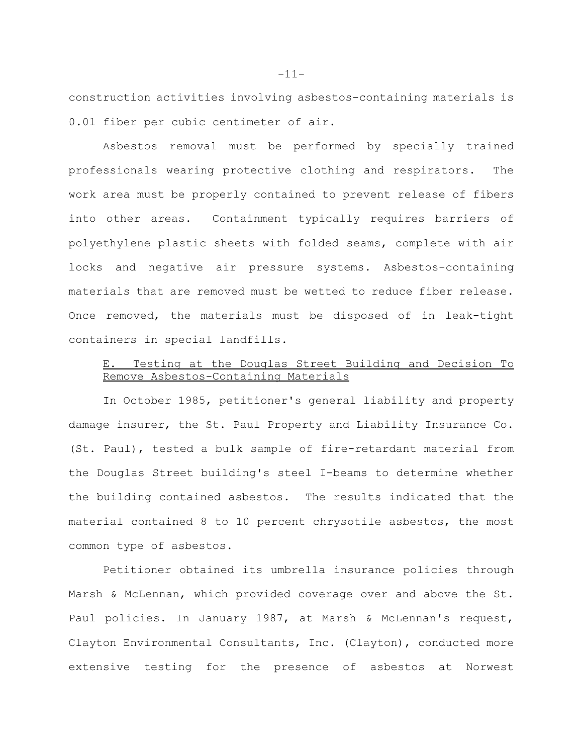construction activities involving asbestos-containing materials is 0.01 fiber per cubic centimeter of air.

Asbestos removal must be performed by specially trained professionals wearing protective clothing and respirators. The work area must be properly contained to prevent release of fibers into other areas. Containment typically requires barriers of polyethylene plastic sheets with folded seams, complete with air locks and negative air pressure systems. Asbestos-containing materials that are removed must be wetted to reduce fiber release. Once removed, the materials must be disposed of in leak-tight containers in special landfills.

# E. Testing at the Douglas Street Building and Decision To Remove Asbestos-Containing Materials

In October 1985, petitioner's general liability and property damage insurer, the St. Paul Property and Liability Insurance Co. (St. Paul), tested a bulk sample of fire-retardant material from the Douglas Street building's steel I-beams to determine whether the building contained asbestos. The results indicated that the material contained 8 to 10 percent chrysotile asbestos, the most common type of asbestos.

Petitioner obtained its umbrella insurance policies through Marsh & McLennan, which provided coverage over and above the St. Paul policies. In January 1987, at Marsh & McLennan's request, Clayton Environmental Consultants, Inc. (Clayton), conducted more extensive testing for the presence of asbestos at Norwest

-11-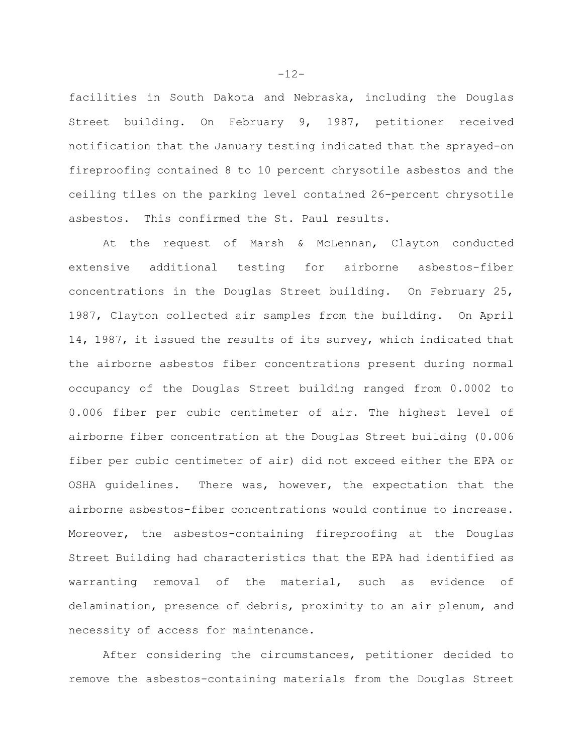facilities in South Dakota and Nebraska, including the Douglas Street building. On February 9, 1987, petitioner received notification that the January testing indicated that the sprayed-on fireproofing contained 8 to 10 percent chrysotile asbestos and the ceiling tiles on the parking level contained 26-percent chrysotile asbestos. This confirmed the St. Paul results.

At the request of Marsh & McLennan, Clayton conducted extensive additional testing for airborne asbestos-fiber concentrations in the Douglas Street building. On February 25, 1987, Clayton collected air samples from the building. On April 14, 1987, it issued the results of its survey, which indicated that the airborne asbestos fiber concentrations present during normal occupancy of the Douglas Street building ranged from 0.0002 to 0.006 fiber per cubic centimeter of air. The highest level of airborne fiber concentration at the Douglas Street building (0.006 fiber per cubic centimeter of air) did not exceed either the EPA or OSHA guidelines. There was, however, the expectation that the airborne asbestos-fiber concentrations would continue to increase. Moreover, the asbestos-containing fireproofing at the Douglas Street Building had characteristics that the EPA had identified as warranting removal of the material, such as evidence of delamination, presence of debris, proximity to an air plenum, and necessity of access for maintenance.

After considering the circumstances, petitioner decided to remove the asbestos-containing materials from the Douglas Street

-12-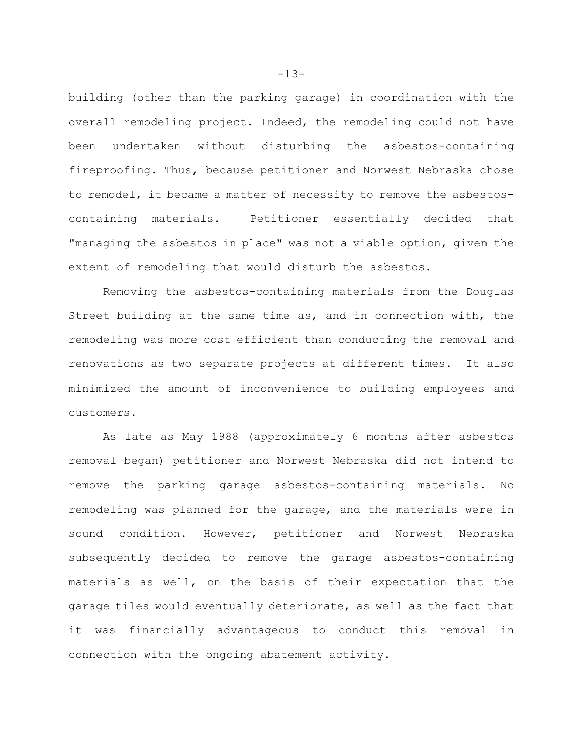building (other than the parking garage) in coordination with the overall remodeling project. Indeed, the remodeling could not have been undertaken without disturbing the asbestos-containing fireproofing. Thus, because petitioner and Norwest Nebraska chose to remodel, it became a matter of necessity to remove the asbestoscontaining materials. Petitioner essentially decided that "managing the asbestos in place" was not a viable option, given the extent of remodeling that would disturb the asbestos.

Removing the asbestos-containing materials from the Douglas Street building at the same time as, and in connection with, the remodeling was more cost efficient than conducting the removal and renovations as two separate projects at different times. It also minimized the amount of inconvenience to building employees and customers.

As late as May 1988 (approximately 6 months after asbestos removal began) petitioner and Norwest Nebraska did not intend to remove the parking garage asbestos-containing materials. No remodeling was planned for the garage, and the materials were in sound condition. However, petitioner and Norwest Nebraska subsequently decided to remove the garage asbestos-containing materials as well, on the basis of their expectation that the garage tiles would eventually deteriorate, as well as the fact that it was financially advantageous to conduct this removal in connection with the ongoing abatement activity.

-13-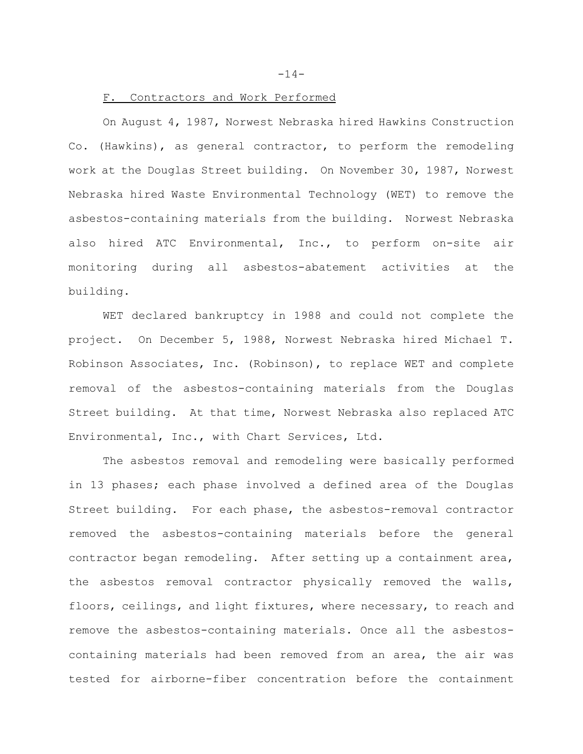$-14-$ 

### F. Contractors and Work Performed

On August 4, 1987, Norwest Nebraska hired Hawkins Construction Co. (Hawkins), as general contractor, to perform the remodeling work at the Douglas Street building. On November 30, 1987, Norwest Nebraska hired Waste Environmental Technology (WET) to remove the asbestos-containing materials from the building. Norwest Nebraska also hired ATC Environmental, Inc., to perform on-site air monitoring during all asbestos-abatement activities at the building.

WET declared bankruptcy in 1988 and could not complete the project. On December 5, 1988, Norwest Nebraska hired Michael T. Robinson Associates, Inc. (Robinson), to replace WET and complete removal of the asbestos-containing materials from the Douglas Street building. At that time, Norwest Nebraska also replaced ATC Environmental, Inc., with Chart Services, Ltd.

The asbestos removal and remodeling were basically performed in 13 phases; each phase involved a defined area of the Douglas Street building. For each phase, the asbestos-removal contractor removed the asbestos-containing materials before the general contractor began remodeling. After setting up a containment area, the asbestos removal contractor physically removed the walls, floors, ceilings, and light fixtures, where necessary, to reach and remove the asbestos-containing materials. Once all the asbestoscontaining materials had been removed from an area, the air was tested for airborne-fiber concentration before the containment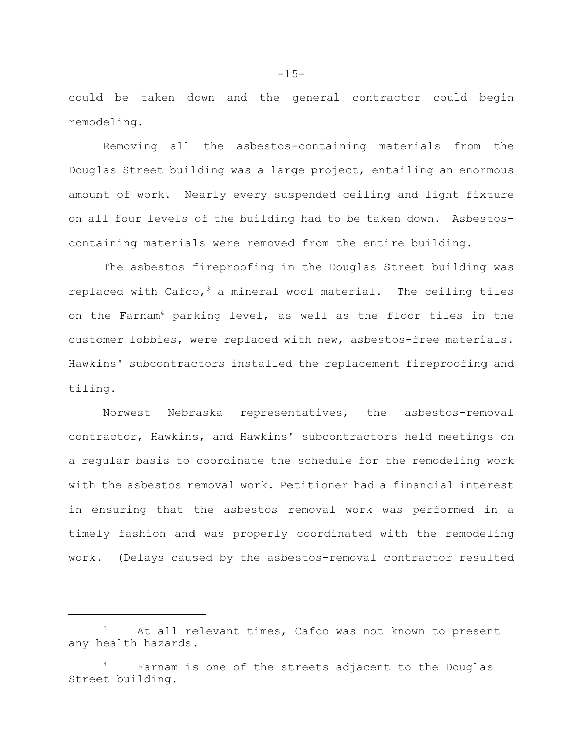could be taken down and the general contractor could begin remodeling.

Removing all the asbestos-containing materials from the Douglas Street building was a large project, entailing an enormous amount of work. Nearly every suspended ceiling and light fixture on all four levels of the building had to be taken down. Asbestoscontaining materials were removed from the entire building.

The asbestos fireproofing in the Douglas Street building was replaced with Cafco,<sup>3</sup> a mineral wool material. The ceiling tiles on the Farnam4 parking level, as well as the floor tiles in the customer lobbies, were replaced with new, asbestos-free materials. Hawkins' subcontractors installed the replacement fireproofing and tiling.

Norwest Nebraska representatives, the asbestos-removal contractor, Hawkins, and Hawkins' subcontractors held meetings on a regular basis to coordinate the schedule for the remodeling work with the asbestos removal work. Petitioner had a financial interest in ensuring that the asbestos removal work was performed in a timely fashion and was properly coordinated with the remodeling work. (Delays caused by the asbestos-removal contractor resulted

At all relevant times, Cafco was not known to present any health hazards.

Farnam is one of the streets adjacent to the Douglas Street building.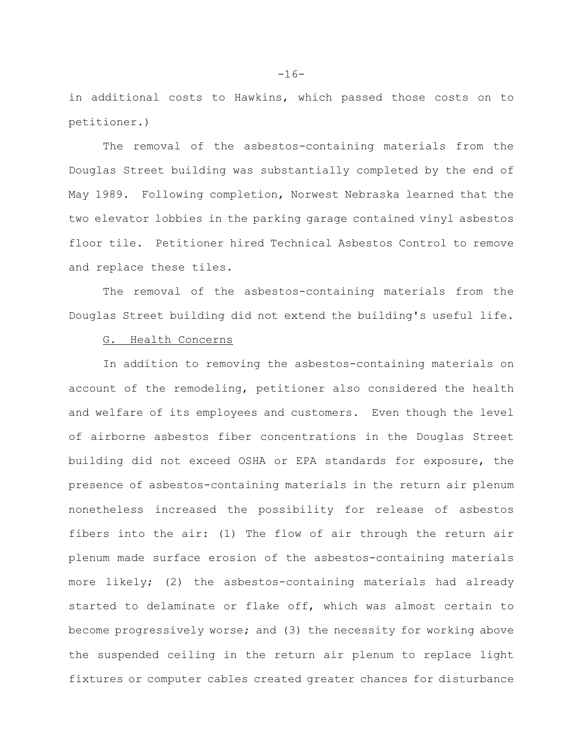in additional costs to Hawkins, which passed those costs on to petitioner.)

The removal of the asbestos-containing materials from the Douglas Street building was substantially completed by the end of May 1989. Following completion, Norwest Nebraska learned that the two elevator lobbies in the parking garage contained vinyl asbestos floor tile. Petitioner hired Technical Asbestos Control to remove and replace these tiles.

The removal of the asbestos-containing materials from the Douglas Street building did not extend the building's useful life.

# G. Health Concerns

In addition to removing the asbestos-containing materials on account of the remodeling, petitioner also considered the health and welfare of its employees and customers. Even though the level of airborne asbestos fiber concentrations in the Douglas Street building did not exceed OSHA or EPA standards for exposure, the presence of asbestos-containing materials in the return air plenum nonetheless increased the possibility for release of asbestos fibers into the air: (1) The flow of air through the return air plenum made surface erosion of the asbestos-containing materials more likely; (2) the asbestos-containing materials had already started to delaminate or flake off, which was almost certain to become progressively worse; and (3) the necessity for working above the suspended ceiling in the return air plenum to replace light fixtures or computer cables created greater chances for disturbance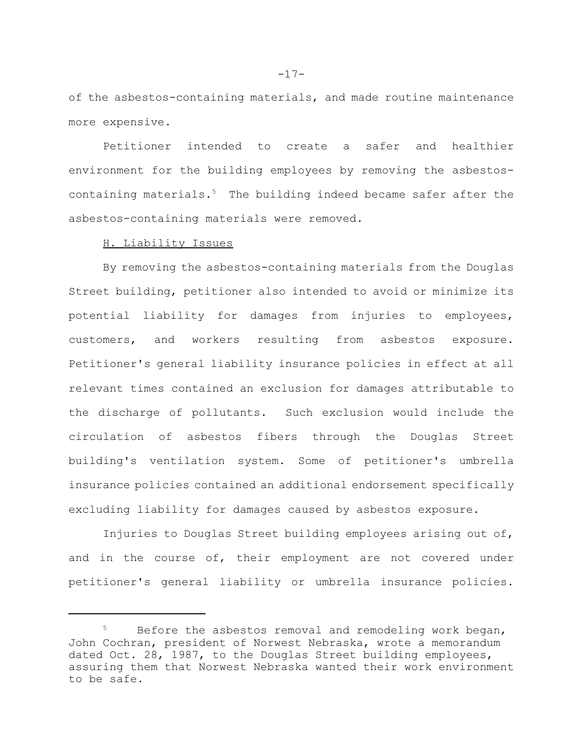of the asbestos-containing materials, and made routine maintenance more expensive.

Petitioner intended to create a safer and healthier environment for the building employees by removing the asbestoscontaining materials.<sup>5</sup> The building indeed became safer after the asbestos-containing materials were removed.

### H. Liability Issues

By removing the asbestos-containing materials from the Douglas Street building, petitioner also intended to avoid or minimize its potential liability for damages from injuries to employees, customers, and workers resulting from asbestos exposure. Petitioner's general liability insurance policies in effect at all relevant times contained an exclusion for damages attributable to the discharge of pollutants. Such exclusion would include the circulation of asbestos fibers through the Douglas Street building's ventilation system. Some of petitioner's umbrella insurance policies contained an additional endorsement specifically excluding liability for damages caused by asbestos exposure.

Injuries to Douglas Street building employees arising out of, and in the course of, their employment are not covered under petitioner's general liability or umbrella insurance policies.

Before the asbestos removal and remodeling work began, John Cochran, president of Norwest Nebraska, wrote a memorandum dated Oct. 28, 1987, to the Douglas Street building employees, assuring them that Norwest Nebraska wanted their work environment to be safe.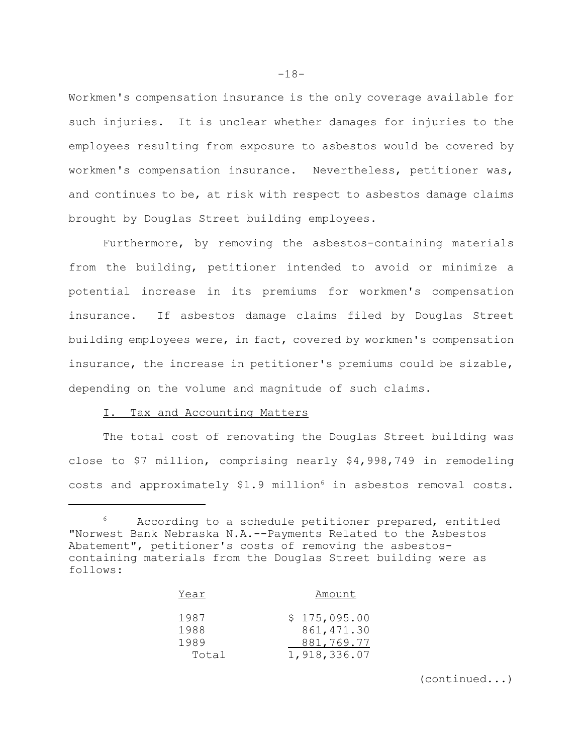Workmen's compensation insurance is the only coverage available for such injuries. It is unclear whether damages for injuries to the employees resulting from exposure to asbestos would be covered by workmen's compensation insurance. Nevertheless, petitioner was, and continues to be, at risk with respect to asbestos damage claims brought by Douglas Street building employees.

Furthermore, by removing the asbestos-containing materials from the building, petitioner intended to avoid or minimize a potential increase in its premiums for workmen's compensation insurance. If asbestos damage claims filed by Douglas Street building employees were, in fact, covered by workmen's compensation insurance, the increase in petitioner's premiums could be sizable, depending on the volume and magnitude of such claims.

#### I. Tax and Accounting Matters

The total cost of renovating the Douglas Street building was close to \$7 million, comprising nearly \$4,998,749 in remodeling costs and approximately  $$1.9$  million<sup>6</sup> in asbestos removal costs.

<sup>&</sup>lt;sup>6</sup> According to a schedule petitioner prepared, entitled "Norwest Bank Nebraska N.A.--Payments Related to the Asbestos Abatement", petitioner's costs of removing the asbestoscontaining materials from the Douglas Street building were as follows:

| Year         | Amount                      |
|--------------|-----------------------------|
| 1987<br>1988 | \$175,095.00<br>861, 471.30 |
| 1989         | 881,769.77                  |
| Total        | 1,918,336.07                |

(continued...)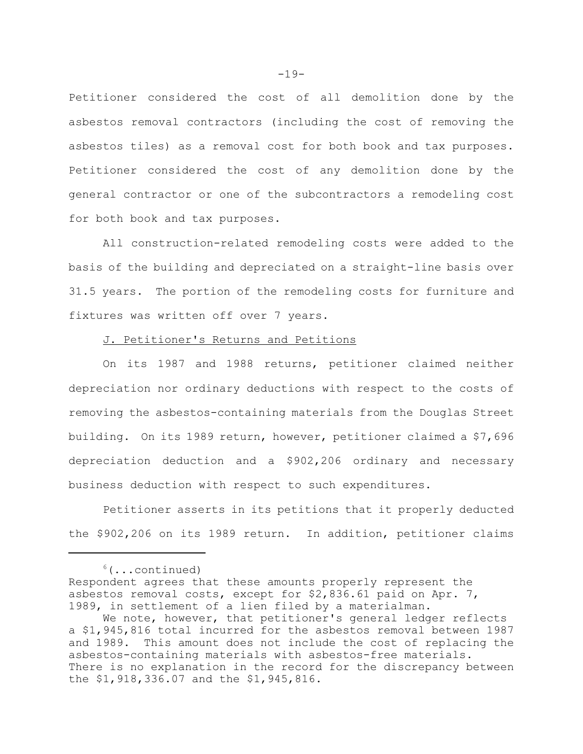Petitioner considered the cost of all demolition done by the asbestos removal contractors (including the cost of removing the asbestos tiles) as a removal cost for both book and tax purposes. Petitioner considered the cost of any demolition done by the general contractor or one of the subcontractors a remodeling cost for both book and tax purposes.

All construction-related remodeling costs were added to the basis of the building and depreciated on a straight-line basis over 31.5 years. The portion of the remodeling costs for furniture and fixtures was written off over 7 years.

# J. Petitioner's Returns and Petitions

On its 1987 and 1988 returns, petitioner claimed neither depreciation nor ordinary deductions with respect to the costs of removing the asbestos-containing materials from the Douglas Street building. On its 1989 return, however, petitioner claimed a \$7,696 depreciation deduction and a \$902,206 ordinary and necessary business deduction with respect to such expenditures.

Petitioner asserts in its petitions that it properly deducted the \$902,206 on its 1989 return. In addition, petitioner claims

 $6(\ldots \text{continued})$ 

Respondent agrees that these amounts properly represent the asbestos removal costs, except for \$2,836.61 paid on Apr. 7, 1989, in settlement of a lien filed by a materialman.

We note, however, that petitioner's general ledger reflects a \$1,945,816 total incurred for the asbestos removal between 1987 and 1989. This amount does not include the cost of replacing the asbestos-containing materials with asbestos-free materials. There is no explanation in the record for the discrepancy between the \$1,918,336.07 and the \$1,945,816.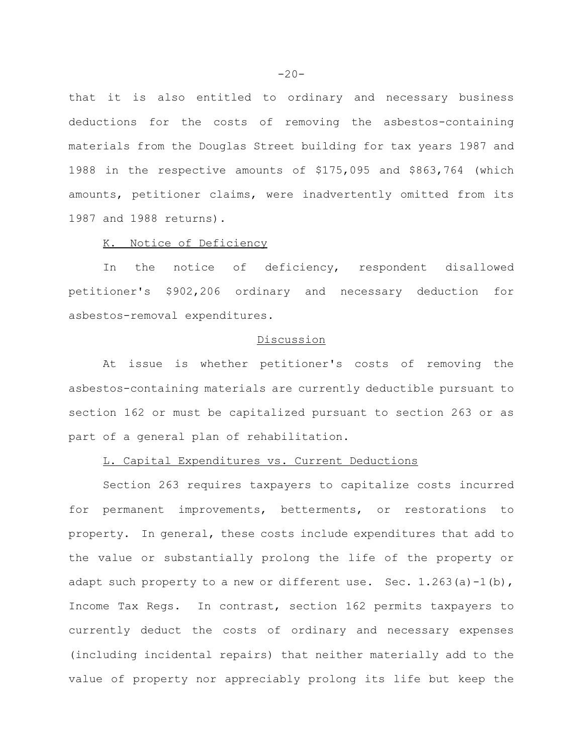that it is also entitled to ordinary and necessary business deductions for the costs of removing the asbestos-containing materials from the Douglas Street building for tax years 1987 and 1988 in the respective amounts of \$175,095 and \$863,764 (which amounts, petitioner claims, were inadvertently omitted from its 1987 and 1988 returns).

### K. Notice of Deficiency

In the notice of deficiency, respondent disallowed petitioner's \$902,206 ordinary and necessary deduction for asbestos-removal expenditures.

# Discussion

At issue is whether petitioner's costs of removing the asbestos-containing materials are currently deductible pursuant to section 162 or must be capitalized pursuant to section 263 or as part of a general plan of rehabilitation.

# L. Capital Expenditures vs. Current Deductions

Section 263 requires taxpayers to capitalize costs incurred for permanent improvements, betterments, or restorations to property. In general, these costs include expenditures that add to the value or substantially prolong the life of the property or adapt such property to a new or different use. Sec.  $1.263(a) - 1(b)$ , Income Tax Regs. In contrast, section 162 permits taxpayers to currently deduct the costs of ordinary and necessary expenses (including incidental repairs) that neither materially add to the value of property nor appreciably prolong its life but keep the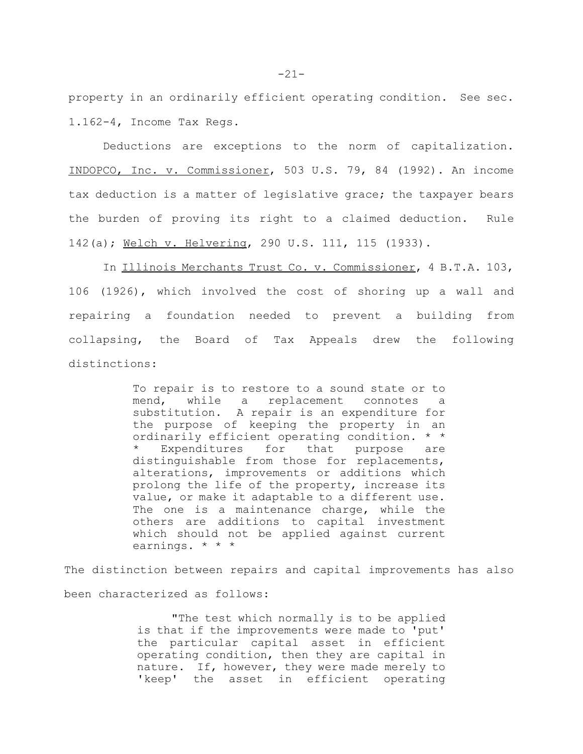property in an ordinarily efficient operating condition. See sec. 1.162-4, Income Tax Regs.

Deductions are exceptions to the norm of capitalization. INDOPCO, Inc. v. Commissioner, 503 U.S. 79, 84 (1992). An income tax deduction is a matter of legislative grace; the taxpayer bears the burden of proving its right to a claimed deduction. Rule 142(a); Welch v. Helvering, 290 U.S. 111, 115 (1933).

In Illinois Merchants Trust Co. v. Commissioner, 4 B.T.A. 103, 106 (1926), which involved the cost of shoring up a wall and repairing a foundation needed to prevent a building from collapsing, the Board of Tax Appeals drew the following distinctions:

> To repair is to restore to a sound state or to mend, while a replacement connotes a substitution. A repair is an expenditure for the purpose of keeping the property in an ordinarily efficient operating condition. \* \* \* Expenditures for that purpose are distinguishable from those for replacements, alterations, improvements or additions which prolong the life of the property, increase its value, or make it adaptable to a different use. The one is a maintenance charge, while the others are additions to capital investment which should not be applied against current earnings. \* \* \*

The distinction between repairs and capital improvements has also been characterized as follows:

> "The test which normally is to be applied is that if the improvements were made to 'put' the particular capital asset in efficient operating condition, then they are capital in nature. If, however, they were made merely to 'keep' the asset in efficient operating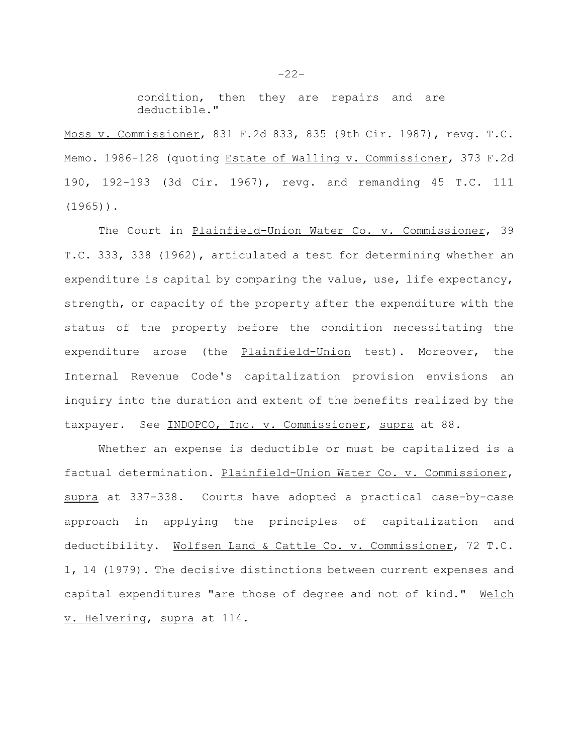condition, then they are repairs and are deductible."

Moss v. Commissioner, 831 F.2d 833, 835 (9th Cir. 1987), revg. T.C. Memo. 1986-128 (quoting Estate of Walling v. Commissioner, 373 F.2d 190, 192-193 (3d Cir. 1967), revg. and remanding 45 T.C. 111  $(1965)$ ).

The Court in Plainfield-Union Water Co. v. Commissioner, 39 T.C. 333, 338 (1962), articulated a test for determining whether an expenditure is capital by comparing the value, use, life expectancy, strength, or capacity of the property after the expenditure with the status of the property before the condition necessitating the expenditure arose (the Plainfield-Union test). Moreover, the Internal Revenue Code's capitalization provision envisions an inquiry into the duration and extent of the benefits realized by the taxpayer. See INDOPCO, Inc. v. Commissioner, supra at 88.

Whether an expense is deductible or must be capitalized is a factual determination. Plainfield-Union Water Co. v. Commissioner, supra at 337-338. Courts have adopted a practical case-by-case approach in applying the principles of capitalization and deductibility. Wolfsen Land & Cattle Co. v. Commissioner, 72 T.C. 1, 14 (1979). The decisive distinctions between current expenses and capital expenditures "are those of degree and not of kind." Welch v. Helvering, supra at 114.

 $-22-$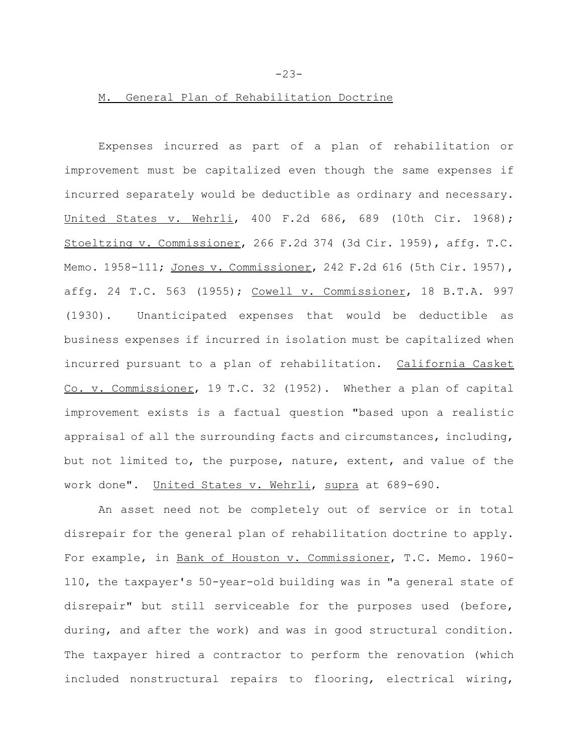# M. General Plan of Rehabilitation Doctrine

Expenses incurred as part of a plan of rehabilitation or improvement must be capitalized even though the same expenses if incurred separately would be deductible as ordinary and necessary. United States v. Wehrli, 400 F.2d 686, 689 (10th Cir. 1968); Stoeltzing v. Commissioner, 266 F.2d 374 (3d Cir. 1959), affg. T.C. Memo. 1958-111; Jones v. Commissioner, 242 F.2d 616 (5th Cir. 1957), affg. 24 T.C. 563 (1955); Cowell v. Commissioner, 18 B.T.A. 997 (1930). Unanticipated expenses that would be deductible as business expenses if incurred in isolation must be capitalized when incurred pursuant to a plan of rehabilitation. California Casket Co. v. Commissioner, 19 T.C. 32 (1952). Whether a plan of capital improvement exists is a factual question "based upon a realistic appraisal of all the surrounding facts and circumstances, including, but not limited to, the purpose, nature, extent, and value of the work done". United States v. Wehrli, supra at 689-690.

An asset need not be completely out of service or in total disrepair for the general plan of rehabilitation doctrine to apply. For example, in Bank of Houston v. Commissioner, T.C. Memo. 1960-110, the taxpayer's 50-year-old building was in "a general state of disrepair" but still serviceable for the purposes used (before, during, and after the work) and was in good structural condition. The taxpayer hired a contractor to perform the renovation (which included nonstructural repairs to flooring, electrical wiring,

 $-23-$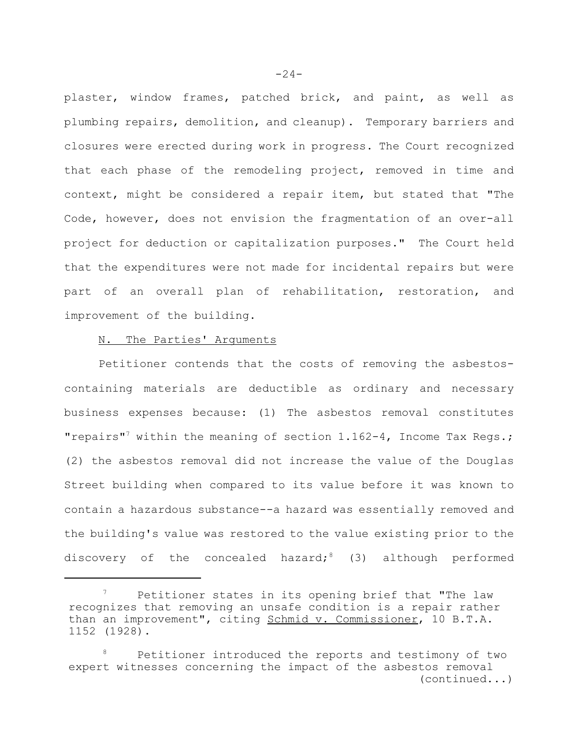plaster, window frames, patched brick, and paint, as well as plumbing repairs, demolition, and cleanup). Temporary barriers and closures were erected during work in progress. The Court recognized that each phase of the remodeling project, removed in time and context, might be considered a repair item, but stated that "The Code, however, does not envision the fragmentation of an over-all project for deduction or capitalization purposes." The Court held that the expenditures were not made for incidental repairs but were part of an overall plan of rehabilitation, restoration, and improvement of the building.

# N. The Parties' Arguments

Petitioner contends that the costs of removing the asbestoscontaining materials are deductible as ordinary and necessary business expenses because: (1) The asbestos removal constitutes "repairs"<sup>7</sup> within the meaning of section  $1.162-4$ , Income Tax Regs.; (2) the asbestos removal did not increase the value of the Douglas Street building when compared to its value before it was known to contain a hazardous substance--a hazard was essentially removed and the building's value was restored to the value existing prior to the discovery of the concealed hazard; $8$  (3) although performed

Petitioner states in its opening brief that "The law recognizes that removing an unsafe condition is a repair rather than an improvement", citing Schmid v. Commissioner, 10 B.T.A. 1152 (1928).

Petitioner introduced the reports and testimony of two expert witnesses concerning the impact of the asbestos removal (continued...)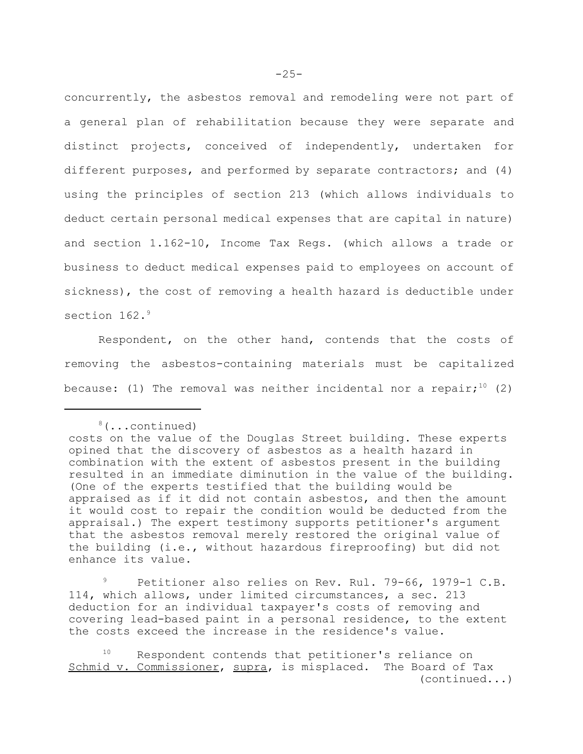concurrently, the asbestos removal and remodeling were not part of a general plan of rehabilitation because they were separate and distinct projects, conceived of independently, undertaken for different purposes, and performed by separate contractors; and (4) using the principles of section 213 (which allows individuals to deduct certain personal medical expenses that are capital in nature) and section 1.162-10, Income Tax Regs. (which allows a trade or business to deduct medical expenses paid to employees on account of sickness), the cost of removing a health hazard is deductible under section 162.<sup>9</sup>

Respondent, on the other hand, contends that the costs of removing the asbestos-containing materials must be capitalized because: (1) The removal was neither incidental nor a repair;<sup>10</sup> (2)

<sup>9</sup> Petitioner also relies on Rev. Rul. 79-66, 1979-1 C.B. 114, which allows, under limited circumstances, a sec. 213 deduction for an individual taxpayer's costs of removing and covering lead-based paint in a personal residence, to the extent the costs exceed the increase in the residence's value.

<sup>8(...</sup>continued)

costs on the value of the Douglas Street building. These experts opined that the discovery of asbestos as a health hazard in combination with the extent of asbestos present in the building resulted in an immediate diminution in the value of the building. (One of the experts testified that the building would be appraised as if it did not contain asbestos, and then the amount it would cost to repair the condition would be deducted from the appraisal.) The expert testimony supports petitioner's argument that the asbestos removal merely restored the original value of the building (i.e., without hazardous fireproofing) but did not enhance its value.

<sup>10</sup> Respondent contends that petitioner's reliance on Schmid v. Commissioner, supra, is misplaced. The Board of Tax (continued...)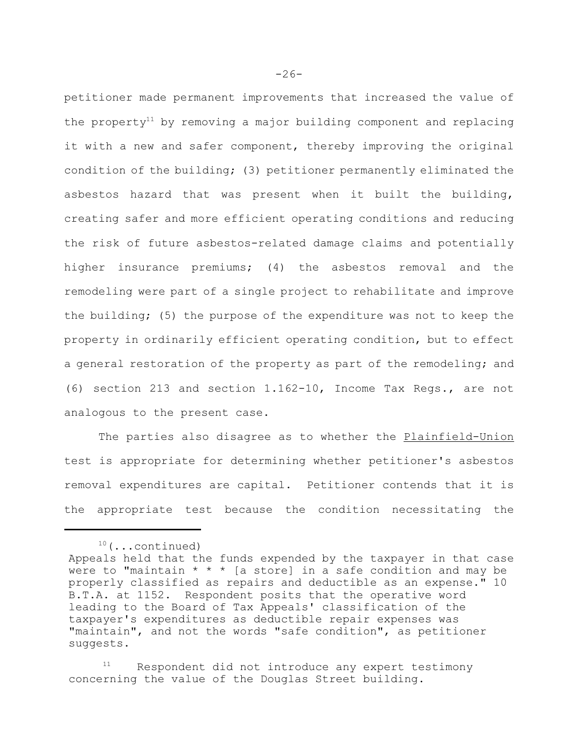petitioner made permanent improvements that increased the value of the property<sup>11</sup> by removing a major building component and replacing it with a new and safer component, thereby improving the original condition of the building; (3) petitioner permanently eliminated the asbestos hazard that was present when it built the building, creating safer and more efficient operating conditions and reducing the risk of future asbestos-related damage claims and potentially higher insurance premiums; (4) the asbestos removal and the remodeling were part of a single project to rehabilitate and improve the building; (5) the purpose of the expenditure was not to keep the property in ordinarily efficient operating condition, but to effect a general restoration of the property as part of the remodeling; and (6) section 213 and section 1.162-10, Income Tax Regs., are not analogous to the present case.

The parties also disagree as to whether the Plainfield-Union test is appropriate for determining whether petitioner's asbestos removal expenditures are capital. Petitioner contends that it is the appropriate test because the condition necessitating the

<sup>10(...</sup>continued) Appeals held that the funds expended by the taxpayer in that case were to "maintain  $* * *$  [a store] in a safe condition and may be properly classified as repairs and deductible as an expense." 10 B.T.A. at 1152. Respondent posits that the operative word leading to the Board of Tax Appeals' classification of the taxpayer's expenditures as deductible repair expenses was "maintain", and not the words "safe condition", as petitioner suggests.

Respondent did not introduce any expert testimony concerning the value of the Douglas Street building.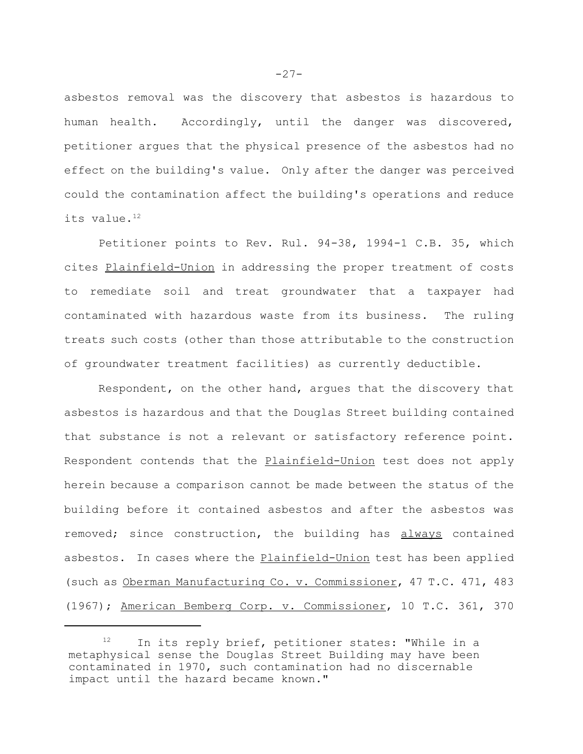asbestos removal was the discovery that asbestos is hazardous to human health. Accordingly, until the danger was discovered, petitioner argues that the physical presence of the asbestos had no effect on the building's value. Only after the danger was perceived could the contamination affect the building's operations and reduce its value.<sup>12</sup>

Petitioner points to Rev. Rul. 94-38, 1994-1 C.B. 35, which cites Plainfield-Union in addressing the proper treatment of costs to remediate soil and treat groundwater that a taxpayer had contaminated with hazardous waste from its business. The ruling treats such costs (other than those attributable to the construction of groundwater treatment facilities) as currently deductible.

Respondent, on the other hand, argues that the discovery that asbestos is hazardous and that the Douglas Street building contained that substance is not a relevant or satisfactory reference point. Respondent contends that the Plainfield-Union test does not apply herein because a comparison cannot be made between the status of the building before it contained asbestos and after the asbestos was removed; since construction, the building has always contained asbestos. In cases where the Plainfield-Union test has been applied (such as Oberman Manufacturing Co. v. Commissioner, 47 T.C. 471, 483 (1967); American Bemberg Corp. v. Commissioner, 10 T.C. 361, 370

 $-27-$ 

<sup>&</sup>lt;sup>12</sup> In its reply brief, petitioner states: "While in a metaphysical sense the Douglas Street Building may have been contaminated in 1970, such contamination had no discernable impact until the hazard became known."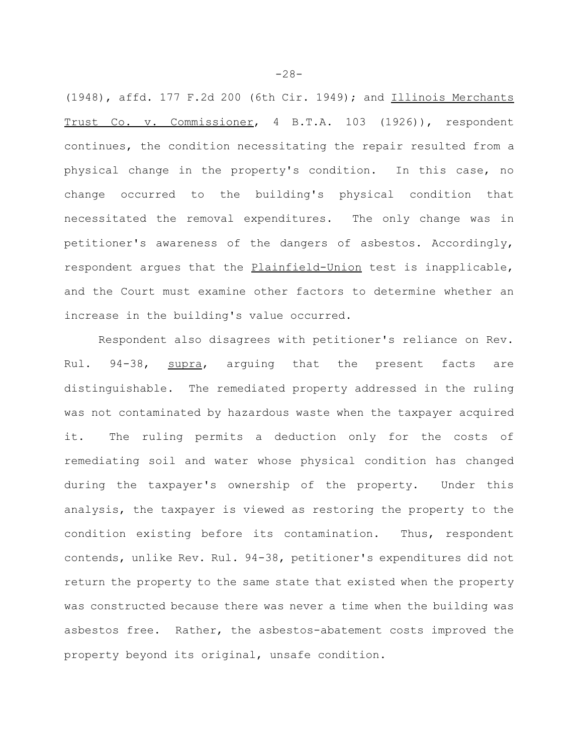(1948), affd. 177 F.2d 200 (6th Cir. 1949); and Illinois Merchants Trust Co. v. Commissioner, 4 B.T.A. 103 (1926)), respondent continues, the condition necessitating the repair resulted from a physical change in the property's condition. In this case, no change occurred to the building's physical condition that necessitated the removal expenditures. The only change was in petitioner's awareness of the dangers of asbestos. Accordingly, respondent argues that the Plainfield-Union test is inapplicable, and the Court must examine other factors to determine whether an increase in the building's value occurred.

Respondent also disagrees with petitioner's reliance on Rev. Rul. 94-38, supra, arguing that the present facts are distinguishable. The remediated property addressed in the ruling was not contaminated by hazardous waste when the taxpayer acquired it. The ruling permits a deduction only for the costs of remediating soil and water whose physical condition has changed during the taxpayer's ownership of the property. Under this analysis, the taxpayer is viewed as restoring the property to the condition existing before its contamination. Thus, respondent contends, unlike Rev. Rul. 94-38, petitioner's expenditures did not return the property to the same state that existed when the property was constructed because there was never a time when the building was asbestos free. Rather, the asbestos-abatement costs improved the property beyond its original, unsafe condition.

 $-28-$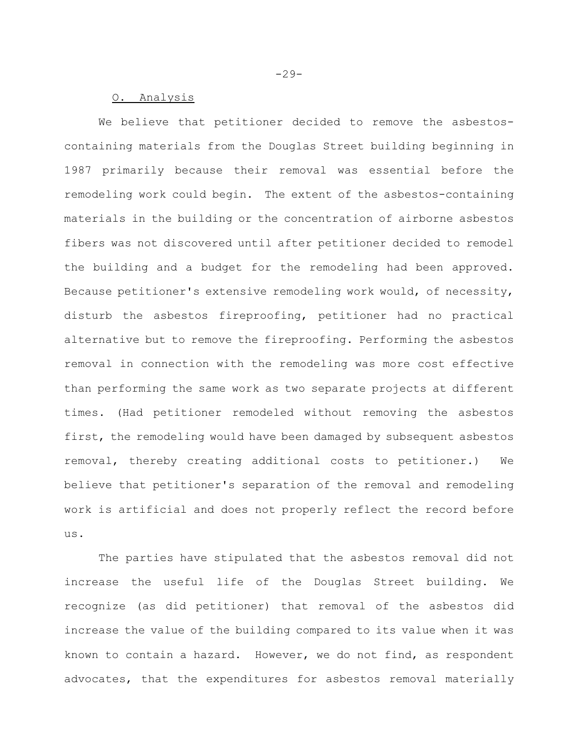### O. Analysis

We believe that petitioner decided to remove the asbestoscontaining materials from the Douglas Street building beginning in 1987 primarily because their removal was essential before the remodeling work could begin. The extent of the asbestos-containing materials in the building or the concentration of airborne asbestos fibers was not discovered until after petitioner decided to remodel the building and a budget for the remodeling had been approved. Because petitioner's extensive remodeling work would, of necessity, disturb the asbestos fireproofing, petitioner had no practical alternative but to remove the fireproofing. Performing the asbestos removal in connection with the remodeling was more cost effective than performing the same work as two separate projects at different times. (Had petitioner remodeled without removing the asbestos first, the remodeling would have been damaged by subsequent asbestos removal, thereby creating additional costs to petitioner.) We believe that petitioner's separation of the removal and remodeling work is artificial and does not properly reflect the record before us.

The parties have stipulated that the asbestos removal did not increase the useful life of the Douglas Street building. We recognize (as did petitioner) that removal of the asbestos did increase the value of the building compared to its value when it was known to contain a hazard. However, we do not find, as respondent advocates, that the expenditures for asbestos removal materially

 $-29-$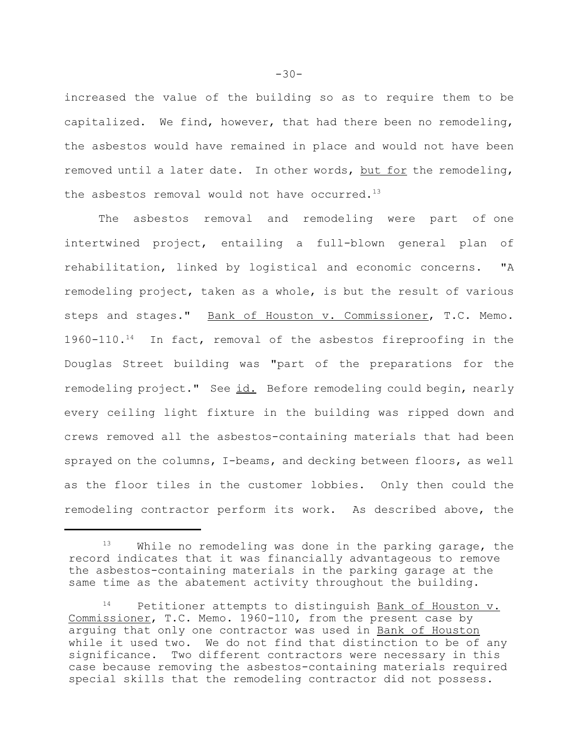increased the value of the building so as to require them to be capitalized. We find, however, that had there been no remodeling, the asbestos would have remained in place and would not have been removed until a later date. In other words, but for the remodeling, the asbestos removal would not have occurred. $^{13}$ 

The asbestos removal and remodeling were part of one intertwined project, entailing a full-blown general plan of rehabilitation, linked by logistical and economic concerns. "A remodeling project, taken as a whole, is but the result of various steps and stages." Bank of Houston v. Commissioner, T.C. Memo.  $1960-110.^{14}$  In fact, removal of the asbestos fireproofing in the Douglas Street building was "part of the preparations for the remodeling project." See id. Before remodeling could begin, nearly every ceiling light fixture in the building was ripped down and crews removed all the asbestos-containing materials that had been sprayed on the columns, I-beams, and decking between floors, as well as the floor tiles in the customer lobbies. Only then could the remodeling contractor perform its work. As described above, the

 $13$  While no remodeling was done in the parking garage, the record indicates that it was financially advantageous to remove the asbestos-containing materials in the parking garage at the same time as the abatement activity throughout the building.

<sup>&</sup>lt;sup>14</sup> Petitioner attempts to distinguish Bank of Houston v. Commissioner, T.C. Memo. 1960-110, from the present case by arguing that only one contractor was used in Bank of Houston while it used two. We do not find that distinction to be of any significance. Two different contractors were necessary in this case because removing the asbestos-containing materials required special skills that the remodeling contractor did not possess.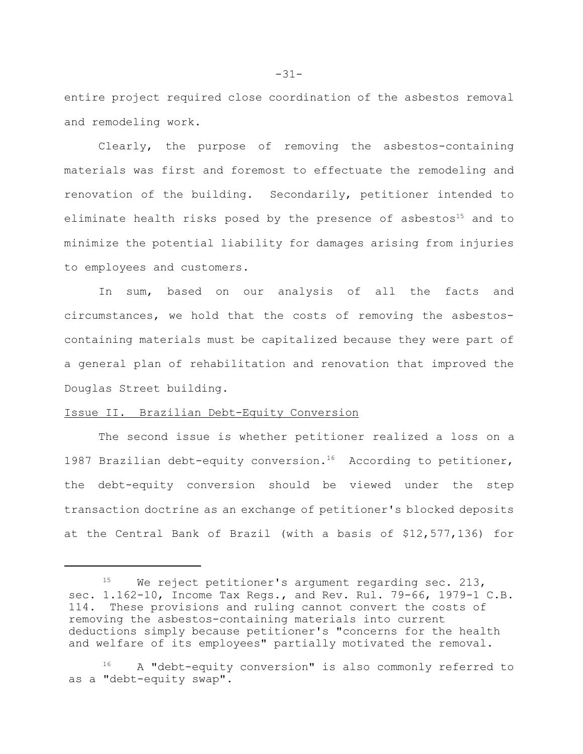entire project required close coordination of the asbestos removal and remodeling work.

Clearly, the purpose of removing the asbestos-containing materials was first and foremost to effectuate the remodeling and renovation of the building. Secondarily, petitioner intended to eliminate health risks posed by the presence of asbestos<sup>15</sup> and to minimize the potential liability for damages arising from injuries to employees and customers.

In sum, based on our analysis of all the facts and circumstances, we hold that the costs of removing the asbestoscontaining materials must be capitalized because they were part of a general plan of rehabilitation and renovation that improved the Douglas Street building.

### Issue II. Brazilian Debt-Equity Conversion

The second issue is whether petitioner realized a loss on a 1987 Brazilian debt-equity conversion.<sup>16</sup> According to petitioner, the debt-equity conversion should be viewed under the step transaction doctrine as an exchange of petitioner's blocked deposits at the Central Bank of Brazil (with a basis of \$12,577,136) for

 $15$  We reject petitioner's argument regarding sec. 213, sec. 1.162-10, Income Tax Regs., and Rev. Rul. 79-66, 1979-1 C.B. 114. These provisions and ruling cannot convert the costs of removing the asbestos-containing materials into current deductions simply because petitioner's "concerns for the health and welfare of its employees" partially motivated the removal.

<sup>16</sup> A "debt-equity conversion" is also commonly referred to as a "debt-equity swap".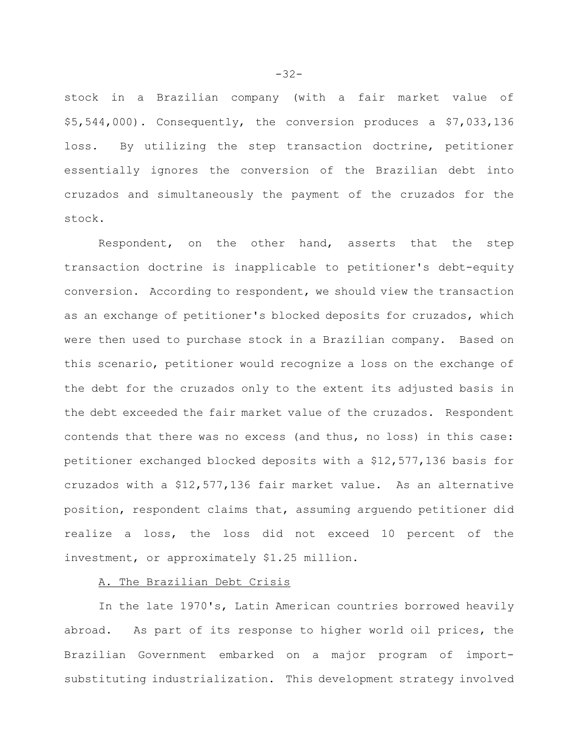stock in a Brazilian company (with a fair market value of \$5,544,000). Consequently, the conversion produces a \$7,033,136 loss. By utilizing the step transaction doctrine, petitioner essentially ignores the conversion of the Brazilian debt into cruzados and simultaneously the payment of the cruzados for the stock.

Respondent, on the other hand, asserts that the step transaction doctrine is inapplicable to petitioner's debt-equity conversion. According to respondent, we should view the transaction as an exchange of petitioner's blocked deposits for cruzados, which were then used to purchase stock in a Brazilian company. Based on this scenario, petitioner would recognize a loss on the exchange of the debt for the cruzados only to the extent its adjusted basis in the debt exceeded the fair market value of the cruzados. Respondent contends that there was no excess (and thus, no loss) in this case: petitioner exchanged blocked deposits with a \$12,577,136 basis for cruzados with a \$12,577,136 fair market value. As an alternative position, respondent claims that, assuming arguendo petitioner did realize a loss, the loss did not exceed 10 percent of the investment, or approximately \$1.25 million.

## A. The Brazilian Debt Crisis

In the late 1970's, Latin American countries borrowed heavily abroad. As part of its response to higher world oil prices, the Brazilian Government embarked on a major program of importsubstituting industrialization. This development strategy involved

 $-32-$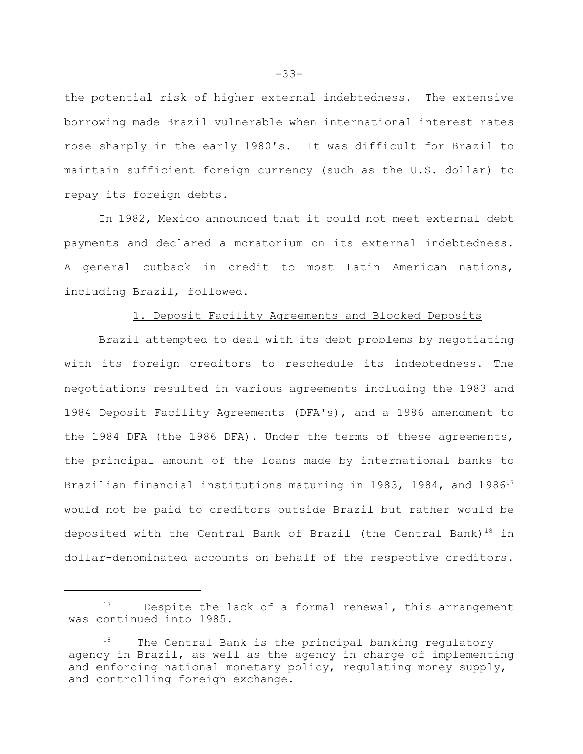the potential risk of higher external indebtedness. The extensive borrowing made Brazil vulnerable when international interest rates rose sharply in the early 1980's. It was difficult for Brazil to maintain sufficient foreign currency (such as the U.S. dollar) to repay its foreign debts.

In 1982, Mexico announced that it could not meet external debt payments and declared a moratorium on its external indebtedness. A general cutback in credit to most Latin American nations, including Brazil, followed.

### 1. Deposit Facility Agreements and Blocked Deposits

Brazil attempted to deal with its debt problems by negotiating with its foreign creditors to reschedule its indebtedness. The negotiations resulted in various agreements including the 1983 and 1984 Deposit Facility Agreements (DFA's), and a 1986 amendment to the 1984 DFA (the 1986 DFA). Under the terms of these agreements, the principal amount of the loans made by international banks to Brazilian financial institutions maturing in 1983, 1984, and  $1986^{17}$ would not be paid to creditors outside Brazil but rather would be deposited with the Central Bank of Brazil (the Central Bank)<sup>18</sup> in dollar-denominated accounts on behalf of the respective creditors.

-33-

<sup>&</sup>lt;sup>17</sup> Despite the lack of a formal renewal, this arrangement was continued into 1985.

 $18$  The Central Bank is the principal banking regulatory agency in Brazil, as well as the agency in charge of implementing and enforcing national monetary policy, regulating money supply, and controlling foreign exchange.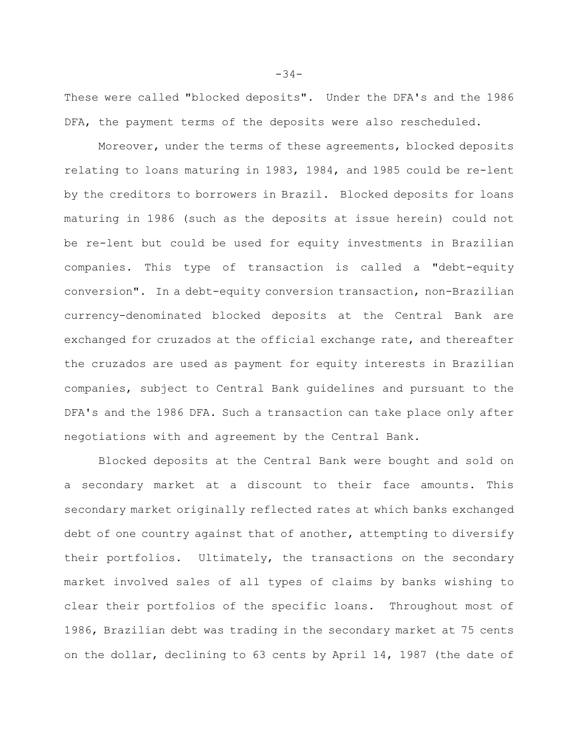These were called "blocked deposits". Under the DFA's and the 1986 DFA, the payment terms of the deposits were also rescheduled.

Moreover, under the terms of these agreements, blocked deposits relating to loans maturing in 1983, 1984, and 1985 could be re-lent by the creditors to borrowers in Brazil. Blocked deposits for loans maturing in 1986 (such as the deposits at issue herein) could not be re-lent but could be used for equity investments in Brazilian companies. This type of transaction is called a "debt-equity conversion". In a debt-equity conversion transaction, non-Brazilian currency-denominated blocked deposits at the Central Bank are exchanged for cruzados at the official exchange rate, and thereafter the cruzados are used as payment for equity interests in Brazilian companies, subject to Central Bank guidelines and pursuant to the DFA's and the 1986 DFA. Such a transaction can take place only after negotiations with and agreement by the Central Bank.

Blocked deposits at the Central Bank were bought and sold on a secondary market at a discount to their face amounts. This secondary market originally reflected rates at which banks exchanged debt of one country against that of another, attempting to diversify their portfolios. Ultimately, the transactions on the secondary market involved sales of all types of claims by banks wishing to clear their portfolios of the specific loans. Throughout most of 1986, Brazilian debt was trading in the secondary market at 75 cents on the dollar, declining to 63 cents by April 14, 1987 (the date of

-34-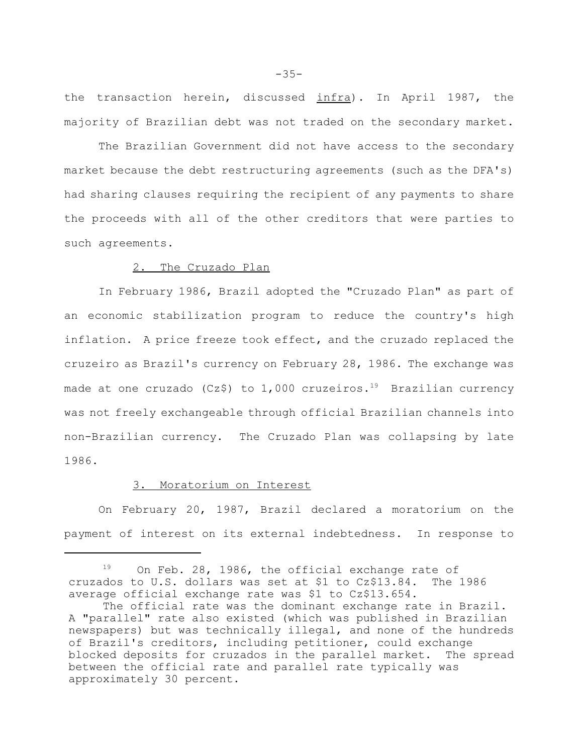the transaction herein, discussed infra). In April 1987, the majority of Brazilian debt was not traded on the secondary market.

The Brazilian Government did not have access to the secondary market because the debt restructuring agreements (such as the DFA's) had sharing clauses requiring the recipient of any payments to share the proceeds with all of the other creditors that were parties to such agreements.

## 2. The Cruzado Plan

In February 1986, Brazil adopted the "Cruzado Plan" as part of an economic stabilization program to reduce the country's high inflation. A price freeze took effect, and the cruzado replaced the cruzeiro as Brazil's currency on February 28, 1986. The exchange was made at one cruzado (Cz\$) to 1,000 cruzeiros.<sup>19</sup> Brazilian currency was not freely exchangeable through official Brazilian channels into non-Brazilian currency. The Cruzado Plan was collapsing by late 1986.

### 3. Moratorium on Interest

On February 20, 1987, Brazil declared a moratorium on the payment of interest on its external indebtedness. In response to

<sup>&</sup>lt;sup>19</sup> On Feb. 28, 1986, the official exchange rate of cruzados to U.S. dollars was set at \$1 to Cz\$13.84. The 1986 average official exchange rate was \$1 to Cz\$13.654.

The official rate was the dominant exchange rate in Brazil. A "parallel" rate also existed (which was published in Brazilian newspapers) but was technically illegal, and none of the hundreds of Brazil's creditors, including petitioner, could exchange blocked deposits for cruzados in the parallel market. The spread between the official rate and parallel rate typically was approximately 30 percent.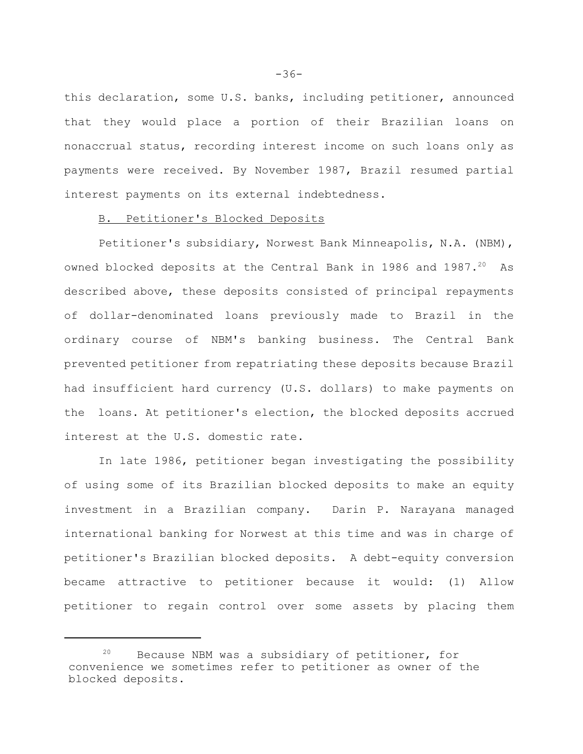this declaration, some U.S. banks, including petitioner, announced that they would place a portion of their Brazilian loans on nonaccrual status, recording interest income on such loans only as payments were received. By November 1987, Brazil resumed partial interest payments on its external indebtedness.

### B. Petitioner's Blocked Deposits

Petitioner's subsidiary, Norwest Bank Minneapolis, N.A. (NBM), owned blocked deposits at the Central Bank in 1986 and 1987.<sup>20</sup> As described above, these deposits consisted of principal repayments of dollar-denominated loans previously made to Brazil in the ordinary course of NBM's banking business. The Central Bank prevented petitioner from repatriating these deposits because Brazil had insufficient hard currency (U.S. dollars) to make payments on the loans. At petitioner's election, the blocked deposits accrued interest at the U.S. domestic rate.

In late 1986, petitioner began investigating the possibility of using some of its Brazilian blocked deposits to make an equity investment in a Brazilian company. Darin P. Narayana managed international banking for Norwest at this time and was in charge of petitioner's Brazilian blocked deposits. A debt-equity conversion became attractive to petitioner because it would: (1) Allow petitioner to regain control over some assets by placing them

-36-

<sup>&</sup>lt;sup>20</sup> Because NBM was a subsidiary of petitioner, for convenience we sometimes refer to petitioner as owner of the blocked deposits.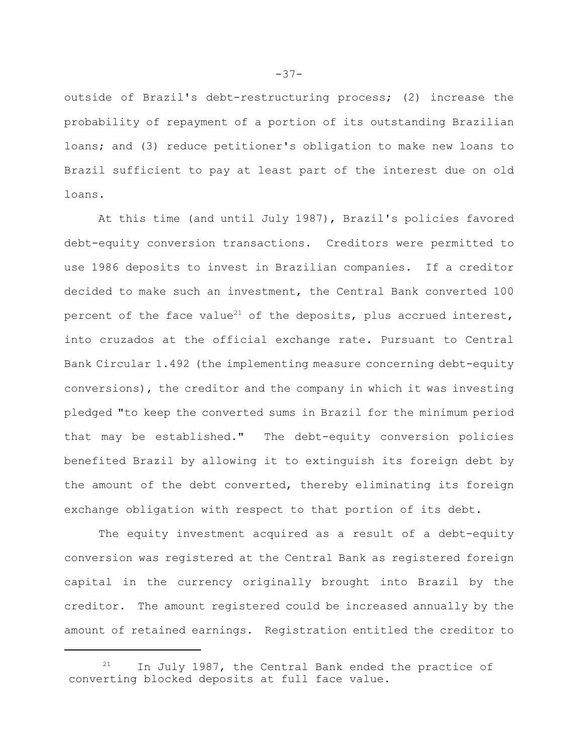outside of Brazil's debt-restructuring process; (2) increase the probability of repayment of a portion of its outstanding Brazilian loans; and (3) reduce petitioner's obligation to make new loans to Brazil sufficient to pay at least part of the interest due on old loans.

At this time (and until July 1987), Brazil's policies favored debt-equity conversion transactions. Creditors were permitted to use 1986 deposits to invest in Brazilian companies. If a creditor decided to make such an investment, the Central Bank converted 100 percent of the face value<sup>21</sup> of the deposits, plus accrued interest, into cruzados at the official exchange rate. Pursuant to Central Bank Circular 1.492 (the implementing measure concerning debt-equity conversions), the creditor and the company in which it was investing pledged "to keep the converted sums in Brazil for the minimum period that may be established." The debt-equity conversion policies benefited Brazil by allowing it to extinguish its foreign debt by the amount of the debt converted, thereby eliminating its foreign exchange obligation with respect to that portion of its debt.

The equity investment acquired as a result of a debt-equity conversion was registered at the Central Bank as registered foreign capital in the currency originally brought into Brazil by the creditor. The amount registered could be increased annually by the amount of retained earnings. Registration entitled the creditor to

-37-

In July 1987, the Central Bank ended the practice of converting blocked deposits at full face value.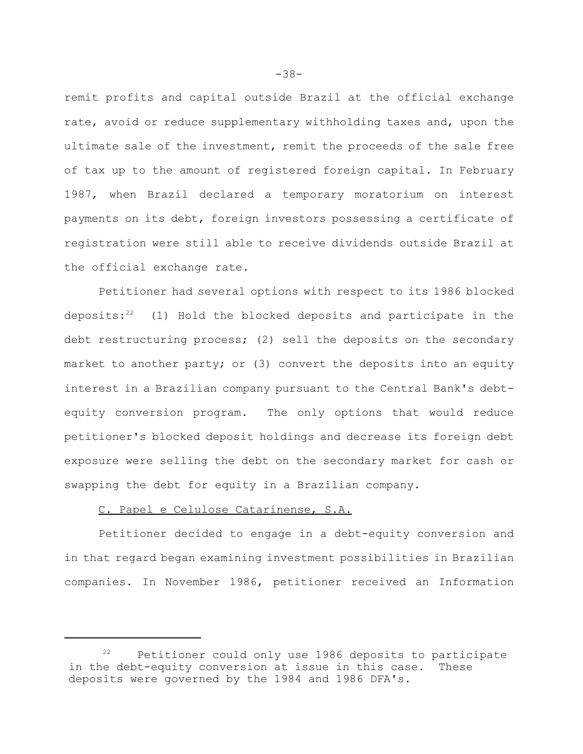remit profits and capital outside Brazil at the official exchange rate, avoid or reduce supplementary withholding taxes and, upon the ultimate sale of the investment, remit the proceeds of the sale free of tax up to the amount of registered foreign capital. In February 1987, when Brazil declared a temporary moratorium on interest payments on its debt, foreign investors possessing a certificate of registration were still able to receive dividends outside Brazil at the official exchange rate.

Petitioner had several options with respect to its 1986 blocked deposits: $^{22}$  (1) Hold the blocked deposits and participate in the debt restructuring process; (2) sell the deposits on the secondary market to another party; or (3) convert the deposits into an equity interest in a Brazilian company pursuant to the Central Bank's debtequity conversion program. The only options that would reduce petitioner's blocked deposit holdings and decrease its foreign debt exposure were selling the debt on the secondary market for cash or swapping the debt for equity in a Brazilian company.

# C. Papel e Celulose Catarinense, S.A.

Petitioner decided to engage in a debt-equity conversion and in that regard began examining investment possibilities in Brazilian companies. In November 1986, petitioner received an Information

<sup>&</sup>lt;sup>22</sup> Petitioner could only use 1986 deposits to participate in the debt-equity conversion at issue in this case. These deposits were governed by the 1984 and 1986 DFA's.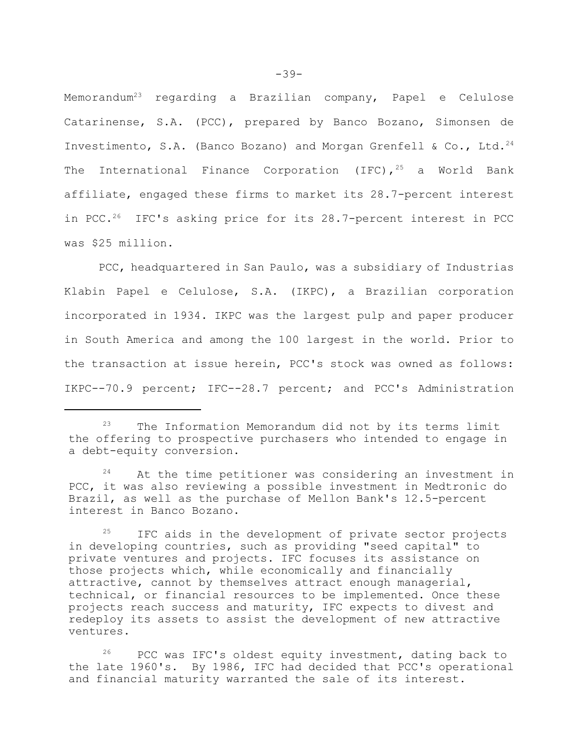Memorandum23 regarding a Brazilian company, Papel e Celulose Catarinense, S.A. (PCC), prepared by Banco Bozano, Simonsen de Investimento, S.A. (Banco Bozano) and Morgan Grenfell & Co., Ltd.<sup>24</sup> The International Finance Corporation (IFC),  $25$  a World Bank affiliate, engaged these firms to market its 28.7-percent interest in PCC.<sup>26</sup> IFC's asking price for its 28.7-percent interest in PCC was \$25 million.

PCC, headquartered in San Paulo, was a subsidiary of Industrias Klabin Papel e Celulose, S.A. (IKPC), a Brazilian corporation incorporated in 1934. IKPC was the largest pulp and paper producer in South America and among the 100 largest in the world. Prior to the transaction at issue herein, PCC's stock was owned as follows: IKPC--70.9 percent; IFC--28.7 percent; and PCC's Administration

 $24$  At the time petitioner was considering an investment in PCC, it was also reviewing a possible investment in Medtronic do Brazil, as well as the purchase of Mellon Bank's 12.5-percent interest in Banco Bozano.

IFC aids in the development of private sector projects in developing countries, such as providing "seed capital" to private ventures and projects. IFC focuses its assistance on those projects which, while economically and financially attractive, cannot by themselves attract enough managerial, technical, or financial resources to be implemented. Once these projects reach success and maturity, IFC expects to divest and redeploy its assets to assist the development of new attractive ventures.

<sup>26</sup> PCC was IFC's oldest equity investment, dating back to the late 1960's. By 1986, IFC had decided that PCC's operational and financial maturity warranted the sale of its interest.

 $23$  The Information Memorandum did not by its terms limit the offering to prospective purchasers who intended to engage in a debt-equity conversion.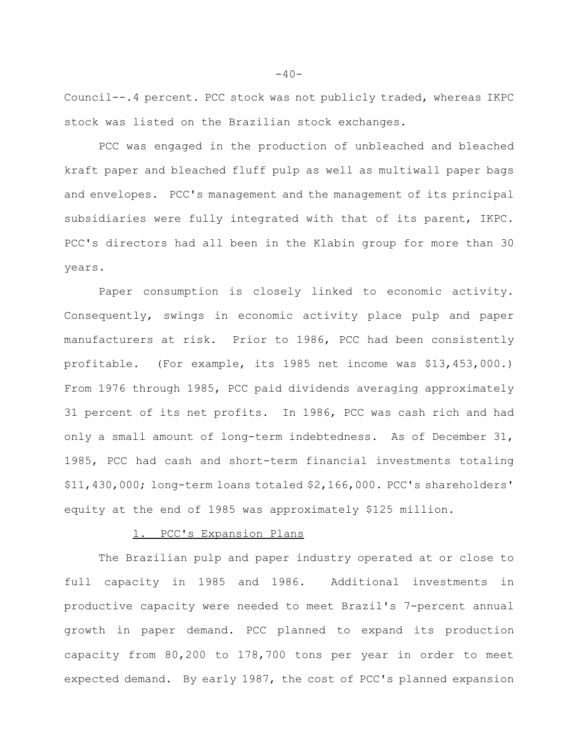Council--.4 percent. PCC stock was not publicly traded, whereas IKPC stock was listed on the Brazilian stock exchanges.

PCC was engaged in the production of unbleached and bleached kraft paper and bleached fluff pulp as well as multiwall paper bags and envelopes. PCC's management and the management of its principal subsidiaries were fully integrated with that of its parent, IKPC. PCC's directors had all been in the Klabin group for more than 30 years.

Paper consumption is closely linked to economic activity. Consequently, swings in economic activity place pulp and paper manufacturers at risk. Prior to 1986, PCC had been consistently profitable. (For example, its 1985 net income was \$13,453,000.) From 1976 through 1985, PCC paid dividends averaging approximately 31 percent of its net profits. In 1986, PCC was cash rich and had only a small amount of long-term indebtedness. As of December 31, 1985, PCC had cash and short-term financial investments totaling \$11,430,000; long-term loans totaled \$2,166,000. PCC's shareholders' equity at the end of 1985 was approximately \$125 million.

## 1. PCC's Expansion Plans

The Brazilian pulp and paper industry operated at or close to full capacity in 1985 and 1986. Additional investments in productive capacity were needed to meet Brazil's 7-percent annual growth in paper demand. PCC planned to expand its production capacity from 80,200 to 178,700 tons per year in order to meet expected demand. By early 1987, the cost of PCC's planned expansion

 $-40-$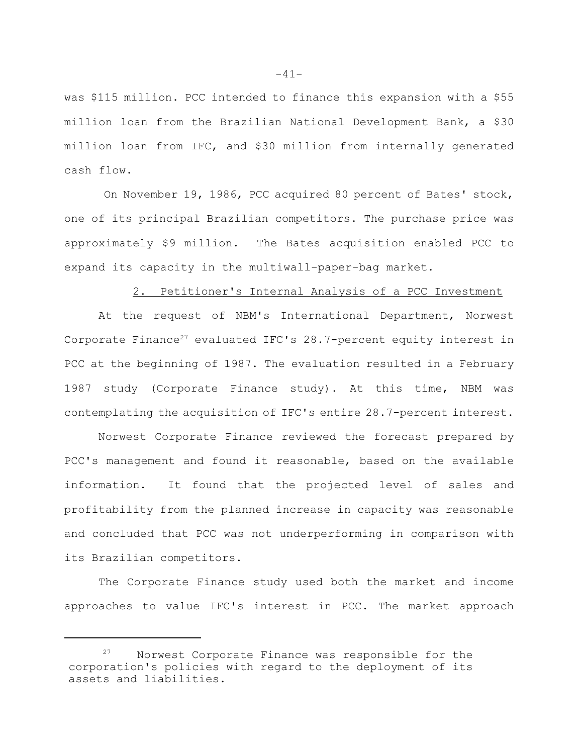was \$115 million. PCC intended to finance this expansion with a \$55 million loan from the Brazilian National Development Bank, a \$30 million loan from IFC, and \$30 million from internally generated cash flow.

On November 19, 1986, PCC acquired 80 percent of Bates' stock, one of its principal Brazilian competitors. The purchase price was approximately \$9 million. The Bates acquisition enabled PCC to expand its capacity in the multiwall-paper-bag market.

## 2. Petitioner's Internal Analysis of a PCC Investment

At the request of NBM's International Department, Norwest Corporate Finance<sup>27</sup> evaluated IFC's 28.7-percent equity interest in PCC at the beginning of 1987. The evaluation resulted in a February 1987 study (Corporate Finance study). At this time, NBM was contemplating the acquisition of IFC's entire 28.7-percent interest.

Norwest Corporate Finance reviewed the forecast prepared by PCC's management and found it reasonable, based on the available information. It found that the projected level of sales and profitability from the planned increase in capacity was reasonable and concluded that PCC was not underperforming in comparison with its Brazilian competitors.

The Corporate Finance study used both the market and income approaches to value IFC's interest in PCC. The market approach

<sup>27</sup> Norwest Corporate Finance was responsible for the corporation's policies with regard to the deployment of its assets and liabilities.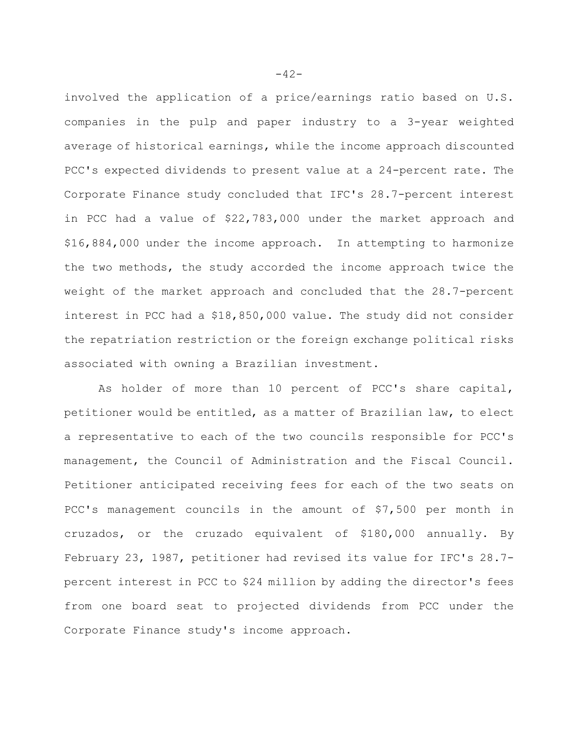involved the application of a price/earnings ratio based on U.S. companies in the pulp and paper industry to a 3-year weighted average of historical earnings, while the income approach discounted PCC's expected dividends to present value at a 24-percent rate. The Corporate Finance study concluded that IFC's 28.7-percent interest in PCC had a value of \$22,783,000 under the market approach and \$16,884,000 under the income approach. In attempting to harmonize the two methods, the study accorded the income approach twice the weight of the market approach and concluded that the 28.7-percent interest in PCC had a \$18,850,000 value. The study did not consider the repatriation restriction or the foreign exchange political risks associated with owning a Brazilian investment.

As holder of more than 10 percent of PCC's share capital, petitioner would be entitled, as a matter of Brazilian law, to elect a representative to each of the two councils responsible for PCC's management, the Council of Administration and the Fiscal Council. Petitioner anticipated receiving fees for each of the two seats on PCC's management councils in the amount of \$7,500 per month in cruzados, or the cruzado equivalent of \$180,000 annually. By February 23, 1987, petitioner had revised its value for IFC's 28.7 percent interest in PCC to \$24 million by adding the director's fees from one board seat to projected dividends from PCC under the Corporate Finance study's income approach.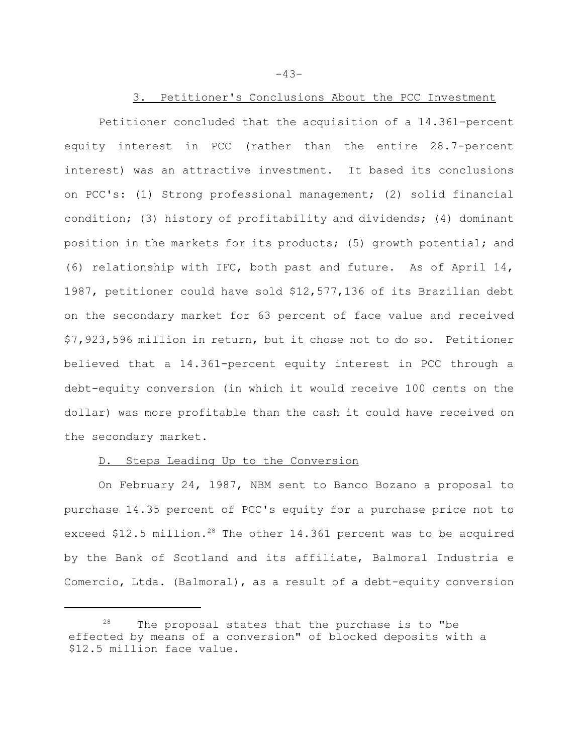$-43-$ 

# 3. Petitioner's Conclusions About the PCC Investment

Petitioner concluded that the acquisition of a 14.361-percent equity interest in PCC (rather than the entire 28.7-percent interest) was an attractive investment. It based its conclusions on PCC's: (1) Strong professional management; (2) solid financial condition; (3) history of profitability and dividends; (4) dominant position in the markets for its products; (5) growth potential; and (6) relationship with IFC, both past and future. As of April 14, 1987, petitioner could have sold \$12,577,136 of its Brazilian debt on the secondary market for 63 percent of face value and received \$7,923,596 million in return, but it chose not to do so. Petitioner believed that a 14.361-percent equity interest in PCC through a debt-equity conversion (in which it would receive 100 cents on the dollar) was more profitable than the cash it could have received on the secondary market.

# D. Steps Leading Up to the Conversion

On February 24, 1987, NBM sent to Banco Bozano a proposal to purchase 14.35 percent of PCC's equity for a purchase price not to exceed \$12.5 million.<sup>28</sup> The other 14.361 percent was to be acquired by the Bank of Scotland and its affiliate, Balmoral Industria e Comercio, Ltda. (Balmoral), as a result of a debt-equity conversion

 $28$  The proposal states that the purchase is to "be effected by means of a conversion" of blocked deposits with a \$12.5 million face value.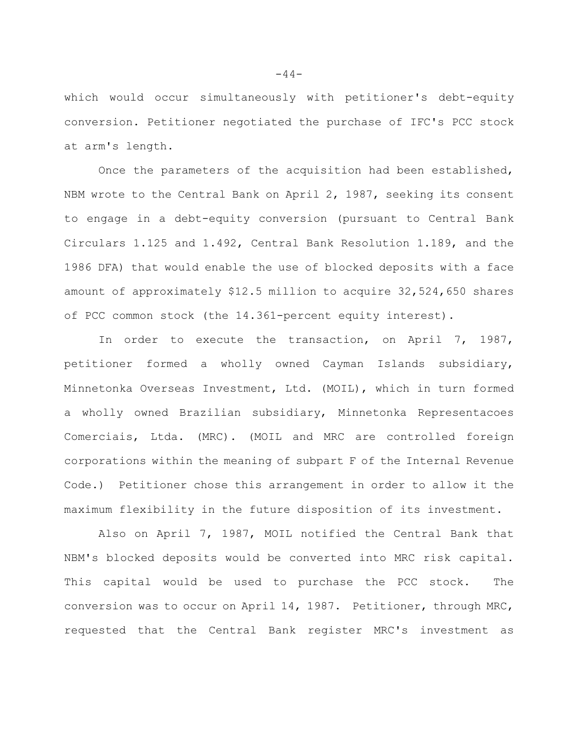which would occur simultaneously with petitioner's debt-equity conversion. Petitioner negotiated the purchase of IFC's PCC stock at arm's length.

Once the parameters of the acquisition had been established, NBM wrote to the Central Bank on April 2, 1987, seeking its consent to engage in a debt-equity conversion (pursuant to Central Bank Circulars 1.125 and 1.492, Central Bank Resolution 1.189, and the 1986 DFA) that would enable the use of blocked deposits with a face amount of approximately \$12.5 million to acquire 32,524,650 shares of PCC common stock (the 14.361-percent equity interest).

In order to execute the transaction, on April 7, 1987, petitioner formed a wholly owned Cayman Islands subsidiary, Minnetonka Overseas Investment, Ltd. (MOIL), which in turn formed a wholly owned Brazilian subsidiary, Minnetonka Representacoes Comerciais, Ltda. (MRC). (MOIL and MRC are controlled foreign corporations within the meaning of subpart F of the Internal Revenue Code.) Petitioner chose this arrangement in order to allow it the maximum flexibility in the future disposition of its investment.

Also on April 7, 1987, MOIL notified the Central Bank that NBM's blocked deposits would be converted into MRC risk capital. This capital would be used to purchase the PCC stock. The conversion was to occur on April 14, 1987. Petitioner, through MRC, requested that the Central Bank register MRC's investment as

 $-44-$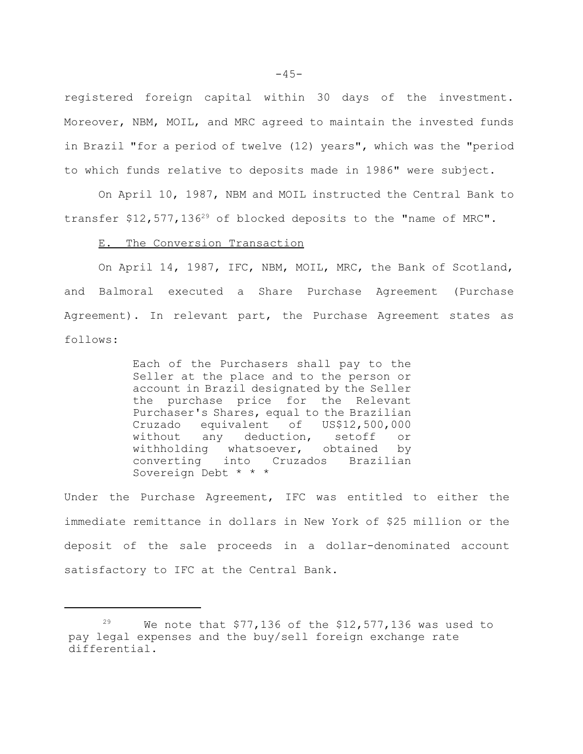registered foreign capital within 30 days of the investment. Moreover, NBM, MOIL, and MRC agreed to maintain the invested funds in Brazil "for a period of twelve (12) years", which was the "period to which funds relative to deposits made in 1986" were subject.

On April 10, 1987, NBM and MOIL instructed the Central Bank to transfer  $$12,577,136^{29}$  of blocked deposits to the "name of MRC".

#### E. The Conversion Transaction

On April 14, 1987, IFC, NBM, MOIL, MRC, the Bank of Scotland, and Balmoral executed a Share Purchase Agreement (Purchase Agreement). In relevant part, the Purchase Agreement states as follows:

> Each of the Purchasers shall pay to the Seller at the place and to the person or account in Brazil designated by the Seller the purchase price for the Relevant Purchaser's Shares, equal to the Brazilian Cruzado equivalent of US\$12,500,000 without any deduction, setoff or withholding whatsoever, obtained by converting into Cruzados Brazilian Sovereign Debt \* \* \*

Under the Purchase Agreement, IFC was entitled to either the immediate remittance in dollars in New York of \$25 million or the deposit of the sale proceeds in a dollar-denominated account satisfactory to IFC at the Central Bank.

We note that  $$77,136$  of the  $$12,577,136$  was used to pay legal expenses and the buy/sell foreign exchange rate differential.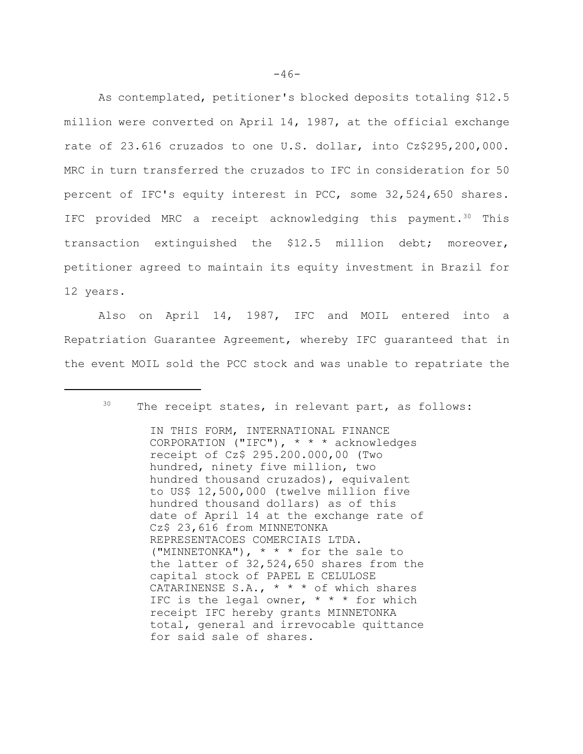As contemplated, petitioner's blocked deposits totaling \$12.5 million were converted on April 14, 1987, at the official exchange rate of 23.616 cruzados to one U.S. dollar, into Cz\$295,200,000. MRC in turn transferred the cruzados to IFC in consideration for 50 percent of IFC's equity interest in PCC, some 32,524,650 shares. IFC provided MRC a receipt acknowledging this payment.<sup>30</sup> This transaction extinguished the \$12.5 million debt; moreover, petitioner agreed to maintain its equity investment in Brazil for 12 years.

Also on April 14, 1987, IFC and MOIL entered into a Repatriation Guarantee Agreement, whereby IFC guaranteed that in the event MOIL sold the PCC stock and was unable to repatriate the

IN THIS FORM, INTERNATIONAL FINANCE CORPORATION ("IFC"), \* \* \* acknowledges receipt of Cz\$ 295.200.000,00 (Two hundred, ninety five million, two hundred thousand cruzados), equivalent to US\$ 12,500,000 (twelve million five hundred thousand dollars) as of this date of April 14 at the exchange rate of Cz\$ 23,616 from MINNETONKA REPRESENTACOES COMERCIAIS LTDA. ("MINNETONKA"), \* \* \* for the sale to the latter of 32,524,650 shares from the capital stock of PAPEL E CELULOSE CATARINENSE  $S.A., * * * of which shares$ IFC is the legal owner,  $* * *$  for which receipt IFC hereby grants MINNETONKA total, general and irrevocable quittance for said sale of shares.

<sup>&</sup>lt;sup>30</sup> The receipt states, in relevant part, as follows: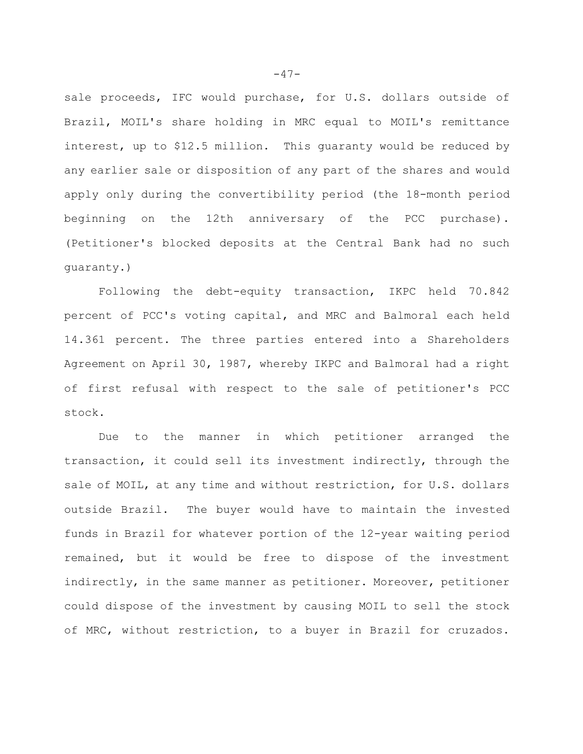sale proceeds, IFC would purchase, for U.S. dollars outside of Brazil, MOIL's share holding in MRC equal to MOIL's remittance interest, up to \$12.5 million. This guaranty would be reduced by any earlier sale or disposition of any part of the shares and would apply only during the convertibility period (the 18-month period beginning on the 12th anniversary of the PCC purchase). (Petitioner's blocked deposits at the Central Bank had no such guaranty.)

Following the debt-equity transaction, IKPC held 70.842 percent of PCC's voting capital, and MRC and Balmoral each held 14.361 percent. The three parties entered into a Shareholders Agreement on April 30, 1987, whereby IKPC and Balmoral had a right of first refusal with respect to the sale of petitioner's PCC stock.

Due to the manner in which petitioner arranged the transaction, it could sell its investment indirectly, through the sale of MOIL, at any time and without restriction, for U.S. dollars outside Brazil. The buyer would have to maintain the invested funds in Brazil for whatever portion of the 12-year waiting period remained, but it would be free to dispose of the investment indirectly, in the same manner as petitioner. Moreover, petitioner could dispose of the investment by causing MOIL to sell the stock of MRC, without restriction, to a buyer in Brazil for cruzados.

 $-47-$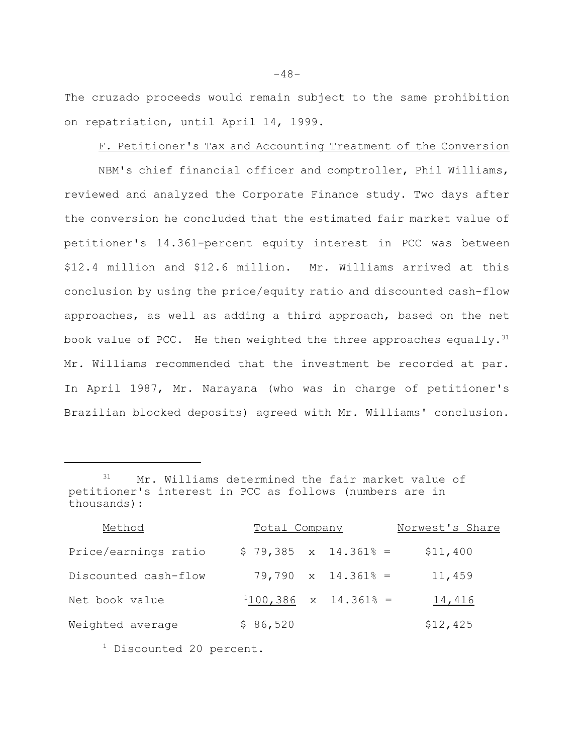The cruzado proceeds would remain subject to the same prohibition on repatriation, until April 14, 1999.

## F. Petitioner's Tax and Accounting Treatment of the Conversion

NBM's chief financial officer and comptroller, Phil Williams, reviewed and analyzed the Corporate Finance study. Two days after the conversion he concluded that the estimated fair market value of petitioner's 14.361-percent equity interest in PCC was between \$12.4 million and \$12.6 million. Mr. Williams arrived at this conclusion by using the price/equity ratio and discounted cash-flow approaches, as well as adding a third approach, based on the net book value of PCC. He then weighted the three approaches equally.<sup>31</sup> Mr. Williams recommended that the investment be recorded at par. In April 1987, Mr. Narayana (who was in charge of petitioner's Brazilian blocked deposits) agreed with Mr. Williams' conclusion.

<sup>&</sup>lt;sup>31</sup> Mr. Williams determined the fair market value of petitioner's interest in PCC as follows (numbers are in thousands):

| Method               | Total Company                          | Norwest's Share |
|----------------------|----------------------------------------|-----------------|
| Price/earnings ratio | $$79,385 \times 14.361$ <sup>2</sup> = | \$11,400        |
| Discounted cash-flow | $79,790 \times 14.361\$ =              | 11,459          |
| Net book value       | $1100,386 \times 14.3618 =$            | 14,416          |
| Weighted average     | \$86,520                               | \$12,425        |

<sup>1</sup> Discounted 20 percent.

-48-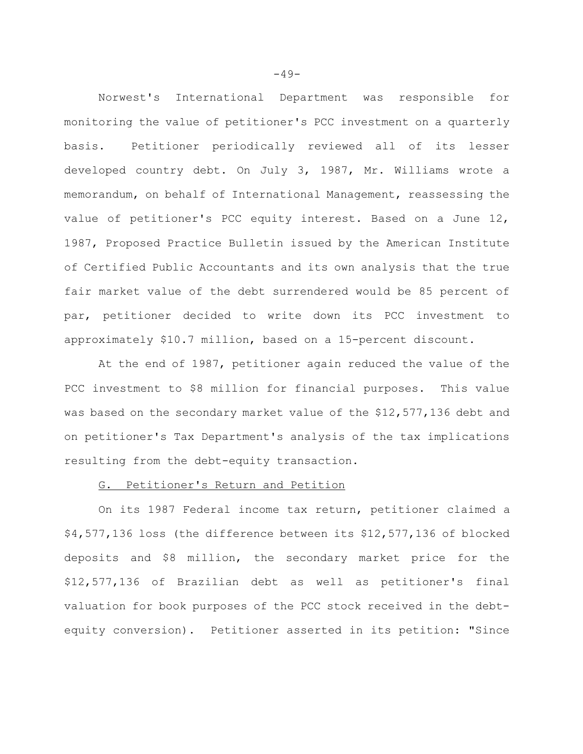Norwest's International Department was responsible for monitoring the value of petitioner's PCC investment on a quarterly basis. Petitioner periodically reviewed all of its lesser developed country debt. On July 3, 1987, Mr. Williams wrote a memorandum, on behalf of International Management, reassessing the value of petitioner's PCC equity interest. Based on a June 12, 1987, Proposed Practice Bulletin issued by the American Institute of Certified Public Accountants and its own analysis that the true fair market value of the debt surrendered would be 85 percent of par, petitioner decided to write down its PCC investment to approximately \$10.7 million, based on a 15-percent discount.

At the end of 1987, petitioner again reduced the value of the PCC investment to \$8 million for financial purposes. This value was based on the secondary market value of the \$12,577,136 debt and on petitioner's Tax Department's analysis of the tax implications resulting from the debt-equity transaction.

# G. Petitioner's Return and Petition

On its 1987 Federal income tax return, petitioner claimed a \$4,577,136 loss (the difference between its \$12,577,136 of blocked deposits and \$8 million, the secondary market price for the \$12,577,136 of Brazilian debt as well as petitioner's final valuation for book purposes of the PCC stock received in the debtequity conversion). Petitioner asserted in its petition: "Since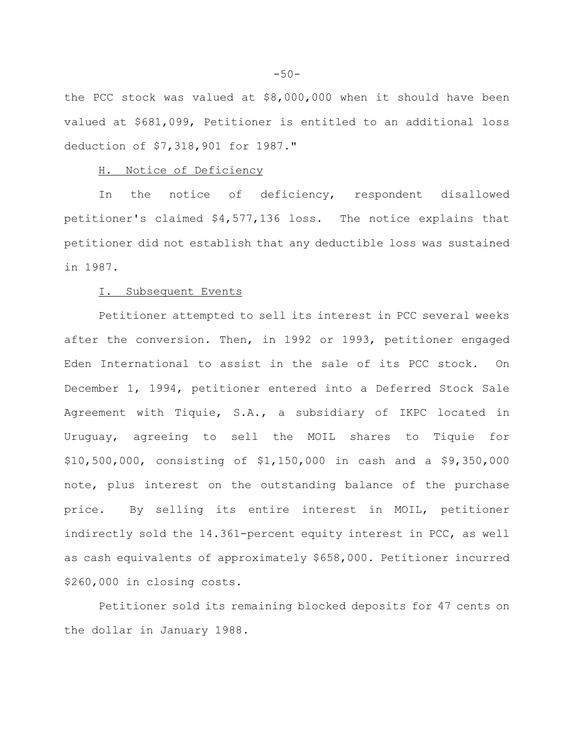the PCC stock was valued at \$8,000,000 when it should have been valued at \$681,099, Petitioner is entitled to an additional loss deduction of \$7,318,901 for 1987."

# H. Notice of Deficiency

In the notice of deficiency, respondent disallowed petitioner's claimed \$4,577,136 loss. The notice explains that petitioner did not establish that any deductible loss was sustained in 1987.

#### I. Subsequent Events

Petitioner attempted to sell its interest in PCC several weeks after the conversion. Then, in 1992 or 1993, petitioner engaged Eden International to assist in the sale of its PCC stock. On December 1, 1994, petitioner entered into a Deferred Stock Sale Agreement with Tiquie, S.A., a subsidiary of IKPC located in Uruguay, agreeing to sell the MOIL shares to Tiquie for \$10,500,000, consisting of \$1,150,000 in cash and a \$9,350,000 note, plus interest on the outstanding balance of the purchase price. By selling its entire interest in MOIL, petitioner indirectly sold the 14.361-percent equity interest in PCC, as well as cash equivalents of approximately \$658,000. Petitioner incurred \$260,000 in closing costs.

Petitioner sold its remaining blocked deposits for 47 cents on the dollar in January 1988.

 $-50-$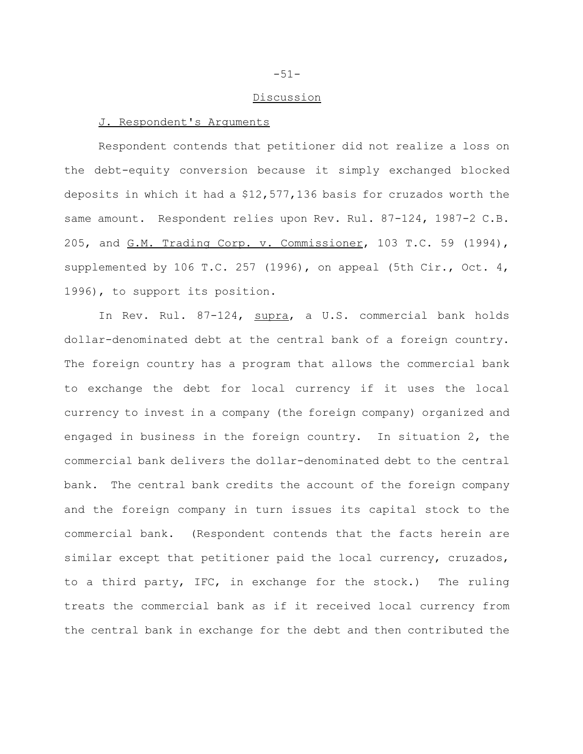#### Discussion

#### J. Respondent's Arguments

Respondent contends that petitioner did not realize a loss on the debt-equity conversion because it simply exchanged blocked deposits in which it had a \$12,577,136 basis for cruzados worth the same amount. Respondent relies upon Rev. Rul. 87-124, 1987-2 C.B. 205, and G.M. Trading Corp. v. Commissioner, 103 T.C. 59 (1994), supplemented by 106 T.C. 257 (1996), on appeal (5th Cir., Oct. 4, 1996), to support its position.

In Rev. Rul. 87-124, supra, a U.S. commercial bank holds dollar-denominated debt at the central bank of a foreign country. The foreign country has a program that allows the commercial bank to exchange the debt for local currency if it uses the local currency to invest in a company (the foreign company) organized and engaged in business in the foreign country. In situation 2, the commercial bank delivers the dollar-denominated debt to the central bank. The central bank credits the account of the foreign company and the foreign company in turn issues its capital stock to the commercial bank. (Respondent contends that the facts herein are similar except that petitioner paid the local currency, cruzados, to a third party, IFC, in exchange for the stock.) The ruling treats the commercial bank as if it received local currency from the central bank in exchange for the debt and then contributed the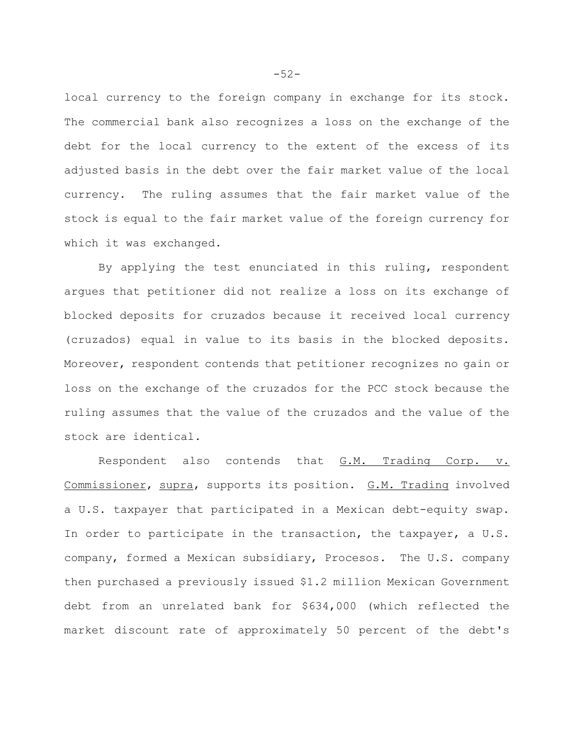local currency to the foreign company in exchange for its stock. The commercial bank also recognizes a loss on the exchange of the debt for the local currency to the extent of the excess of its adjusted basis in the debt over the fair market value of the local currency. The ruling assumes that the fair market value of the stock is equal to the fair market value of the foreign currency for which it was exchanged.

By applying the test enunciated in this ruling, respondent argues that petitioner did not realize a loss on its exchange of blocked deposits for cruzados because it received local currency (cruzados) equal in value to its basis in the blocked deposits. Moreover, respondent contends that petitioner recognizes no gain or loss on the exchange of the cruzados for the PCC stock because the ruling assumes that the value of the cruzados and the value of the stock are identical.

Respondent also contends that G.M. Trading Corp. v. Commissioner, supra, supports its position. G.M. Trading involved a U.S. taxpayer that participated in a Mexican debt-equity swap. In order to participate in the transaction, the taxpayer, a U.S. company, formed a Mexican subsidiary, Procesos. The U.S. company then purchased a previously issued \$1.2 million Mexican Government debt from an unrelated bank for \$634,000 (which reflected the market discount rate of approximately 50 percent of the debt's

-52-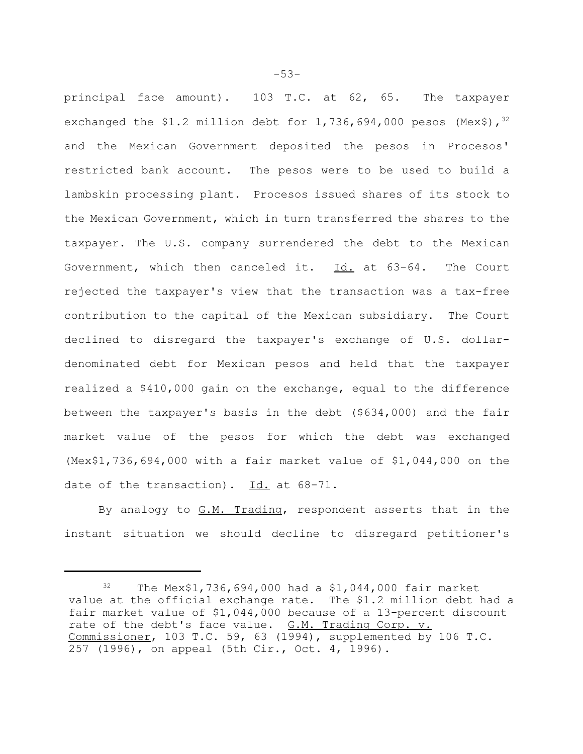principal face amount). 103 T.C. at 62, 65. The taxpayer exchanged the \$1.2 million debt for  $1,736,694,000$  pesos (Mex\$),  $32$ and the Mexican Government deposited the pesos in Procesos' restricted bank account. The pesos were to be used to build a lambskin processing plant. Procesos issued shares of its stock to the Mexican Government, which in turn transferred the shares to the taxpayer. The U.S. company surrendered the debt to the Mexican Government, which then canceled it.  $Id.$  at  $63-64.$  The Court rejected the taxpayer's view that the transaction was a tax-free contribution to the capital of the Mexican subsidiary. The Court declined to disregard the taxpayer's exchange of U.S. dollardenominated debt for Mexican pesos and held that the taxpayer realized a \$410,000 gain on the exchange, equal to the difference between the taxpayer's basis in the debt (\$634,000) and the fair market value of the pesos for which the debt was exchanged (Mex\$1,736,694,000 with a fair market value of \$1,044,000 on the date of the transaction). Id. at 68-71.

By analogy to G.M. Trading, respondent asserts that in the instant situation we should decline to disregard petitioner's

-53-

 $32$  The Mex\$1,736,694,000 had a \$1,044,000 fair market value at the official exchange rate. The \$1.2 million debt had a fair market value of \$1,044,000 because of a 13-percent discount rate of the debt's face value. G.M. Trading Corp. v. Commissioner, 103 T.C. 59, 63 (1994), supplemented by 106 T.C. 257 (1996), on appeal (5th Cir., Oct. 4, 1996).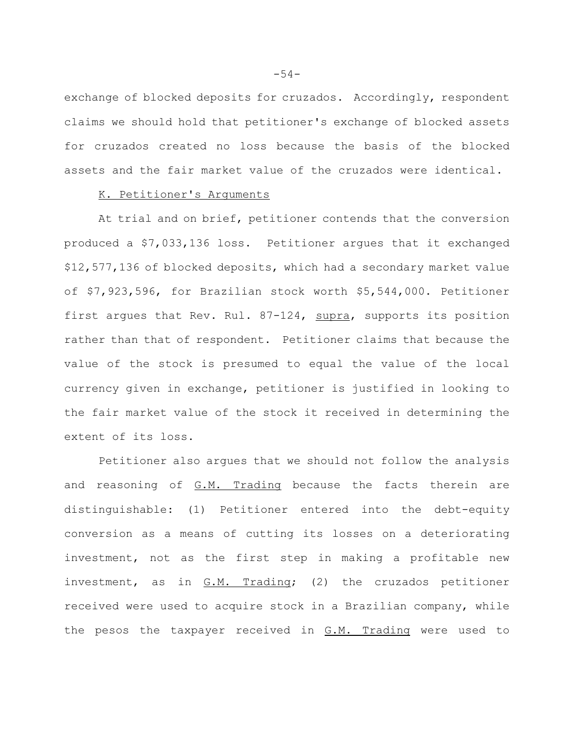exchange of blocked deposits for cruzados. Accordingly, respondent claims we should hold that petitioner's exchange of blocked assets for cruzados created no loss because the basis of the blocked assets and the fair market value of the cruzados were identical.

## K. Petitioner's Arguments

At trial and on brief, petitioner contends that the conversion produced a \$7,033,136 loss. Petitioner argues that it exchanged \$12,577,136 of blocked deposits, which had a secondary market value of \$7,923,596, for Brazilian stock worth \$5,544,000. Petitioner first argues that Rev. Rul. 87-124, supra, supports its position rather than that of respondent. Petitioner claims that because the value of the stock is presumed to equal the value of the local currency given in exchange, petitioner is justified in looking to the fair market value of the stock it received in determining the extent of its loss.

Petitioner also argues that we should not follow the analysis and reasoning of G.M. Trading because the facts therein are distinguishable: (1) Petitioner entered into the debt-equity conversion as a means of cutting its losses on a deteriorating investment, not as the first step in making a profitable new investment, as in G.M. Trading; (2) the cruzados petitioner received were used to acquire stock in a Brazilian company, while the pesos the taxpayer received in G.M. Trading were used to

-54-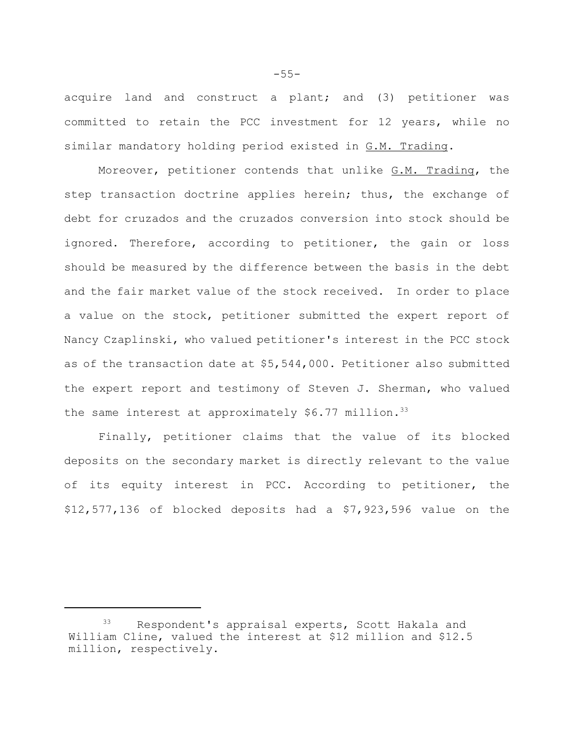acquire land and construct a plant; and (3) petitioner was committed to retain the PCC investment for 12 years, while no similar mandatory holding period existed in G.M. Trading.

Moreover, petitioner contends that unlike G.M. Trading, the step transaction doctrine applies herein; thus, the exchange of debt for cruzados and the cruzados conversion into stock should be ignored. Therefore, according to petitioner, the gain or loss should be measured by the difference between the basis in the debt and the fair market value of the stock received. In order to place a value on the stock, petitioner submitted the expert report of Nancy Czaplinski, who valued petitioner's interest in the PCC stock as of the transaction date at \$5,544,000. Petitioner also submitted the expert report and testimony of Steven J. Sherman, who valued the same interest at approximately  $$6.77$  million.<sup>33</sup>

Finally, petitioner claims that the value of its blocked deposits on the secondary market is directly relevant to the value of its equity interest in PCC. According to petitioner, the \$12,577,136 of blocked deposits had a \$7,923,596 value on the

-55-

Respondent's appraisal experts, Scott Hakala and William Cline, valued the interest at \$12 million and \$12.5 million, respectively.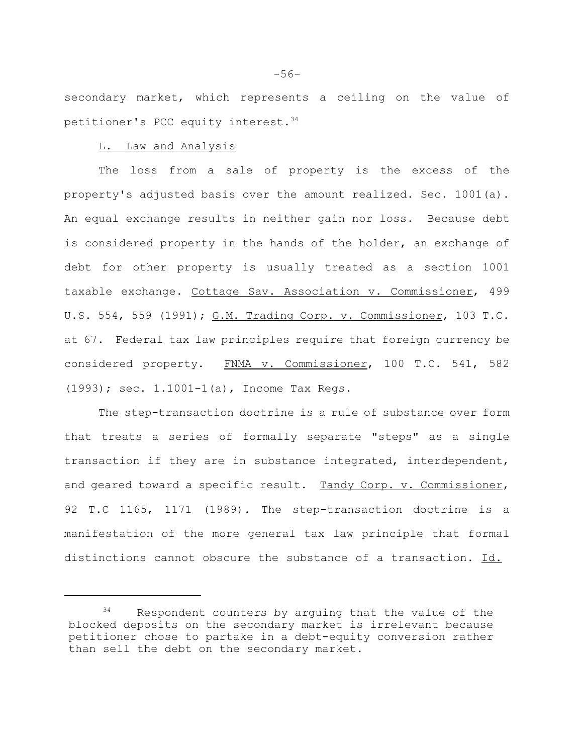secondary market, which represents a ceiling on the value of petitioner's PCC equity interest.34

#### L. Law and Analysis

The loss from a sale of property is the excess of the property's adjusted basis over the amount realized. Sec. 1001(a). An equal exchange results in neither gain nor loss. Because debt is considered property in the hands of the holder, an exchange of debt for other property is usually treated as a section 1001 taxable exchange. Cottage Sav. Association v. Commissioner, 499 U.S. 554, 559 (1991); G.M. Trading Corp. v. Commissioner, 103 T.C. at 67. Federal tax law principles require that foreign currency be considered property. FNMA v. Commissioner, 100 T.C. 541, 582 (1993); sec. 1.1001-1(a), Income Tax Regs.

The step-transaction doctrine is a rule of substance over form that treats a series of formally separate "steps" as a single transaction if they are in substance integrated, interdependent, and geared toward a specific result. Tandy Corp. v. Commissioner, 92 T.C 1165, 1171 (1989). The step-transaction doctrine is a manifestation of the more general tax law principle that formal distinctions cannot obscure the substance of a transaction. Id.

-56-

<sup>&</sup>lt;sup>34</sup> Respondent counters by arguing that the value of the blocked deposits on the secondary market is irrelevant because petitioner chose to partake in a debt-equity conversion rather than sell the debt on the secondary market.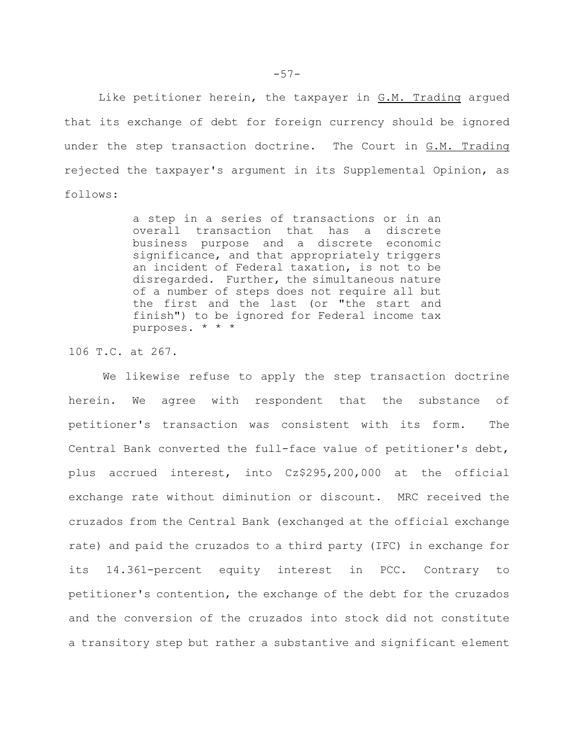Like petitioner herein, the taxpayer in G.M. Trading argued that its exchange of debt for foreign currency should be ignored under the step transaction doctrine. The Court in G.M. Trading rejected the taxpayer's argument in its Supplemental Opinion, as follows:

> a step in a series of transactions or in an overall transaction that has a discrete business purpose and a discrete economic significance, and that appropriately triggers an incident of Federal taxation, is not to be disregarded. Further, the simultaneous nature of a number of steps does not require all but the first and the last (or "the start and finish") to be ignored for Federal income tax purposes. \* \* \*

106 T.C. at 267.

We likewise refuse to apply the step transaction doctrine herein. We agree with respondent that the substance of petitioner's transaction was consistent with its form. The Central Bank converted the full-face value of petitioner's debt, plus accrued interest, into Cz\$295,200,000 at the official exchange rate without diminution or discount. MRC received the cruzados from the Central Bank (exchanged at the official exchange rate) and paid the cruzados to a third party (IFC) in exchange for its 14.361-percent equity interest in PCC. Contrary to petitioner's contention, the exchange of the debt for the cruzados and the conversion of the cruzados into stock did not constitute a transitory step but rather a substantive and significant element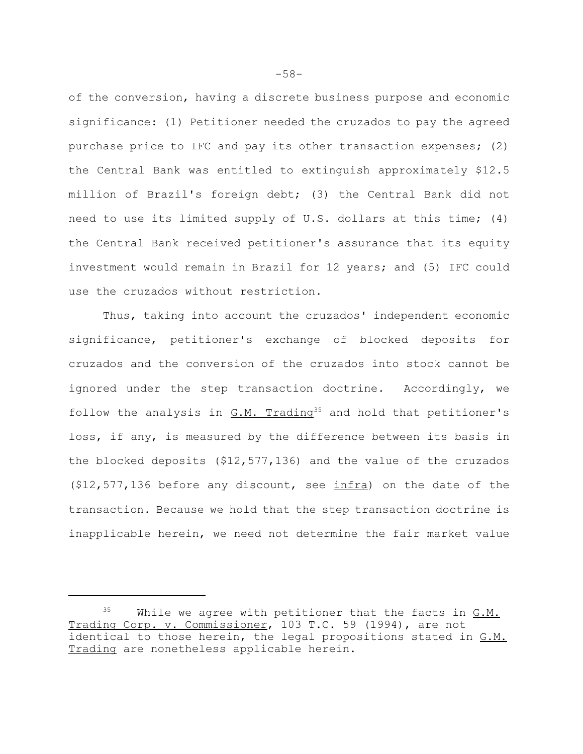of the conversion, having a discrete business purpose and economic significance: (1) Petitioner needed the cruzados to pay the agreed purchase price to IFC and pay its other transaction expenses; (2) the Central Bank was entitled to extinguish approximately \$12.5 million of Brazil's foreign debt; (3) the Central Bank did not need to use its limited supply of U.S. dollars at this time; (4) the Central Bank received petitioner's assurance that its equity investment would remain in Brazil for 12 years; and (5) IFC could use the cruzados without restriction.

Thus, taking into account the cruzados' independent economic significance, petitioner's exchange of blocked deposits for cruzados and the conversion of the cruzados into stock cannot be ignored under the step transaction doctrine. Accordingly, we follow the analysis in  $G.M.$  Trading<sup>35</sup> and hold that petitioner's loss, if any, is measured by the difference between its basis in the blocked deposits (\$12,577,136) and the value of the cruzados  $(512, 577, 136$  before any discount, see infra) on the date of the transaction. Because we hold that the step transaction doctrine is inapplicable herein, we need not determine the fair market value

<sup>&</sup>lt;sup>35</sup> While we agree with petitioner that the facts in G.M. Trading Corp. v. Commissioner, 103 T.C. 59 (1994), are not identical to those herein, the legal propositions stated in G.M. Trading are nonetheless applicable herein.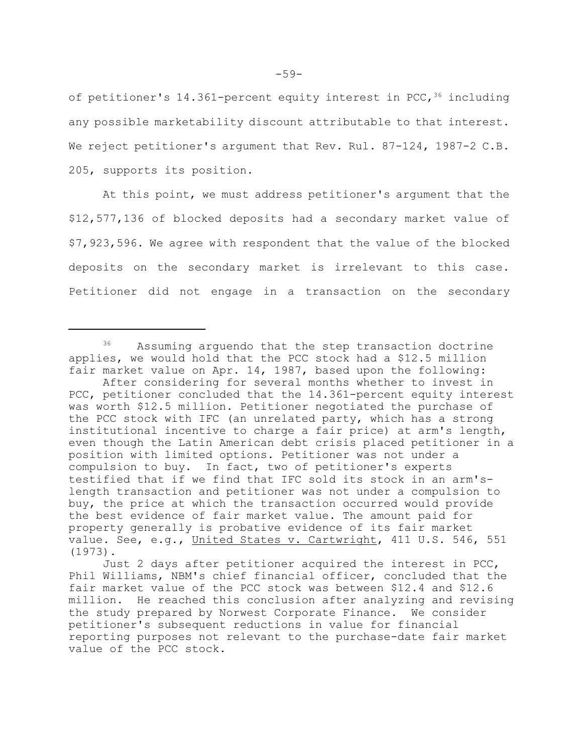of petitioner's  $14.361$ -percent equity interest in PCC,  $36$  including any possible marketability discount attributable to that interest. We reject petitioner's argument that Rev. Rul. 87-124, 1987-2 C.B. 205, supports its position.

At this point, we must address petitioner's argument that the \$12,577,136 of blocked deposits had a secondary market value of \$7,923,596. We agree with respondent that the value of the blocked deposits on the secondary market is irrelevant to this case. Petitioner did not engage in a transaction on the secondary

<sup>&</sup>lt;sup>36</sup> Assuming arguendo that the step transaction doctrine applies, we would hold that the PCC stock had a \$12.5 million fair market value on Apr. 14, 1987, based upon the following:

After considering for several months whether to invest in PCC, petitioner concluded that the 14.361-percent equity interest was worth \$12.5 million. Petitioner negotiated the purchase of the PCC stock with IFC (an unrelated party, which has a strong institutional incentive to charge a fair price) at arm's length, even though the Latin American debt crisis placed petitioner in a position with limited options. Petitioner was not under a compulsion to buy. In fact, two of petitioner's experts testified that if we find that IFC sold its stock in an arm'slength transaction and petitioner was not under a compulsion to buy, the price at which the transaction occurred would provide the best evidence of fair market value. The amount paid for property generally is probative evidence of its fair market value. See, e.g., United States v. Cartwright, 411 U.S. 546, 551 (1973).

Just 2 days after petitioner acquired the interest in PCC, Phil Williams, NBM's chief financial officer, concluded that the fair market value of the PCC stock was between \$12.4 and \$12.6 million. He reached this conclusion after analyzing and revising the study prepared by Norwest Corporate Finance. We consider petitioner's subsequent reductions in value for financial reporting purposes not relevant to the purchase-date fair market value of the PCC stock.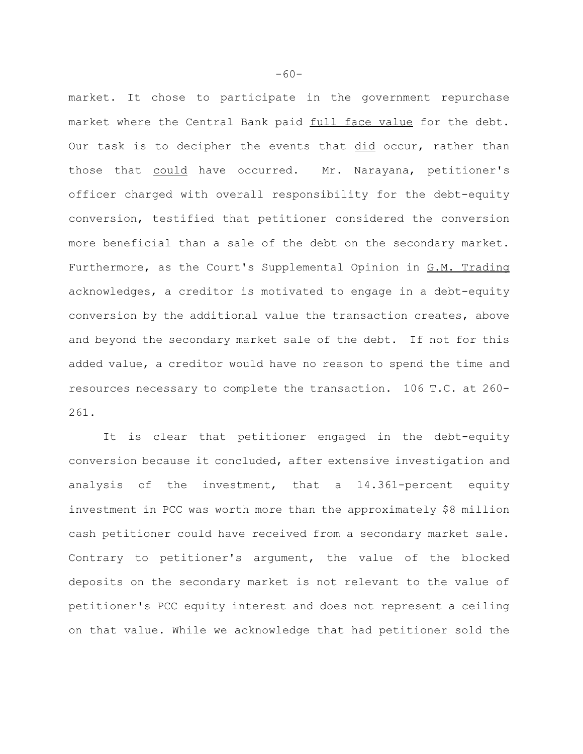market. It chose to participate in the government repurchase market where the Central Bank paid full face value for the debt. Our task is to decipher the events that did occur, rather than those that could have occurred. Mr. Narayana, petitioner's officer charged with overall responsibility for the debt-equity conversion, testified that petitioner considered the conversion more beneficial than a sale of the debt on the secondary market. Furthermore, as the Court's Supplemental Opinion in G.M. Trading acknowledges, a creditor is motivated to engage in a debt-equity conversion by the additional value the transaction creates, above and beyond the secondary market sale of the debt. If not for this added value, a creditor would have no reason to spend the time and resources necessary to complete the transaction. 106 T.C. at 260- 261.

It is clear that petitioner engaged in the debt-equity conversion because it concluded, after extensive investigation and analysis of the investment, that a 14.361-percent equity investment in PCC was worth more than the approximately \$8 million cash petitioner could have received from a secondary market sale. Contrary to petitioner's argument, the value of the blocked deposits on the secondary market is not relevant to the value of petitioner's PCC equity interest and does not represent a ceiling on that value. While we acknowledge that had petitioner sold the

 $-60-$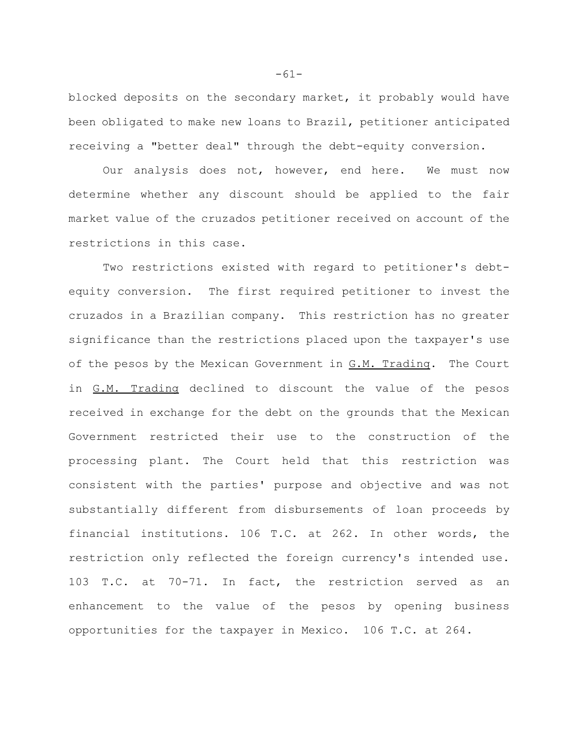blocked deposits on the secondary market, it probably would have been obligated to make new loans to Brazil, petitioner anticipated receiving a "better deal" through the debt-equity conversion.

Our analysis does not, however, end here. We must now determine whether any discount should be applied to the fair market value of the cruzados petitioner received on account of the restrictions in this case.

Two restrictions existed with regard to petitioner's debtequity conversion. The first required petitioner to invest the cruzados in a Brazilian company. This restriction has no greater significance than the restrictions placed upon the taxpayer's use of the pesos by the Mexican Government in G.M. Trading. The Court in G.M. Trading declined to discount the value of the pesos received in exchange for the debt on the grounds that the Mexican Government restricted their use to the construction of the processing plant. The Court held that this restriction was consistent with the parties' purpose and objective and was not substantially different from disbursements of loan proceeds by financial institutions. 106 T.C. at 262. In other words, the restriction only reflected the foreign currency's intended use. 103 T.C. at 70-71. In fact, the restriction served as an enhancement to the value of the pesos by opening business opportunities for the taxpayer in Mexico. 106 T.C. at 264.

-61-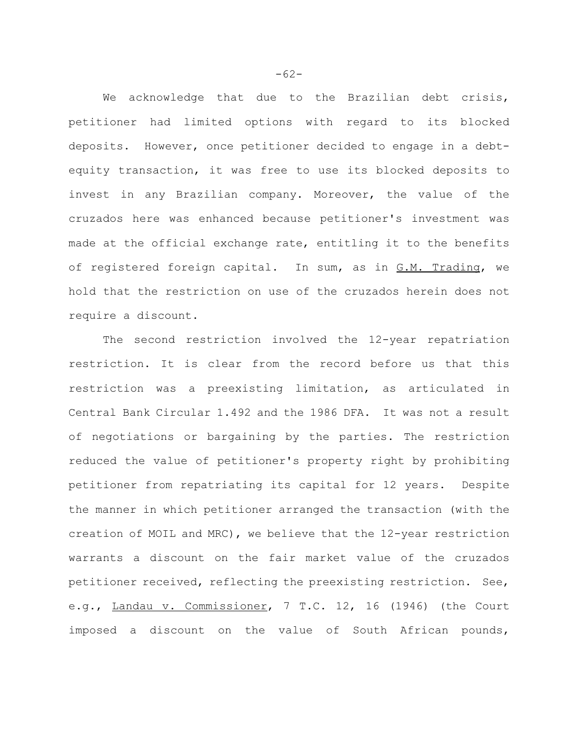We acknowledge that due to the Brazilian debt crisis, petitioner had limited options with regard to its blocked deposits. However, once petitioner decided to engage in a debtequity transaction, it was free to use its blocked deposits to invest in any Brazilian company. Moreover, the value of the cruzados here was enhanced because petitioner's investment was made at the official exchange rate, entitling it to the benefits of registered foreign capital. In sum, as in G.M. Trading, we hold that the restriction on use of the cruzados herein does not require a discount.

The second restriction involved the 12-year repatriation restriction. It is clear from the record before us that this restriction was a preexisting limitation, as articulated in Central Bank Circular 1.492 and the 1986 DFA. It was not a result of negotiations or bargaining by the parties. The restriction reduced the value of petitioner's property right by prohibiting petitioner from repatriating its capital for 12 years. Despite the manner in which petitioner arranged the transaction (with the creation of MOIL and MRC), we believe that the 12-year restriction warrants a discount on the fair market value of the cruzados petitioner received, reflecting the preexisting restriction. See, e.g., Landau v. Commissioner, 7 T.C. 12, 16 (1946) (the Court imposed a discount on the value of South African pounds,

 $-62-$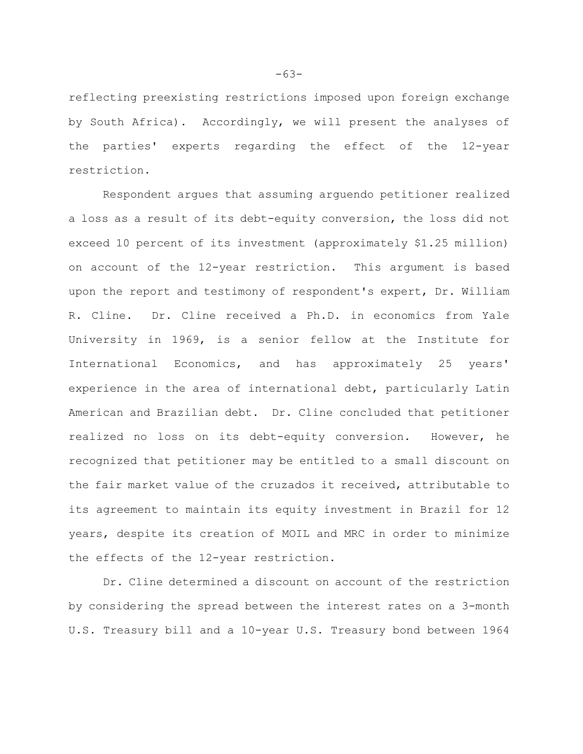reflecting preexisting restrictions imposed upon foreign exchange by South Africa). Accordingly, we will present the analyses of the parties' experts regarding the effect of the 12-year restriction.

Respondent argues that assuming arguendo petitioner realized a loss as a result of its debt-equity conversion, the loss did not exceed 10 percent of its investment (approximately \$1.25 million) on account of the 12-year restriction. This argument is based upon the report and testimony of respondent's expert, Dr. William R. Cline. Dr. Cline received a Ph.D. in economics from Yale University in 1969, is a senior fellow at the Institute for International Economics, and has approximately 25 years' experience in the area of international debt, particularly Latin American and Brazilian debt. Dr. Cline concluded that petitioner realized no loss on its debt-equity conversion. However, he recognized that petitioner may be entitled to a small discount on the fair market value of the cruzados it received, attributable to its agreement to maintain its equity investment in Brazil for 12 years, despite its creation of MOIL and MRC in order to minimize the effects of the 12-year restriction.

Dr. Cline determined a discount on account of the restriction by considering the spread between the interest rates on a 3-month U.S. Treasury bill and a 10-year U.S. Treasury bond between 1964

-63-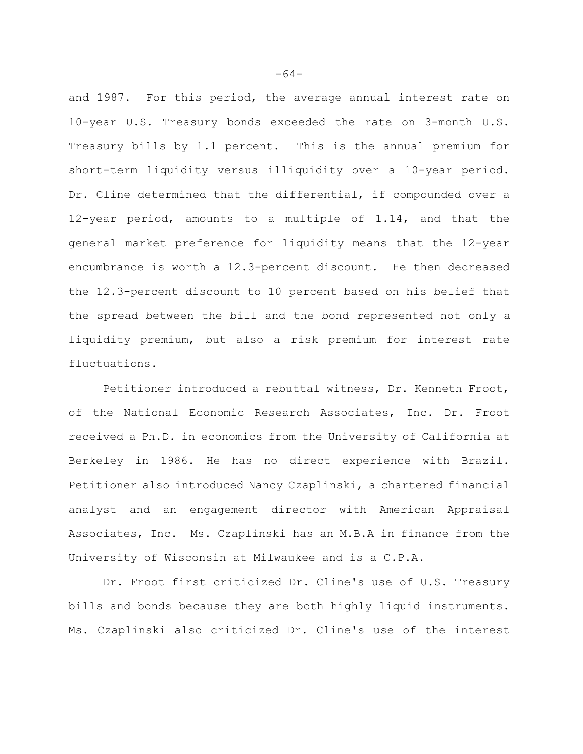and 1987. For this period, the average annual interest rate on 10-year U.S. Treasury bonds exceeded the rate on 3-month U.S. Treasury bills by 1.1 percent. This is the annual premium for short-term liquidity versus illiquidity over a 10-year period. Dr. Cline determined that the differential, if compounded over a 12-year period, amounts to a multiple of 1.14, and that the general market preference for liquidity means that the 12-year encumbrance is worth a 12.3-percent discount. He then decreased the 12.3-percent discount to 10 percent based on his belief that the spread between the bill and the bond represented not only a liquidity premium, but also a risk premium for interest rate fluctuations.

Petitioner introduced a rebuttal witness, Dr. Kenneth Froot, of the National Economic Research Associates, Inc. Dr. Froot received a Ph.D. in economics from the University of California at Berkeley in 1986. He has no direct experience with Brazil. Petitioner also introduced Nancy Czaplinski, a chartered financial analyst and an engagement director with American Appraisal Associates, Inc. Ms. Czaplinski has an M.B.A in finance from the University of Wisconsin at Milwaukee and is a C.P.A.

Dr. Froot first criticized Dr. Cline's use of U.S. Treasury bills and bonds because they are both highly liquid instruments. Ms. Czaplinski also criticized Dr. Cline's use of the interest

 $-64-$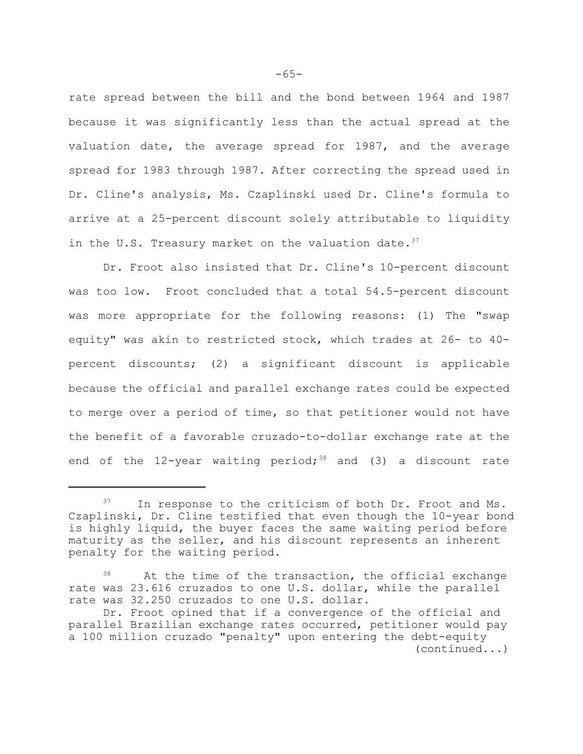rate spread between the bill and the bond between 1964 and 1987 because it was significantly less than the actual spread at the valuation date, the average spread for 1987, and the average spread for 1983 through 1987. After correcting the spread used in Dr. Cline's analysis, Ms. Czaplinski used Dr. Cline's formula to arrive at a 25-percent discount solely attributable to liquidity in the U.S. Treasury market on the valuation date.  $3^7$ 

Dr. Froot also insisted that Dr. Cline's 10-percent discount was too low. Froot concluded that a total 54.5-percent discount was more appropriate for the following reasons: (1) The "swap equity" was akin to restricted stock, which trades at 26- to 40 percent discounts; (2) a significant discount is applicable because the official and parallel exchange rates could be expected to merge over a period of time, so that petitioner would not have the benefit of a favorable cruzado-to-dollar exchange rate at the end of the 12-year waiting period;<sup>38</sup> and (3) a discount rate

In response to the criticism of both Dr. Froot and Ms. Czaplinski, Dr. Cline testified that even though the 10-year bond is highly liquid, the buyer faces the same waiting period before maturity as the seller, and his discount represents an inherent penalty for the waiting period.

At the time of the transaction, the official exchange rate was 23.616 cruzados to one U.S. dollar, while the parallel rate was 32.250 cruzados to one U.S. dollar.

Dr. Froot opined that if a convergence of the official and parallel Brazilian exchange rates occurred, petitioner would pay a 100 million cruzado "penalty" upon entering the debt-equity (continued...)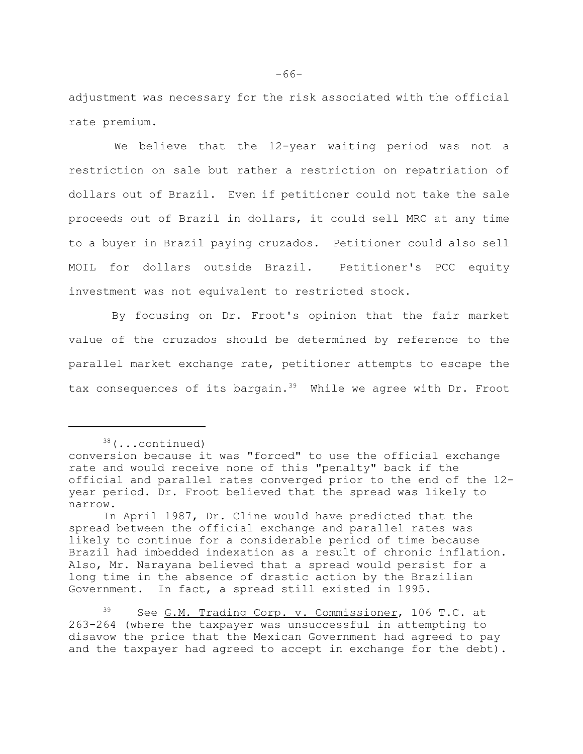adjustment was necessary for the risk associated with the official rate premium.

We believe that the 12-year waiting period was not a restriction on sale but rather a restriction on repatriation of dollars out of Brazil. Even if petitioner could not take the sale proceeds out of Brazil in dollars, it could sell MRC at any time to a buyer in Brazil paying cruzados. Petitioner could also sell MOIL for dollars outside Brazil. Petitioner's PCC equity investment was not equivalent to restricted stock.

By focusing on Dr. Froot's opinion that the fair market value of the cruzados should be determined by reference to the parallel market exchange rate, petitioner attempts to escape the tax consequences of its bargain.<sup>39</sup> While we agree with Dr. Froot

<sup>38(...</sup>continued)

conversion because it was "forced" to use the official exchange rate and would receive none of this "penalty" back if the official and parallel rates converged prior to the end of the 12 year period. Dr. Froot believed that the spread was likely to narrow.

In April 1987, Dr. Cline would have predicted that the spread between the official exchange and parallel rates was likely to continue for a considerable period of time because Brazil had imbedded indexation as a result of chronic inflation. Also, Mr. Narayana believed that a spread would persist for a long time in the absence of drastic action by the Brazilian Government. In fact, a spread still existed in 1995.

<sup>39</sup> See G.M. Trading Corp. v. Commissioner, 106 T.C. at 263-264 (where the taxpayer was unsuccessful in attempting to disavow the price that the Mexican Government had agreed to pay and the taxpayer had agreed to accept in exchange for the debt).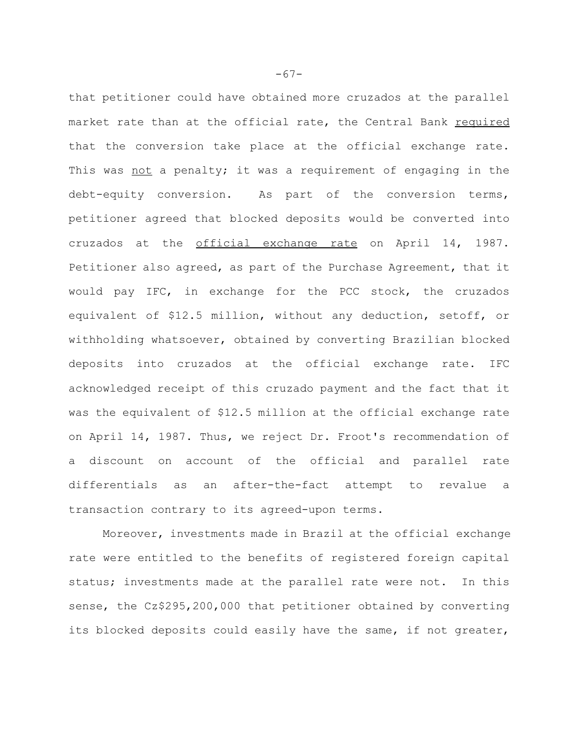that petitioner could have obtained more cruzados at the parallel market rate than at the official rate, the Central Bank required that the conversion take place at the official exchange rate. This was not a penalty; it was a requirement of engaging in the debt-equity conversion. As part of the conversion terms, petitioner agreed that blocked deposits would be converted into cruzados at the official exchange rate on April 14, 1987. Petitioner also agreed, as part of the Purchase Agreement, that it would pay IFC, in exchange for the PCC stock, the cruzados equivalent of \$12.5 million, without any deduction, setoff, or withholding whatsoever, obtained by converting Brazilian blocked deposits into cruzados at the official exchange rate. IFC acknowledged receipt of this cruzado payment and the fact that it was the equivalent of \$12.5 million at the official exchange rate on April 14, 1987. Thus, we reject Dr. Froot's recommendation of a discount on account of the official and parallel rate differentials as an after-the-fact attempt to revalue a transaction contrary to its agreed-upon terms.

Moreover, investments made in Brazil at the official exchange rate were entitled to the benefits of registered foreign capital status; investments made at the parallel rate were not. In this sense, the Cz\$295,200,000 that petitioner obtained by converting its blocked deposits could easily have the same, if not greater,

-67-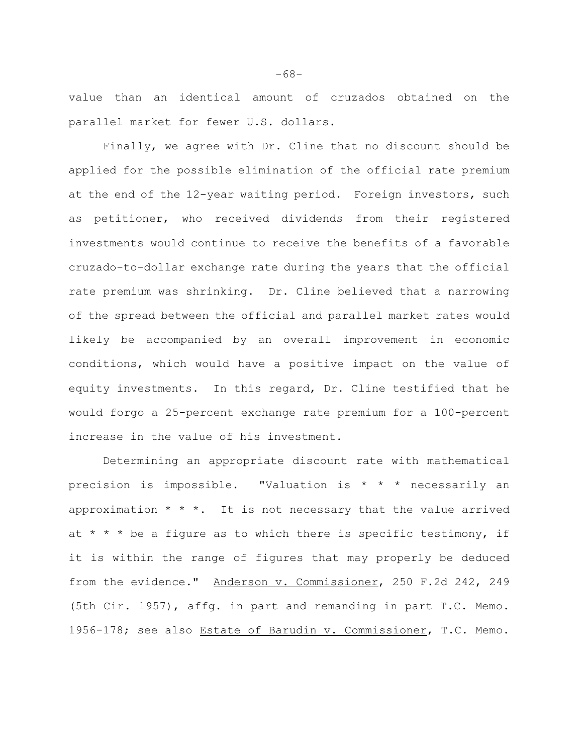value than an identical amount of cruzados obtained on the parallel market for fewer U.S. dollars.

Finally, we agree with Dr. Cline that no discount should be applied for the possible elimination of the official rate premium at the end of the 12-year waiting period. Foreign investors, such as petitioner, who received dividends from their registered investments would continue to receive the benefits of a favorable cruzado-to-dollar exchange rate during the years that the official rate premium was shrinking. Dr. Cline believed that a narrowing of the spread between the official and parallel market rates would likely be accompanied by an overall improvement in economic conditions, which would have a positive impact on the value of equity investments. In this regard, Dr. Cline testified that he would forgo a 25-percent exchange rate premium for a 100-percent increase in the value of his investment.

Determining an appropriate discount rate with mathematical precision is impossible. "Valuation is \* \* \* necessarily an approximation  $* * *$ . It is not necessary that the value arrived at  $* * *$  be a figure as to which there is specific testimony, if it is within the range of figures that may properly be deduced from the evidence." Anderson v. Commissioner, 250 F.2d 242, 249 (5th Cir. 1957), affg. in part and remanding in part T.C. Memo. 1956-178; see also Estate of Barudin v. Commissioner, T.C. Memo.

-68-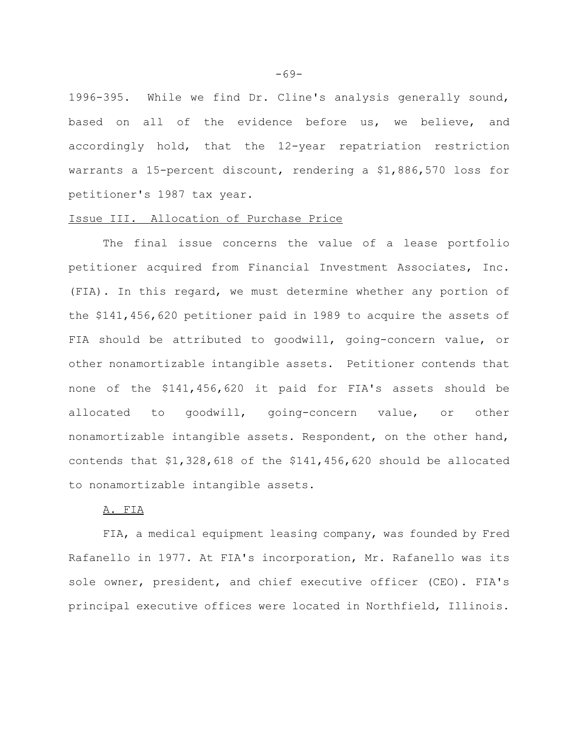1996-395. While we find Dr. Cline's analysis generally sound, based on all of the evidence before us, we believe, and accordingly hold, that the 12-year repatriation restriction warrants a 15-percent discount, rendering a \$1,886,570 loss for petitioner's 1987 tax year.

#### Issue III. Allocation of Purchase Price

The final issue concerns the value of a lease portfolio petitioner acquired from Financial Investment Associates, Inc. (FIA). In this regard, we must determine whether any portion of the \$141,456,620 petitioner paid in 1989 to acquire the assets of FIA should be attributed to goodwill, going-concern value, or other nonamortizable intangible assets. Petitioner contends that none of the \$141,456,620 it paid for FIA's assets should be allocated to goodwill, going-concern value, or other nonamortizable intangible assets. Respondent, on the other hand, contends that \$1,328,618 of the \$141,456,620 should be allocated to nonamortizable intangible assets.

## A. FIA

FIA, a medical equipment leasing company, was founded by Fred Rafanello in 1977. At FIA's incorporation, Mr. Rafanello was its sole owner, president, and chief executive officer (CEO). FIA's principal executive offices were located in Northfield, Illinois.

-69-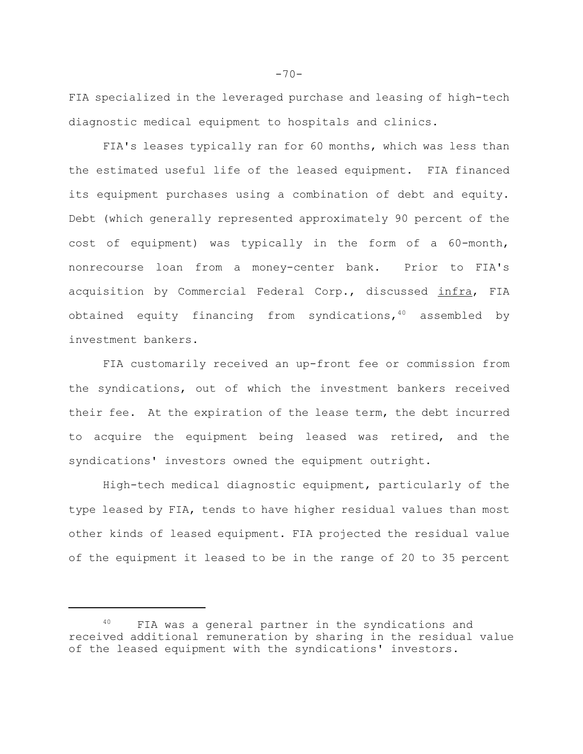FIA specialized in the leveraged purchase and leasing of high-tech diagnostic medical equipment to hospitals and clinics.

FIA's leases typically ran for 60 months, which was less than the estimated useful life of the leased equipment. FIA financed its equipment purchases using a combination of debt and equity. Debt (which generally represented approximately 90 percent of the cost of equipment) was typically in the form of a 60-month, nonrecourse loan from a money-center bank. Prior to FIA's acquisition by Commercial Federal Corp., discussed infra, FIA obtained equity financing from syndications, 40 assembled by investment bankers.

FIA customarily received an up-front fee or commission from the syndications, out of which the investment bankers received their fee. At the expiration of the lease term, the debt incurred to acquire the equipment being leased was retired, and the syndications' investors owned the equipment outright.

High-tech medical diagnostic equipment, particularly of the type leased by FIA, tends to have higher residual values than most other kinds of leased equipment. FIA projected the residual value of the equipment it leased to be in the range of 20 to 35 percent

<sup>&</sup>lt;sup>40</sup> FIA was a general partner in the syndications and received additional remuneration by sharing in the residual value of the leased equipment with the syndications' investors.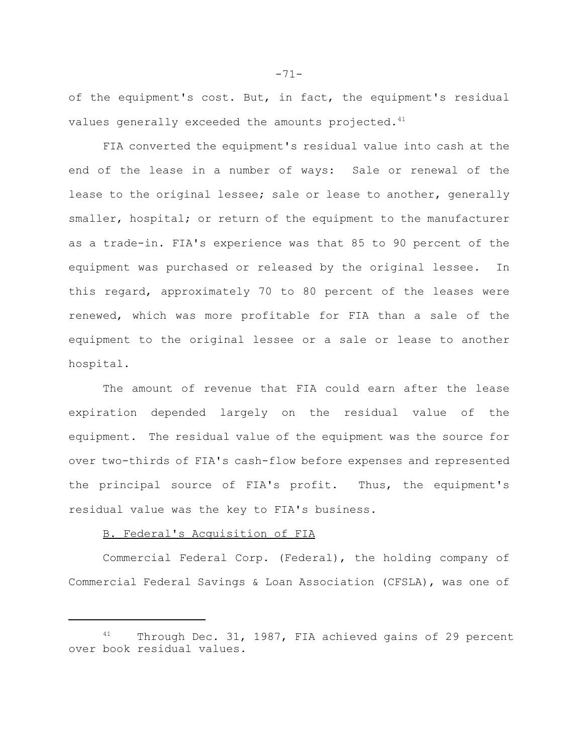of the equipment's cost. But, in fact, the equipment's residual values generally exceeded the amounts projected.<sup>41</sup>

FIA converted the equipment's residual value into cash at the end of the lease in a number of ways: Sale or renewal of the lease to the original lessee; sale or lease to another, generally smaller, hospital; or return of the equipment to the manufacturer as a trade-in. FIA's experience was that 85 to 90 percent of the equipment was purchased or released by the original lessee. In this regard, approximately 70 to 80 percent of the leases were renewed, which was more profitable for FIA than a sale of the equipment to the original lessee or a sale or lease to another hospital.

The amount of revenue that FIA could earn after the lease expiration depended largely on the residual value of the equipment. The residual value of the equipment was the source for over two-thirds of FIA's cash-flow before expenses and represented the principal source of FIA's profit. Thus, the equipment's residual value was the key to FIA's business.

## B. Federal's Acquisition of FIA

Commercial Federal Corp. (Federal), the holding company of Commercial Federal Savings & Loan Association (CFSLA), was one of

-71-

<sup>&</sup>lt;sup>41</sup> Through Dec. 31, 1987, FIA achieved gains of 29 percent over book residual values.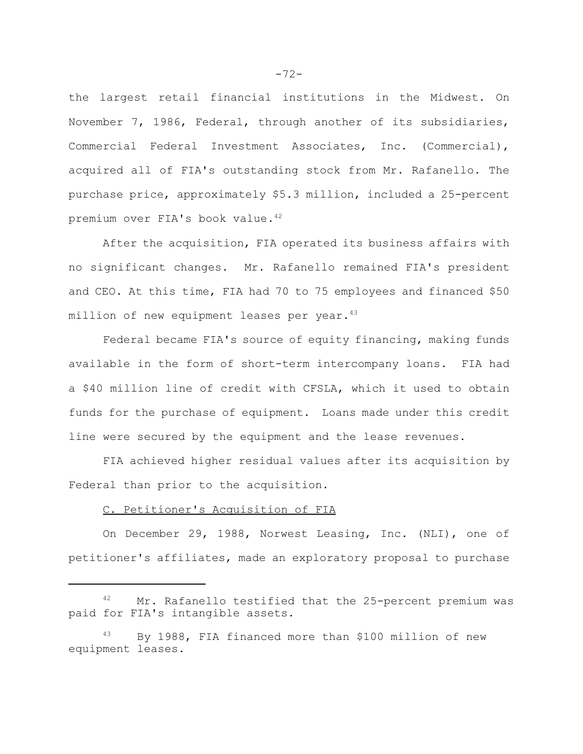the largest retail financial institutions in the Midwest. On November 7, 1986, Federal, through another of its subsidiaries, Commercial Federal Investment Associates, Inc. (Commercial), acquired all of FIA's outstanding stock from Mr. Rafanello. The purchase price, approximately \$5.3 million, included a 25-percent premium over FIA's book value.<sup>42</sup>

After the acquisition, FIA operated its business affairs with no significant changes. Mr. Rafanello remained FIA's president and CEO. At this time, FIA had 70 to 75 employees and financed \$50 million of new equipment leases per year.<sup>43</sup>

Federal became FIA's source of equity financing, making funds available in the form of short-term intercompany loans. FIA had a \$40 million line of credit with CFSLA, which it used to obtain funds for the purchase of equipment. Loans made under this credit line were secured by the equipment and the lease revenues.

FIA achieved higher residual values after its acquisition by Federal than prior to the acquisition.

## C. Petitioner's Acquisition of FIA

On December 29, 1988, Norwest Leasing, Inc. (NLI), one of petitioner's affiliates, made an exploratory proposal to purchase

<sup>42</sup> Mr. Rafanello testified that the 25-percent premium was paid for FIA's intangible assets.

<sup>43</sup> By 1988, FIA financed more than \$100 million of new equipment leases.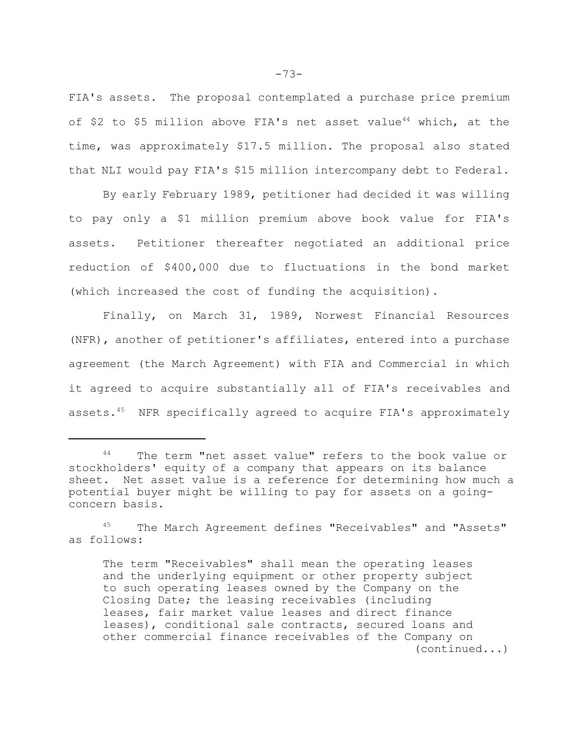FIA's assets. The proposal contemplated a purchase price premium of \$2 to \$5 million above FIA's net asset value<sup>44</sup> which, at the time, was approximately \$17.5 million. The proposal also stated that NLI would pay FIA's \$15 million intercompany debt to Federal.

By early February 1989, petitioner had decided it was willing to pay only a \$1 million premium above book value for FIA's assets. Petitioner thereafter negotiated an additional price reduction of \$400,000 due to fluctuations in the bond market (which increased the cost of funding the acquisition).

Finally, on March 31, 1989, Norwest Financial Resources (NFR), another of petitioner's affiliates, entered into a purchase agreement (the March Agreement) with FIA and Commercial in which it agreed to acquire substantially all of FIA's receivables and assets.45 NFR specifically agreed to acquire FIA's approximately

<sup>44</sup> The term "net asset value" refers to the book value or stockholders' equity of a company that appears on its balance sheet. Net asset value is a reference for determining how much a potential buyer might be willing to pay for assets on a goingconcern basis.

<sup>45</sup> The March Agreement defines "Receivables" and "Assets" as follows:

The term "Receivables" shall mean the operating leases and the underlying equipment or other property subject to such operating leases owned by the Company on the Closing Date; the leasing receivables (including leases, fair market value leases and direct finance leases), conditional sale contracts, secured loans and other commercial finance receivables of the Company on (continued...)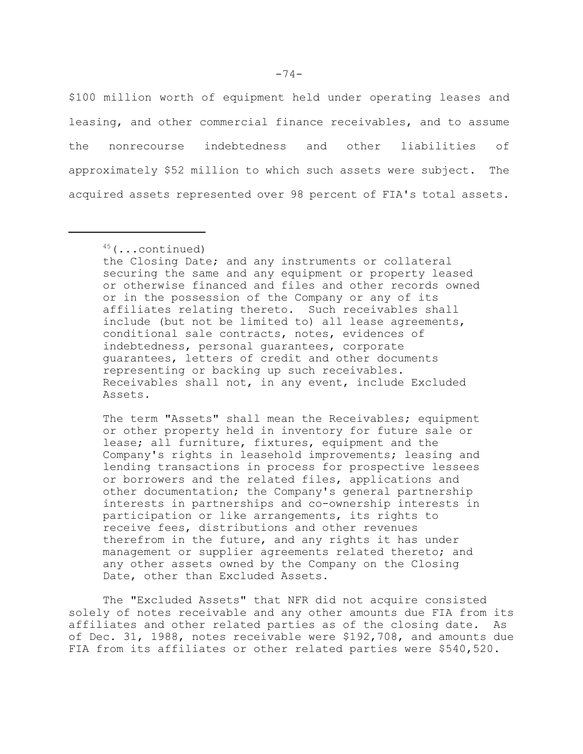\$100 million worth of equipment held under operating leases and leasing, and other commercial finance receivables, and to assume the nonrecourse indebtedness and other liabilities of approximately \$52 million to which such assets were subject. The acquired assets represented over 98 percent of FIA's total assets.

The term "Assets" shall mean the Receivables; equipment or other property held in inventory for future sale or lease; all furniture, fixtures, equipment and the Company's rights in leasehold improvements; leasing and lending transactions in process for prospective lessees or borrowers and the related files, applications and other documentation; the Company's general partnership interests in partnerships and co-ownership interests in participation or like arrangements, its rights to receive fees, distributions and other revenues therefrom in the future, and any rights it has under management or supplier agreements related thereto; and any other assets owned by the Company on the Closing Date, other than Excluded Assets.

The "Excluded Assets" that NFR did not acquire consisted solely of notes receivable and any other amounts due FIA from its affiliates and other related parties as of the closing date. As of Dec. 31, 1988, notes receivable were \$192,708, and amounts due FIA from its affiliates or other related parties were \$540,520.

 $45$  (...continued)

the Closing Date; and any instruments or collateral securing the same and any equipment or property leased or otherwise financed and files and other records owned or in the possession of the Company or any of its affiliates relating thereto. Such receivables shall include (but not be limited to) all lease agreements, conditional sale contracts, notes, evidences of indebtedness, personal guarantees, corporate guarantees, letters of credit and other documents representing or backing up such receivables. Receivables shall not, in any event, include Excluded Assets.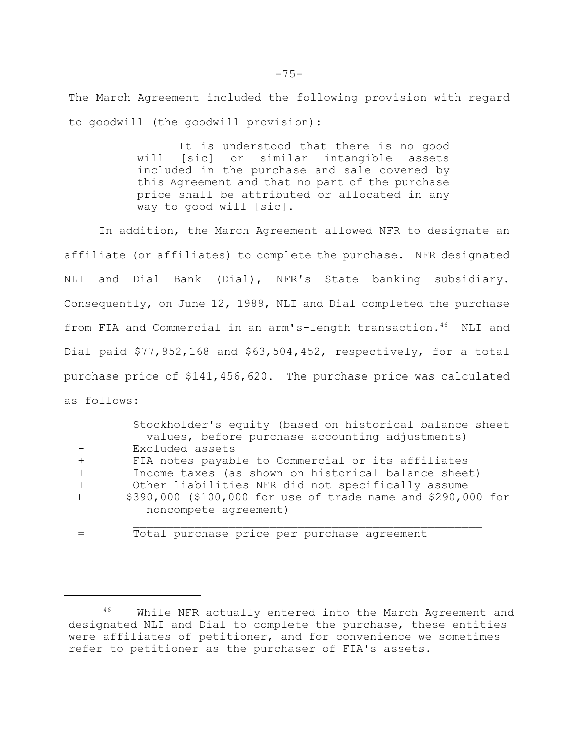The March Agreement included the following provision with regard to goodwill (the goodwill provision):

> It is understood that there is no good will [sic] or similar intangible assets included in the purchase and sale covered by this Agreement and that no part of the purchase price shall be attributed or allocated in any way to good will [sic].

In addition, the March Agreement allowed NFR to designate an affiliate (or affiliates) to complete the purchase. NFR designated NLI and Dial Bank (Dial), NFR's State banking subsidiary. Consequently, on June 12, 1989, NLI and Dial completed the purchase from FIA and Commercial in an arm's-length transaction.<sup>46</sup> NLI and Dial paid \$77,952,168 and \$63,504,452, respectively, for a total purchase price of \$141,456,620. The purchase price was calculated as follows:

|        | Stockholder's equity (based on historical balance sheet      |
|--------|--------------------------------------------------------------|
|        | values, before purchase accounting adjustments)              |
|        | Excluded assets                                              |
| $^{+}$ | FIA notes payable to Commercial or its affiliates            |
| $+$    | Income taxes (as shown on historical balance sheet)          |
| $^{+}$ | Other liabilities NFR did not specifically assume            |
| $^{+}$ | \$390,000 (\$100,000 for use of trade name and \$290,000 for |
|        | noncompete agreement)                                        |
|        |                                                              |

Total purchase price per purchase agreement

<sup>46</sup> While NFR actually entered into the March Agreement and designated NLI and Dial to complete the purchase, these entities were affiliates of petitioner, and for convenience we sometimes refer to petitioner as the purchaser of FIA's assets.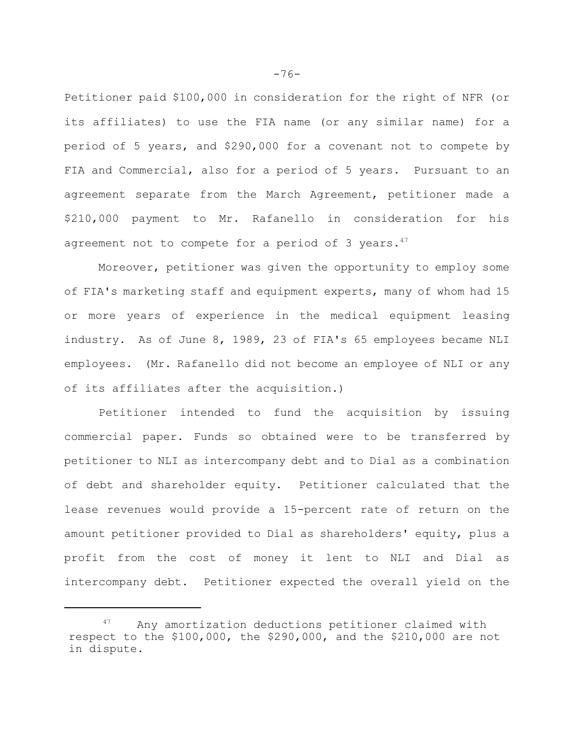Petitioner paid \$100,000 in consideration for the right of NFR (or its affiliates) to use the FIA name (or any similar name) for a period of 5 years, and \$290,000 for a covenant not to compete by FIA and Commercial, also for a period of 5 years. Pursuant to an agreement separate from the March Agreement, petitioner made a \$210,000 payment to Mr. Rafanello in consideration for his agreement not to compete for a period of 3 years. $47$ 

Moreover, petitioner was given the opportunity to employ some of FIA's marketing staff and equipment experts, many of whom had 15 or more years of experience in the medical equipment leasing industry. As of June 8, 1989, 23 of FIA's 65 employees became NLI employees. (Mr. Rafanello did not become an employee of NLI or any of its affiliates after the acquisition.)

Petitioner intended to fund the acquisition by issuing commercial paper. Funds so obtained were to be transferred by petitioner to NLI as intercompany debt and to Dial as a combination of debt and shareholder equity. Petitioner calculated that the lease revenues would provide a 15-percent rate of return on the amount petitioner provided to Dial as shareholders' equity, plus a profit from the cost of money it lent to NLI and Dial as intercompany debt. Petitioner expected the overall yield on the

 $-76-$ 

Any amortization deductions petitioner claimed with respect to the \$100,000, the \$290,000, and the \$210,000 are not in dispute.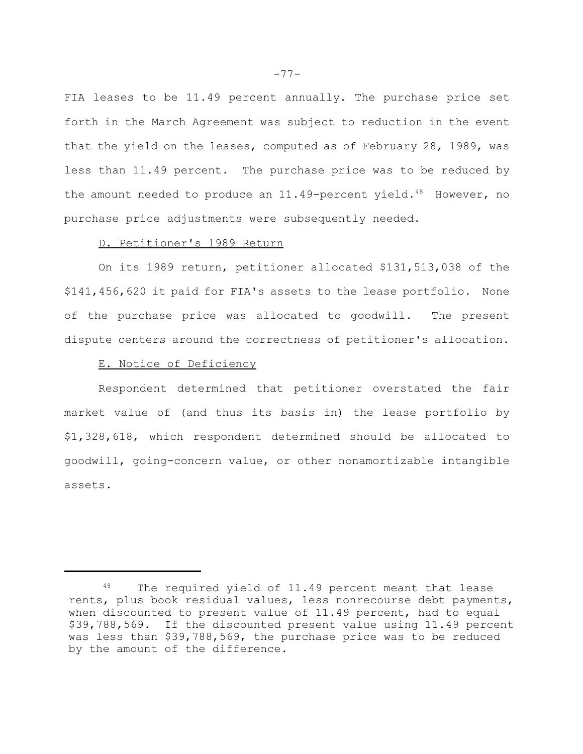FIA leases to be 11.49 percent annually. The purchase price set forth in the March Agreement was subject to reduction in the event that the yield on the leases, computed as of February 28, 1989, was less than 11.49 percent. The purchase price was to be reduced by the amount needed to produce an  $11.49$ -percent yield.<sup>48</sup> However, no purchase price adjustments were subsequently needed.

# D. Petitioner's 1989 Return

On its 1989 return, petitioner allocated \$131,513,038 of the \$141,456,620 it paid for FIA's assets to the lease portfolio. None of the purchase price was allocated to goodwill. The present dispute centers around the correctness of petitioner's allocation.

# E. Notice of Deficiency

Respondent determined that petitioner overstated the fair market value of (and thus its basis in) the lease portfolio by \$1,328,618, which respondent determined should be allocated to goodwill, going-concern value, or other nonamortizable intangible assets.

<sup>&</sup>lt;sup>48</sup> The required yield of 11.49 percent meant that lease rents, plus book residual values, less nonrecourse debt payments, when discounted to present value of 11.49 percent, had to equal \$39,788,569. If the discounted present value using 11.49 percent was less than \$39,788,569, the purchase price was to be reduced by the amount of the difference.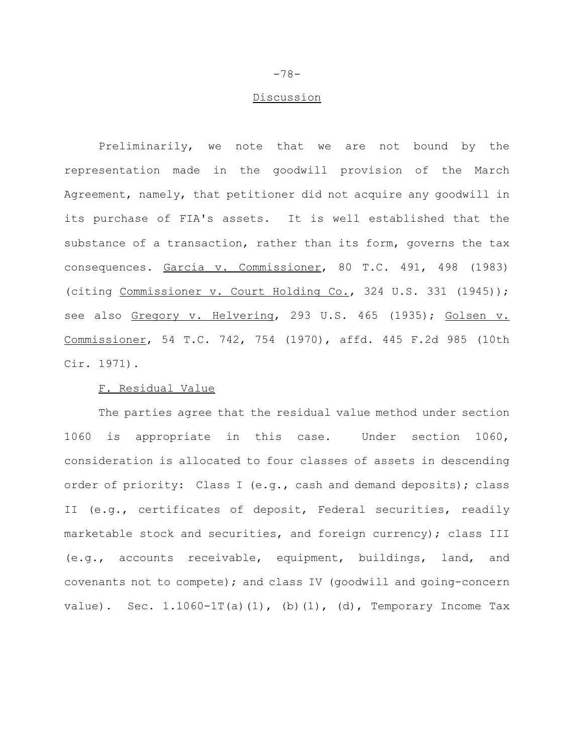#### Discussion

Preliminarily, we note that we are not bound by the representation made in the goodwill provision of the March Agreement, namely, that petitioner did not acquire any goodwill in its purchase of FIA's assets. It is well established that the substance of a transaction, rather than its form, governs the tax consequences. Garcia v. Commissioner, 80 T.C. 491, 498 (1983) (citing Commissioner v. Court Holding Co., 324 U.S. 331 (1945)); see also Gregory v. Helvering, 293 U.S. 465 (1935); Golsen v. Commissioner, 54 T.C. 742, 754 (1970), affd. 445 F.2d 985 (10th Cir. 1971).

# F. Residual Value

The parties agree that the residual value method under section 1060 is appropriate in this case. Under section 1060, consideration is allocated to four classes of assets in descending order of priority: Class I (e.g., cash and demand deposits); class II (e.g., certificates of deposit, Federal securities, readily marketable stock and securities, and foreign currency); class III (e.g., accounts receivable, equipment, buildings, land, and covenants not to compete); and class IV (goodwill and going-concern value). Sec. 1.1060-1T(a)(1), (b)(1), (d), Temporary Income Tax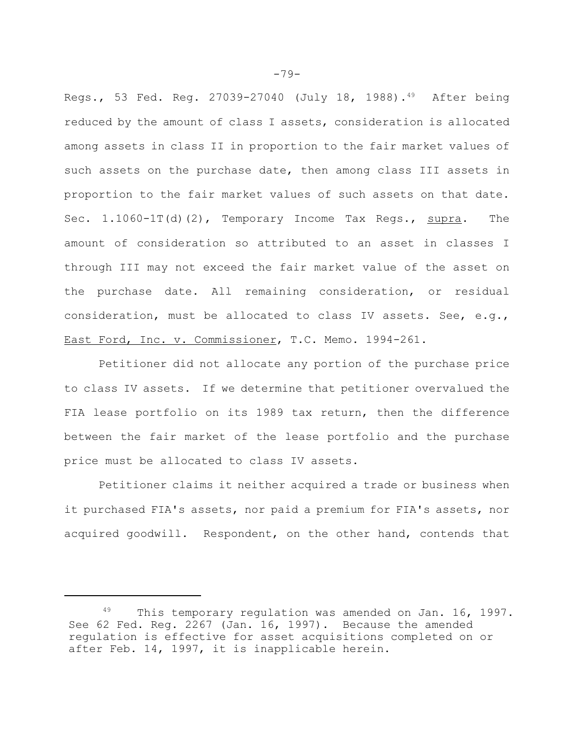Regs., 53 Fed. Reg. 27039-27040 (July 18, 1988).<sup>49</sup> After being reduced by the amount of class I assets, consideration is allocated among assets in class II in proportion to the fair market values of such assets on the purchase date, then among class III assets in proportion to the fair market values of such assets on that date. Sec. 1.1060-1T(d)(2), Temporary Income Tax Regs., supra. The amount of consideration so attributed to an asset in classes I through III may not exceed the fair market value of the asset on the purchase date. All remaining consideration, or residual consideration, must be allocated to class IV assets. See, e.g., East Ford, Inc. v. Commissioner, T.C. Memo. 1994-261.

Petitioner did not allocate any portion of the purchase price to class IV assets. If we determine that petitioner overvalued the FIA lease portfolio on its 1989 tax return, then the difference between the fair market of the lease portfolio and the purchase price must be allocated to class IV assets.

Petitioner claims it neither acquired a trade or business when it purchased FIA's assets, nor paid a premium for FIA's assets, nor acquired goodwill. Respondent, on the other hand, contends that

<sup>&</sup>lt;sup>49</sup> This temporary regulation was amended on Jan. 16, 1997. See 62 Fed. Reg. 2267 (Jan. 16, 1997). Because the amended regulation is effective for asset acquisitions completed on or after Feb. 14, 1997, it is inapplicable herein.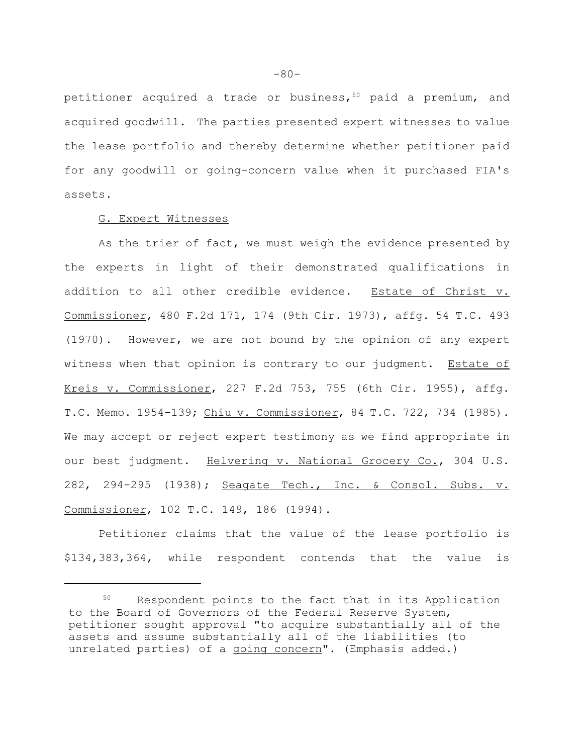petitioner acquired a trade or business,  $50$  paid a premium, and acquired goodwill. The parties presented expert witnesses to value the lease portfolio and thereby determine whether petitioner paid for any goodwill or going-concern value when it purchased FIA's assets.

### G. Expert Witnesses

As the trier of fact, we must weigh the evidence presented by the experts in light of their demonstrated qualifications in addition to all other credible evidence. Estate of Christ v. Commissioner, 480 F.2d 171, 174 (9th Cir. 1973), affg. 54 T.C. 493 (1970). However, we are not bound by the opinion of any expert witness when that opinion is contrary to our judgment. Estate of Kreis v. Commissioner, 227 F.2d 753, 755 (6th Cir. 1955), affg. T.C. Memo. 1954-139; Chiu v. Commissioner, 84 T.C. 722, 734 (1985). We may accept or reject expert testimony as we find appropriate in our best judgment. Helvering v. National Grocery Co., 304 U.S. 282, 294-295 (1938); Seagate Tech., Inc. & Consol. Subs. v. Commissioner, 102 T.C. 149, 186 (1994).

Petitioner claims that the value of the lease portfolio is \$134,383,364, while respondent contends that the value is

<sup>&</sup>lt;sup>50</sup> Respondent points to the fact that in its Application to the Board of Governors of the Federal Reserve System, petitioner sought approval "to acquire substantially all of the assets and assume substantially all of the liabilities (to unrelated parties) of a going concern". (Emphasis added.)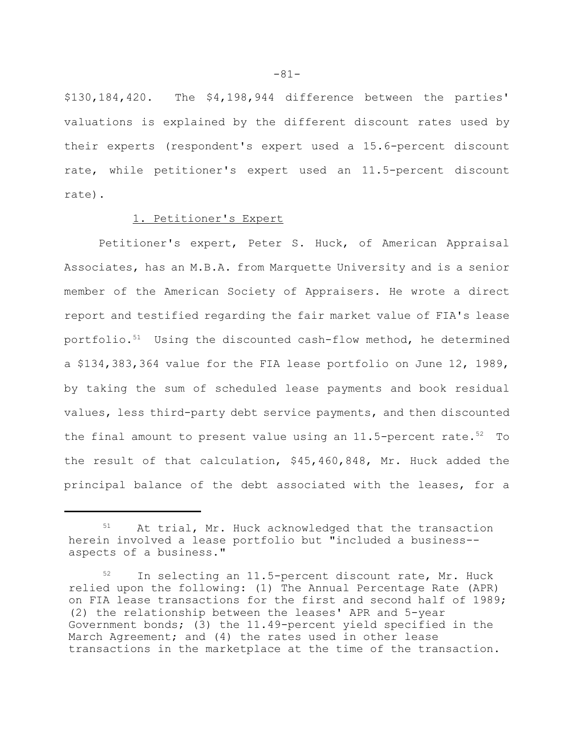\$130,184,420. The \$4,198,944 difference between the parties' valuations is explained by the different discount rates used by their experts (respondent's expert used a 15.6-percent discount rate, while petitioner's expert used an 11.5-percent discount rate).

### 1. Petitioner's Expert

Petitioner's expert, Peter S. Huck, of American Appraisal Associates, has an M.B.A. from Marquette University and is a senior member of the American Society of Appraisers. He wrote a direct report and testified regarding the fair market value of FIA's lease portfolio.<sup>51</sup> Using the discounted cash-flow method, he determined a \$134,383,364 value for the FIA lease portfolio on June 12, 1989, by taking the sum of scheduled lease payments and book residual values, less third-party debt service payments, and then discounted the final amount to present value using an  $11.5$ -percent rate.<sup>52</sup> To the result of that calculation, \$45,460,848, Mr. Huck added the principal balance of the debt associated with the leases, for a

-81-

<sup>51</sup> At trial, Mr. Huck acknowledged that the transaction herein involved a lease portfolio but "included a business- aspects of a business."

<sup>52</sup> In selecting an 11.5-percent discount rate, Mr. Huck relied upon the following: (1) The Annual Percentage Rate (APR) on FIA lease transactions for the first and second half of 1989; (2) the relationship between the leases' APR and 5-year Government bonds; (3) the 11.49-percent yield specified in the March Agreement; and (4) the rates used in other lease transactions in the marketplace at the time of the transaction.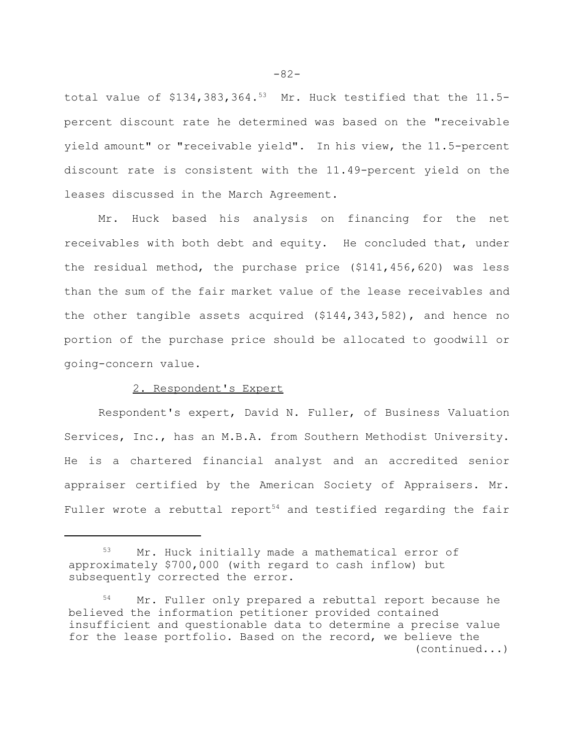total value of  $$134,383,364.^{53}$  Mr. Huck testified that the 11.5percent discount rate he determined was based on the "receivable yield amount" or "receivable yield". In his view, the 11.5-percent discount rate is consistent with the 11.49-percent yield on the leases discussed in the March Agreement.

Mr. Huck based his analysis on financing for the net receivables with both debt and equity. He concluded that, under the residual method, the purchase price (\$141,456,620) was less than the sum of the fair market value of the lease receivables and the other tangible assets acquired (\$144,343,582), and hence no portion of the purchase price should be allocated to goodwill or going-concern value.

# 2. Respondent's Expert

Respondent's expert, David N. Fuller, of Business Valuation Services, Inc., has an M.B.A. from Southern Methodist University. He is a chartered financial analyst and an accredited senior appraiser certified by the American Society of Appraisers. Mr. Fuller wrote a rebuttal report<sup>54</sup> and testified regarding the fair

 $-82-$ 

<sup>53</sup> Mr. Huck initially made a mathematical error of approximately \$700,000 (with regard to cash inflow) but subsequently corrected the error.

Mr. Fuller only prepared a rebuttal report because he believed the information petitioner provided contained insufficient and questionable data to determine a precise value for the lease portfolio. Based on the record, we believe the (continued...)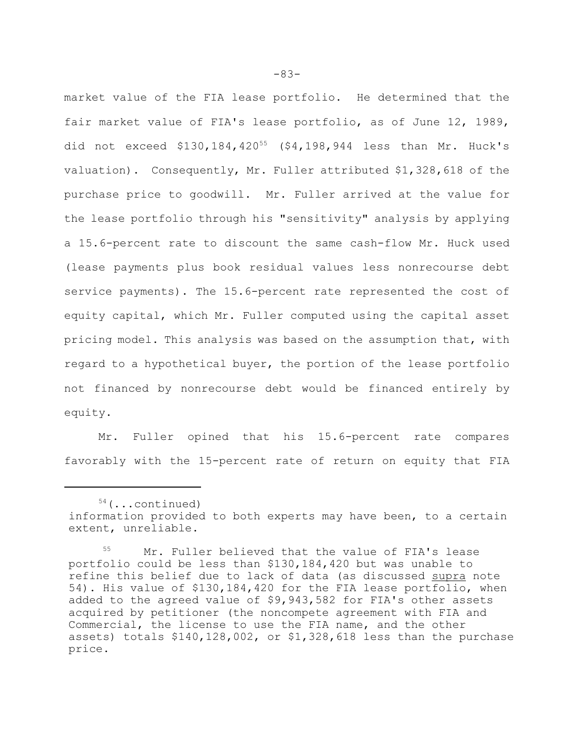market value of the FIA lease portfolio. He determined that the fair market value of FIA's lease portfolio, as of June 12, 1989, did not exceed  $$130,184,420^{55}$   $($4,198,944$  less than Mr. Huck's valuation). Consequently, Mr. Fuller attributed \$1,328,618 of the purchase price to goodwill. Mr. Fuller arrived at the value for the lease portfolio through his "sensitivity" analysis by applying a 15.6-percent rate to discount the same cash-flow Mr. Huck used (lease payments plus book residual values less nonrecourse debt service payments). The 15.6-percent rate represented the cost of equity capital, which Mr. Fuller computed using the capital asset pricing model. This analysis was based on the assumption that, with regard to a hypothetical buyer, the portion of the lease portfolio not financed by nonrecourse debt would be financed entirely by equity.

Mr. Fuller opined that his 15.6-percent rate compares favorably with the 15-percent rate of return on equity that FIA

<sup>54(...</sup>continued) information provided to both experts may have been, to a certain extent, unreliable.

<sup>55</sup> Mr. Fuller believed that the value of FIA's lease portfolio could be less than \$130,184,420 but was unable to refine this belief due to lack of data (as discussed supra note 54). His value of \$130,184,420 for the FIA lease portfolio, when added to the agreed value of \$9,943,582 for FIA's other assets acquired by petitioner (the noncompete agreement with FIA and Commercial, the license to use the FIA name, and the other assets) totals \$140,128,002, or \$1,328,618 less than the purchase price.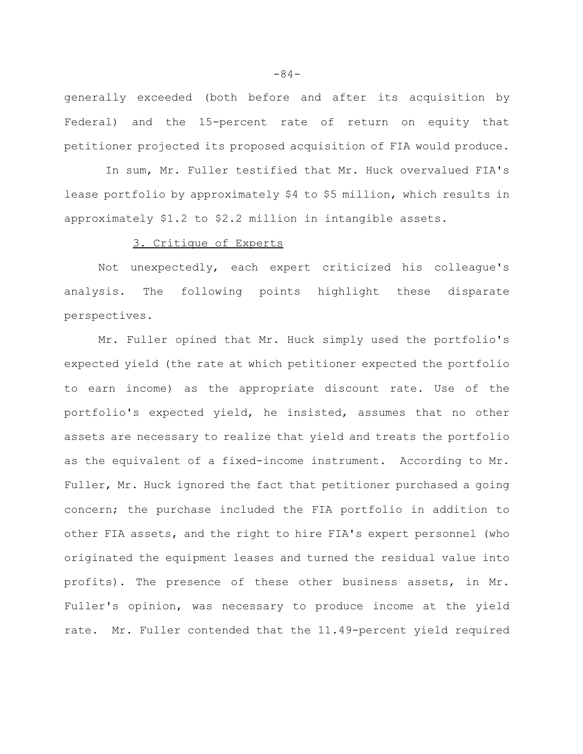generally exceeded (both before and after its acquisition by Federal) and the 15-percent rate of return on equity that petitioner projected its proposed acquisition of FIA would produce.

 In sum, Mr. Fuller testified that Mr. Huck overvalued FIA's lease portfolio by approximately \$4 to \$5 million, which results in approximately \$1.2 to \$2.2 million in intangible assets.

# 3. Critique of Experts

Not unexpectedly, each expert criticized his colleague's analysis. The following points highlight these disparate perspectives.

Mr. Fuller opined that Mr. Huck simply used the portfolio's expected yield (the rate at which petitioner expected the portfolio to earn income) as the appropriate discount rate. Use of the portfolio's expected yield, he insisted, assumes that no other assets are necessary to realize that yield and treats the portfolio as the equivalent of a fixed-income instrument. According to Mr. Fuller, Mr. Huck ignored the fact that petitioner purchased a going concern; the purchase included the FIA portfolio in addition to other FIA assets, and the right to hire FIA's expert personnel (who originated the equipment leases and turned the residual value into profits). The presence of these other business assets, in Mr. Fuller's opinion, was necessary to produce income at the yield rate. Mr. Fuller contended that the 11.49-percent yield required

-84-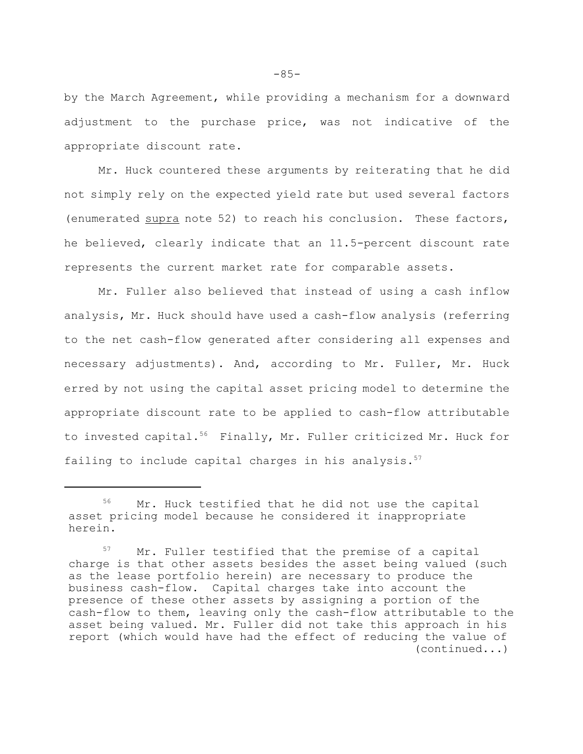by the March Agreement, while providing a mechanism for a downward adjustment to the purchase price, was not indicative of the appropriate discount rate.

Mr. Huck countered these arguments by reiterating that he did not simply rely on the expected yield rate but used several factors (enumerated supra note 52) to reach his conclusion. These factors, he believed, clearly indicate that an 11.5-percent discount rate represents the current market rate for comparable assets.

Mr. Fuller also believed that instead of using a cash inflow analysis, Mr. Huck should have used a cash-flow analysis (referring to the net cash-flow generated after considering all expenses and necessary adjustments). And, according to Mr. Fuller, Mr. Huck erred by not using the capital asset pricing model to determine the appropriate discount rate to be applied to cash-flow attributable to invested capital.<sup>56</sup> Finally, Mr. Fuller criticized Mr. Huck for failing to include capital charges in his analysis.<sup>57</sup>

<sup>56</sup> Mr. Huck testified that he did not use the capital asset pricing model because he considered it inappropriate herein.

<sup>57</sup> Mr. Fuller testified that the premise of a capital charge is that other assets besides the asset being valued (such as the lease portfolio herein) are necessary to produce the business cash-flow. Capital charges take into account the presence of these other assets by assigning a portion of the cash-flow to them, leaving only the cash-flow attributable to the asset being valued. Mr. Fuller did not take this approach in his report (which would have had the effect of reducing the value of (continued...)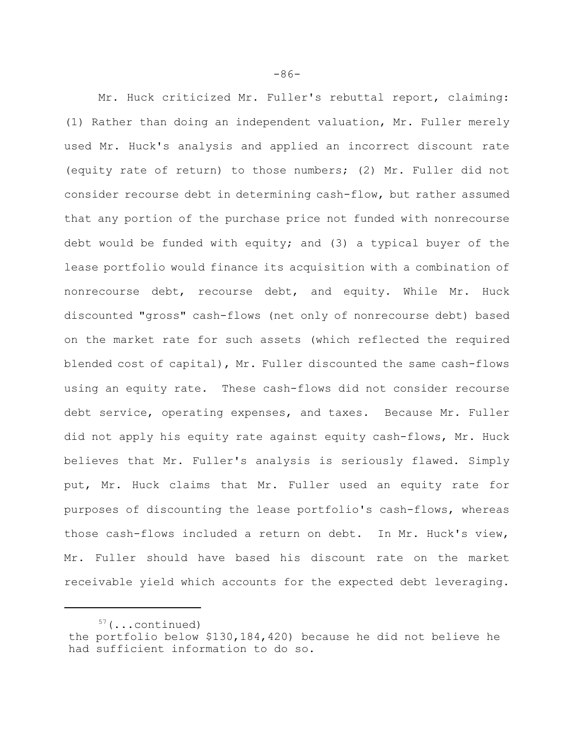Mr. Huck criticized Mr. Fuller's rebuttal report, claiming: (1) Rather than doing an independent valuation, Mr. Fuller merely used Mr. Huck's analysis and applied an incorrect discount rate (equity rate of return) to those numbers; (2) Mr. Fuller did not consider recourse debt in determining cash-flow, but rather assumed that any portion of the purchase price not funded with nonrecourse debt would be funded with equity; and (3) a typical buyer of the lease portfolio would finance its acquisition with a combination of nonrecourse debt, recourse debt, and equity. While Mr. Huck discounted "gross" cash-flows (net only of nonrecourse debt) based on the market rate for such assets (which reflected the required blended cost of capital), Mr. Fuller discounted the same cash-flows using an equity rate. These cash-flows did not consider recourse debt service, operating expenses, and taxes. Because Mr. Fuller did not apply his equity rate against equity cash-flows, Mr. Huck believes that Mr. Fuller's analysis is seriously flawed. Simply put, Mr. Huck claims that Mr. Fuller used an equity rate for purposes of discounting the lease portfolio's cash-flows, whereas those cash-flows included a return on debt. In Mr. Huck's view, Mr. Fuller should have based his discount rate on the market receivable yield which accounts for the expected debt leveraging.

<sup>57(...</sup>continued) the portfolio below \$130,184,420) because he did not believe he had sufficient information to do so.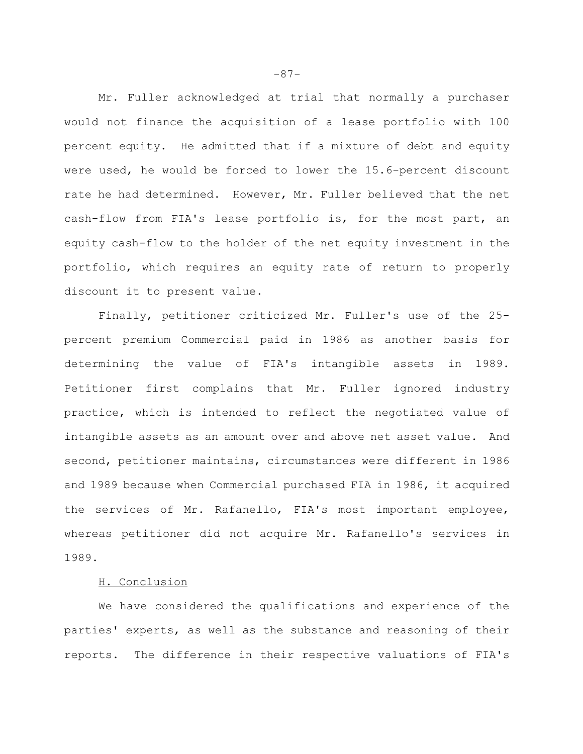Mr. Fuller acknowledged at trial that normally a purchaser would not finance the acquisition of a lease portfolio with 100 percent equity. He admitted that if a mixture of debt and equity were used, he would be forced to lower the 15.6-percent discount rate he had determined. However, Mr. Fuller believed that the net cash-flow from FIA's lease portfolio is, for the most part, an equity cash-flow to the holder of the net equity investment in the portfolio, which requires an equity rate of return to properly discount it to present value.

Finally, petitioner criticized Mr. Fuller's use of the 25 percent premium Commercial paid in 1986 as another basis for determining the value of FIA's intangible assets in 1989. Petitioner first complains that Mr. Fuller ignored industry practice, which is intended to reflect the negotiated value of intangible assets as an amount over and above net asset value. And second, petitioner maintains, circumstances were different in 1986 and 1989 because when Commercial purchased FIA in 1986, it acquired the services of Mr. Rafanello, FIA's most important employee, whereas petitioner did not acquire Mr. Rafanello's services in 1989.

# H. Conclusion

We have considered the qualifications and experience of the parties' experts, as well as the substance and reasoning of their reports. The difference in their respective valuations of FIA's

-87-